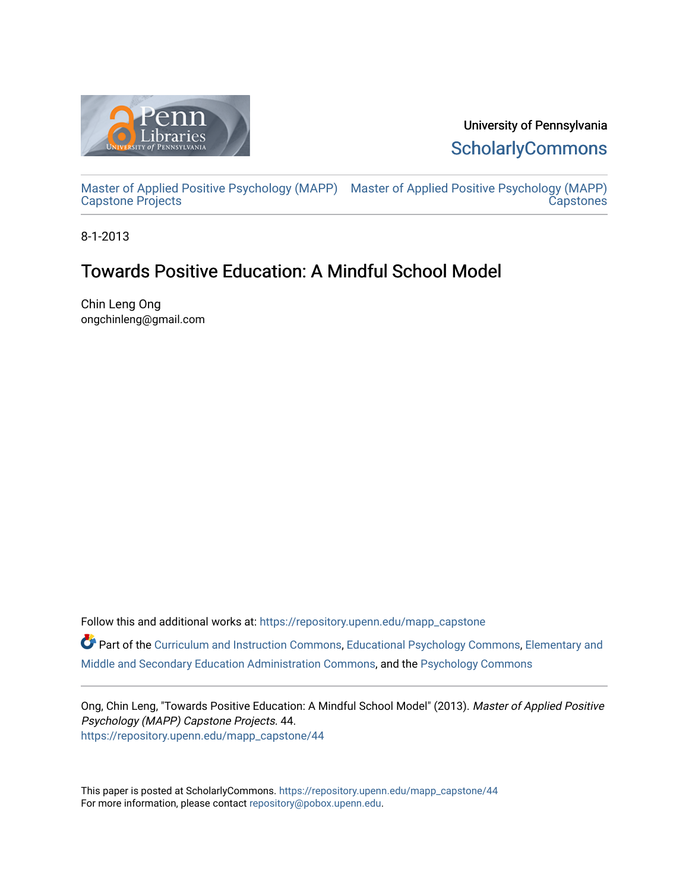

University of Pennsylvania **ScholarlyCommons** 

[Master of Applied Positive Psychology \(MAPP\)](https://repository.upenn.edu/mapp_capstone) [Master of Applied Positive Psychology \(MAPP\)](https://repository.upenn.edu/mapp_capstones)  Capstone Projects **Capstones** 

8-1-2013

# Towards Positive Education: A Mindful School Model

Chin Leng Ong ongchinleng@gmail.com

Follow this and additional works at: [https://repository.upenn.edu/mapp\\_capstone](https://repository.upenn.edu/mapp_capstone?utm_source=repository.upenn.edu%2Fmapp_capstone%2F44&utm_medium=PDF&utm_campaign=PDFCoverPages) 

Part of the [Curriculum and Instruction Commons,](http://network.bepress.com/hgg/discipline/786?utm_source=repository.upenn.edu%2Fmapp_capstone%2F44&utm_medium=PDF&utm_campaign=PDFCoverPages) [Educational Psychology Commons,](http://network.bepress.com/hgg/discipline/798?utm_source=repository.upenn.edu%2Fmapp_capstone%2F44&utm_medium=PDF&utm_campaign=PDFCoverPages) Elementary and [Middle and Secondary Education Administration Commons,](http://network.bepress.com/hgg/discipline/790?utm_source=repository.upenn.edu%2Fmapp_capstone%2F44&utm_medium=PDF&utm_campaign=PDFCoverPages) and the [Psychology Commons](http://network.bepress.com/hgg/discipline/404?utm_source=repository.upenn.edu%2Fmapp_capstone%2F44&utm_medium=PDF&utm_campaign=PDFCoverPages) 

Ong, Chin Leng, "Towards Positive Education: A Mindful School Model" (2013). Master of Applied Positive Psychology (MAPP) Capstone Projects. 44. [https://repository.upenn.edu/mapp\\_capstone/44](https://repository.upenn.edu/mapp_capstone/44?utm_source=repository.upenn.edu%2Fmapp_capstone%2F44&utm_medium=PDF&utm_campaign=PDFCoverPages)

This paper is posted at ScholarlyCommons. [https://repository.upenn.edu/mapp\\_capstone/44](https://repository.upenn.edu/mapp_capstone/44)  For more information, please contact [repository@pobox.upenn.edu.](mailto:repository@pobox.upenn.edu)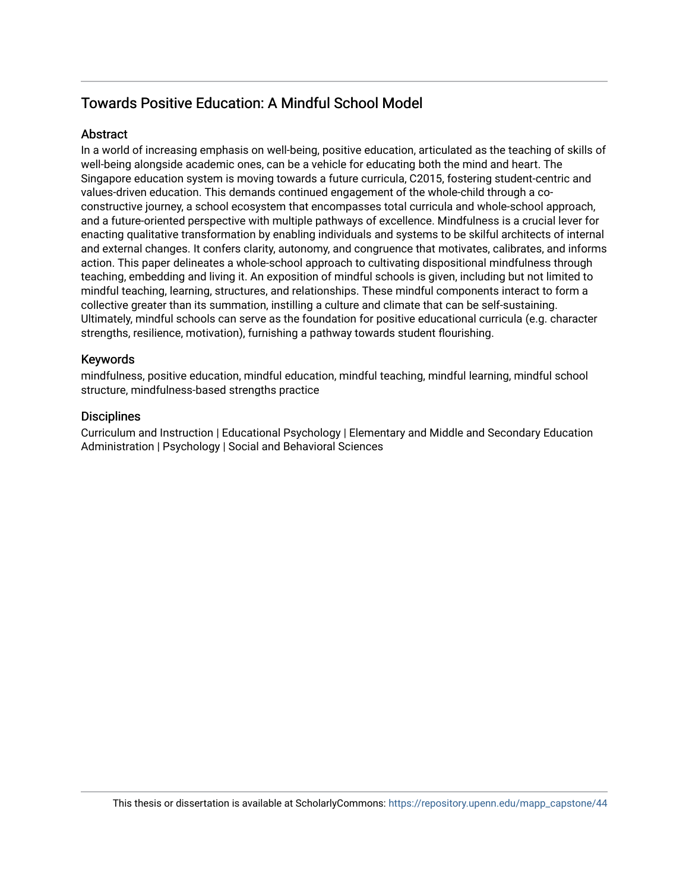## Towards Positive Education: A Mindful School Model

## **Abstract**

In a world of increasing emphasis on well-being, positive education, articulated as the teaching of skills of well-being alongside academic ones, can be a vehicle for educating both the mind and heart. The Singapore education system is moving towards a future curricula, C2015, fostering student-centric and values-driven education. This demands continued engagement of the whole-child through a coconstructive journey, a school ecosystem that encompasses total curricula and whole-school approach, and a future-oriented perspective with multiple pathways of excellence. Mindfulness is a crucial lever for enacting qualitative transformation by enabling individuals and systems to be skilful architects of internal and external changes. It confers clarity, autonomy, and congruence that motivates, calibrates, and informs action. This paper delineates a whole-school approach to cultivating dispositional mindfulness through teaching, embedding and living it. An exposition of mindful schools is given, including but not limited to mindful teaching, learning, structures, and relationships. These mindful components interact to form a collective greater than its summation, instilling a culture and climate that can be self-sustaining. Ultimately, mindful schools can serve as the foundation for positive educational curricula (e.g. character strengths, resilience, motivation), furnishing a pathway towards student flourishing.

## Keywords

mindfulness, positive education, mindful education, mindful teaching, mindful learning, mindful school structure, mindfulness-based strengths practice

### **Disciplines**

Curriculum and Instruction | Educational Psychology | Elementary and Middle and Secondary Education Administration | Psychology | Social and Behavioral Sciences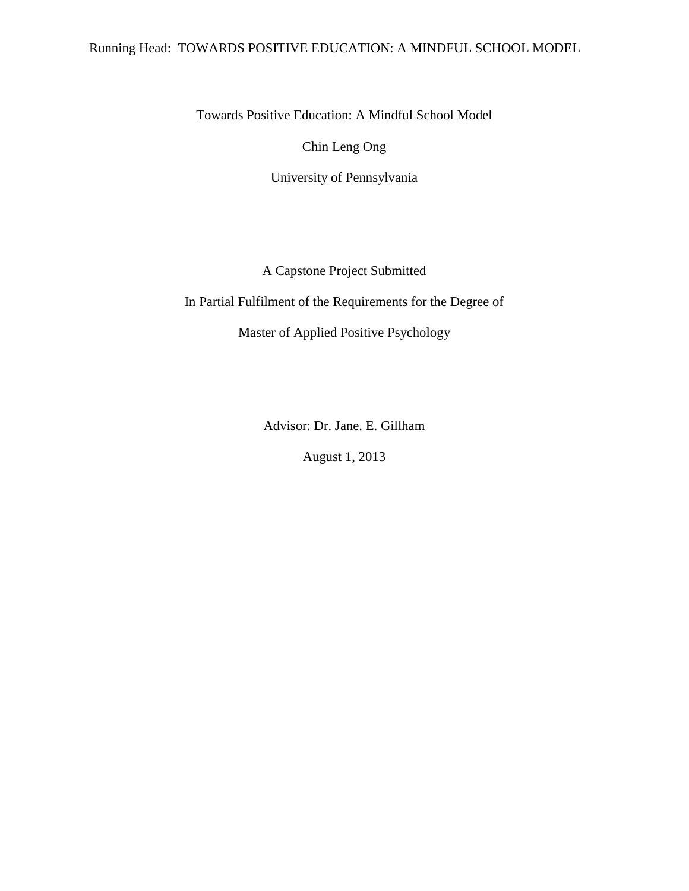## Running Head: TOWARDS POSITIVE EDUCATION: A MINDFUL SCHOOL MODEL

Towards Positive Education: A Mindful School Model

Chin Leng Ong

University of Pennsylvania

A Capstone Project Submitted

In Partial Fulfilment of the Requirements for the Degree of

Master of Applied Positive Psychology

Advisor: Dr. Jane. E. Gillham

August 1, 2013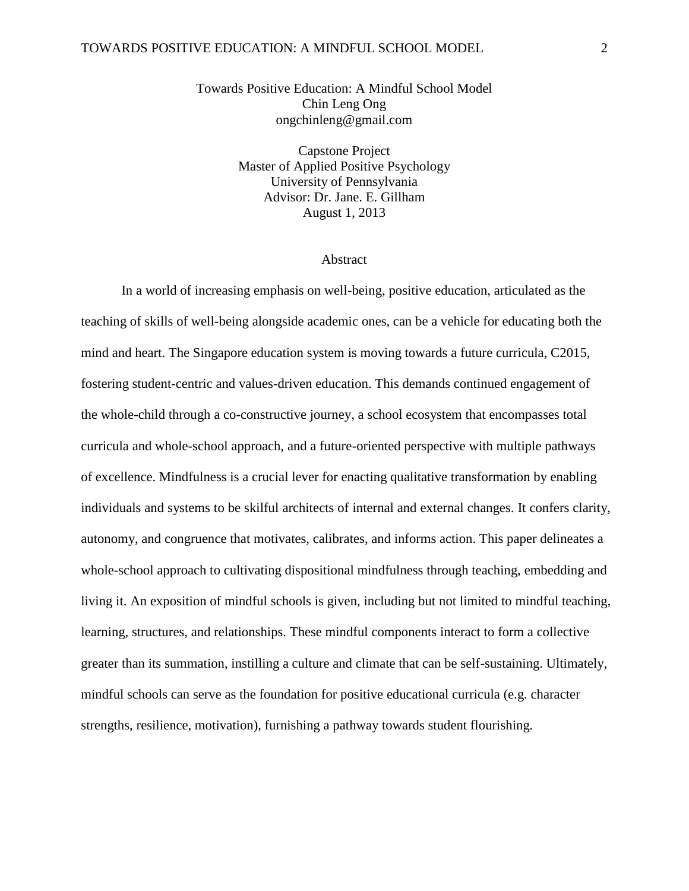Capstone Project Master of Applied Positive Psychology University of Pennsylvania Advisor: Dr. Jane. E. Gillham August 1, 2013

#### **Abstract**

In a world of increasing emphasis on well-being, positive education, articulated as the teaching of skills of well-being alongside academic ones, can be a vehicle for educating both the mind and heart. The Singapore education system is moving towards a future curricula, C2015, fostering student-centric and values-driven education. This demands continued engagement of the whole-child through a co-constructive journey, a school ecosystem that encompasses total curricula and whole-school approach, and a future-oriented perspective with multiple pathways of excellence. Mindfulness is a crucial lever for enacting qualitative transformation by enabling individuals and systems to be skilful architects of internal and external changes. It confers clarity, autonomy, and congruence that motivates, calibrates, and informs action. This paper delineates a whole-school approach to cultivating dispositional mindfulness through teaching, embedding and living it. An exposition of mindful schools is given, including but not limited to mindful teaching, learning, structures, and relationships. These mindful components interact to form a collective greater than its summation, instilling a culture and climate that can be self-sustaining. Ultimately, mindful schools can serve as the foundation for positive educational curricula (e.g. character strengths, resilience, motivation), furnishing a pathway towards student flourishing.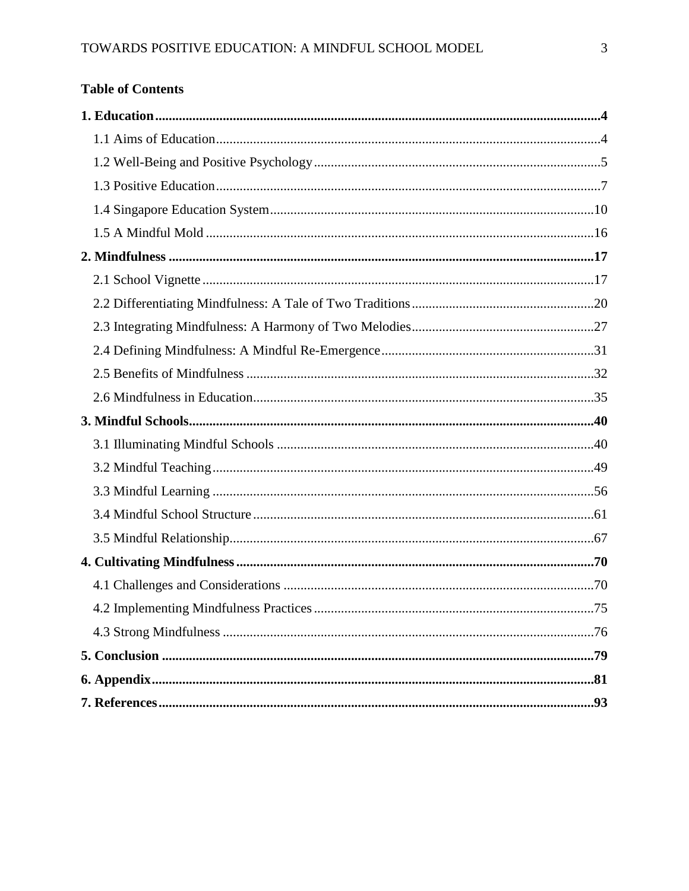## **Table of Contents**

| .75 |
|-----|
|     |
|     |
|     |
|     |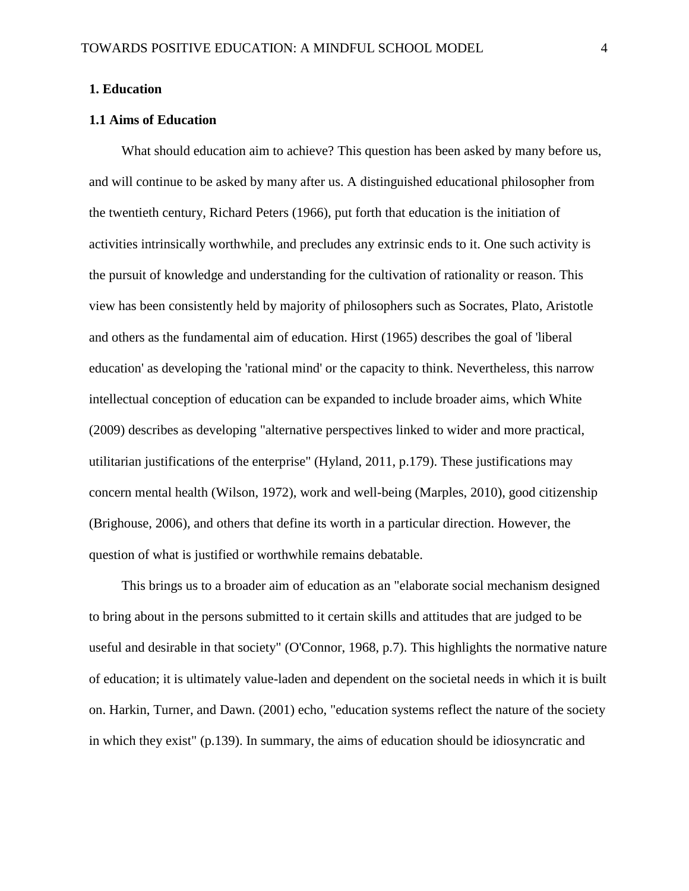#### **1. Education**

#### **1.1 Aims of Education**

What should education aim to achieve? This question has been asked by many before us, and will continue to be asked by many after us. A distinguished educational philosopher from the twentieth century, Richard Peters (1966), put forth that education is the initiation of activities intrinsically worthwhile, and precludes any extrinsic ends to it. One such activity is the pursuit of knowledge and understanding for the cultivation of rationality or reason. This view has been consistently held by majority of philosophers such as Socrates, Plato, Aristotle and others as the fundamental aim of education. Hirst (1965) describes the goal of 'liberal education' as developing the 'rational mind' or the capacity to think. Nevertheless, this narrow intellectual conception of education can be expanded to include broader aims, which White (2009) describes as developing "alternative perspectives linked to wider and more practical, utilitarian justifications of the enterprise" (Hyland, 2011, p.179). These justifications may concern mental health (Wilson, 1972), work and well-being (Marples, 2010), good citizenship (Brighouse, 2006), and others that define its worth in a particular direction. However, the question of what is justified or worthwhile remains debatable.

This brings us to a broader aim of education as an "elaborate social mechanism designed to bring about in the persons submitted to it certain skills and attitudes that are judged to be useful and desirable in that society" (O'Connor, 1968, p.7). This highlights the normative nature of education; it is ultimately value-laden and dependent on the societal needs in which it is built on. Harkin, Turner, and Dawn. (2001) echo, "education systems reflect the nature of the society in which they exist" (p.139). In summary, the aims of education should be idiosyncratic and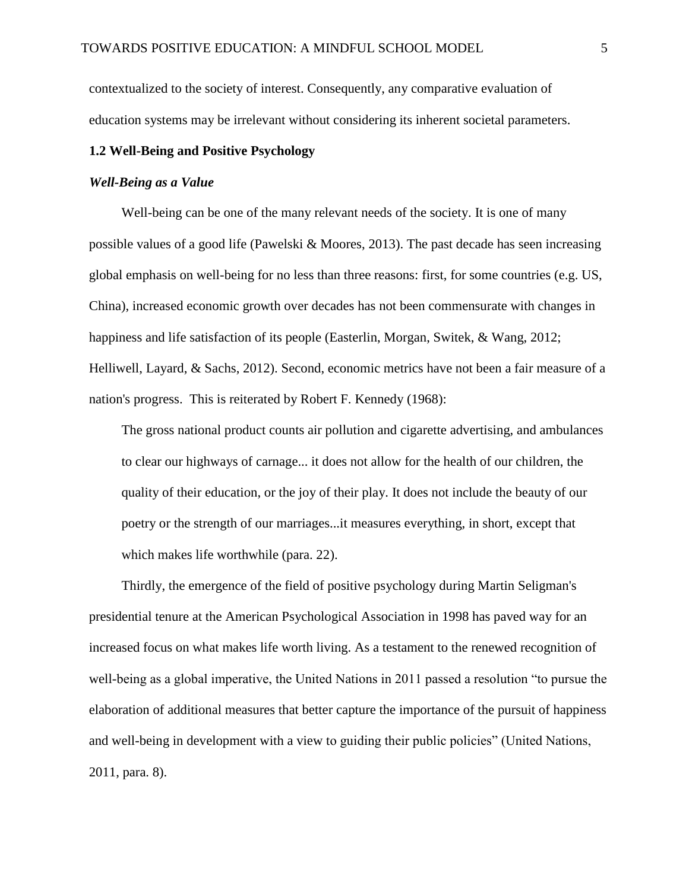contextualized to the society of interest. Consequently, any comparative evaluation of education systems may be irrelevant without considering its inherent societal parameters.

#### **1.2 Well-Being and Positive Psychology**

#### *Well-Being as a Value*

Well-being can be one of the many relevant needs of the society. It is one of many possible values of a good life (Pawelski & Moores, 2013). The past decade has seen increasing global emphasis on well-being for no less than three reasons: first, for some countries (e.g. US, China), increased economic growth over decades has not been commensurate with changes in happiness and life satisfaction of its people (Easterlin, Morgan, Switek, & Wang, 2012; Helliwell, Layard, & Sachs, 2012). Second, economic metrics have not been a fair measure of a nation's progress. This is reiterated by Robert F. Kennedy (1968):

The gross national product counts air pollution and cigarette advertising, and ambulances to clear our highways of carnage... it does not allow for the health of our children, the quality of their education, or the joy of their play. It does not include the beauty of our poetry or the strength of our marriages...it measures everything, in short, except that which makes life worthwhile (para. 22).

Thirdly, the emergence of the field of positive psychology during Martin Seligman's presidential tenure at the American Psychological Association in 1998 has paved way for an increased focus on what makes life worth living. As a testament to the renewed recognition of well-being as a global imperative, the United Nations in 2011 passed a resolution "to pursue the elaboration of additional measures that better capture the importance of the pursuit of happiness and well-being in development with a view to guiding their public policies" (United Nations, 2011, para. 8).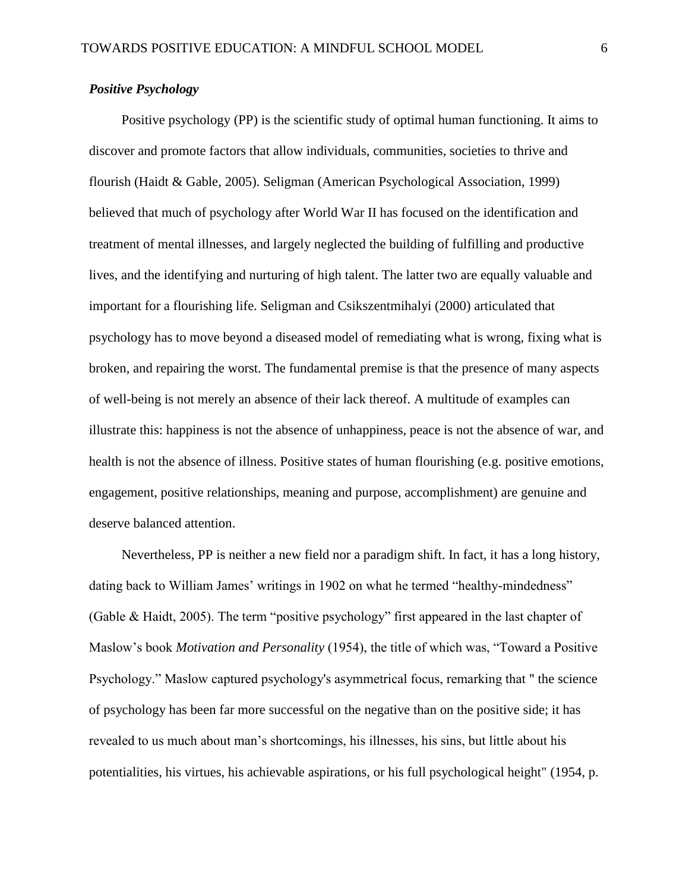## *Positive Psychology*

Positive psychology (PP) is the scientific study of optimal human functioning. It aims to discover and promote factors that allow individuals, communities, societies to thrive and flourish (Haidt & Gable, 2005). Seligman (American Psychological Association, 1999) believed that much of psychology after World War II has focused on the identification and treatment of mental illnesses, and largely neglected the building of fulfilling and productive lives, and the identifying and nurturing of high talent. The latter two are equally valuable and important for a flourishing life. Seligman and Csikszentmihalyi (2000) articulated that psychology has to move beyond a diseased model of remediating what is wrong, fixing what is broken, and repairing the worst. The fundamental premise is that the presence of many aspects of well-being is not merely an absence of their lack thereof. A multitude of examples can illustrate this: happiness is not the absence of unhappiness, peace is not the absence of war, and health is not the absence of illness. Positive states of human flourishing (e.g. positive emotions, engagement, positive relationships, meaning and purpose, accomplishment) are genuine and deserve balanced attention.

Nevertheless, PP is neither a new field nor a paradigm shift. In fact, it has a long history, dating back to William James' writings in 1902 on what he termed "healthy-mindedness" (Gable & Haidt, 2005). The term "positive psychology" first appeared in the last chapter of Maslow's book *Motivation and Personality* (1954), the title of which was, "Toward a Positive Psychology." Maslow captured psychology's asymmetrical focus, remarking that " the science of psychology has been far more successful on the negative than on the positive side; it has revealed to us much about man's shortcomings, his illnesses, his sins, but little about his potentialities, his virtues, his achievable aspirations, or his full psychological height" (1954, p.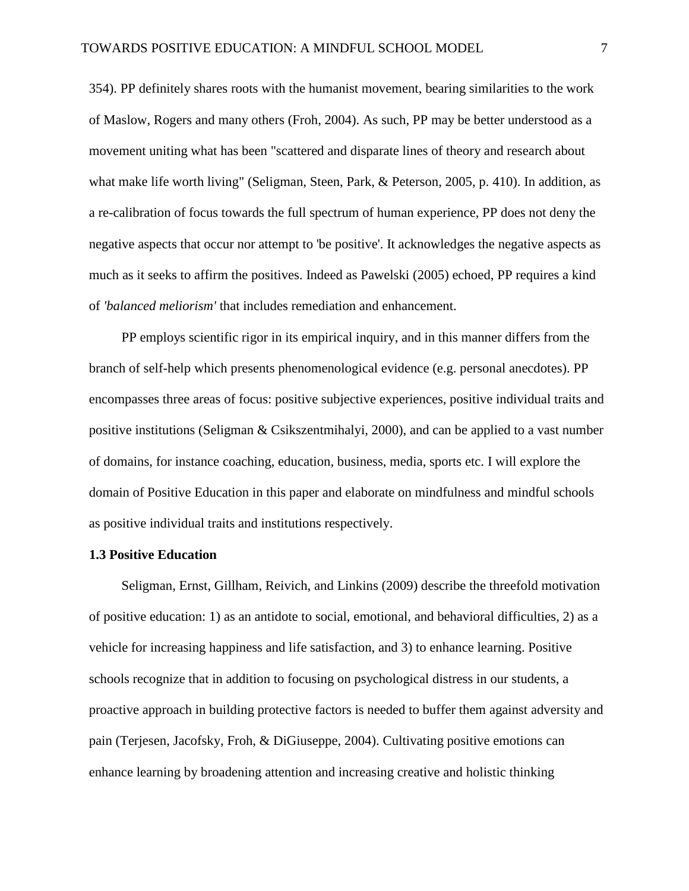354). PP definitely shares roots with the humanist movement, bearing similarities to the work of Maslow, Rogers and many others (Froh, 2004). As such, PP may be better understood as a movement uniting what has been "scattered and disparate lines of theory and research about what make life worth living" (Seligman, Steen, Park, & Peterson, 2005, p. 410). In addition, as a re-calibration of focus towards the full spectrum of human experience, PP does not deny the negative aspects that occur nor attempt to 'be positive'. It acknowledges the negative aspects as much as it seeks to affirm the positives. Indeed as Pawelski (2005) echoed, PP requires a kind of *'balanced meliorism'* that includes remediation and enhancement.

PP employs scientific rigor in its empirical inquiry, and in this manner differs from the branch of self-help which presents phenomenological evidence (e.g. personal anecdotes). PP encompasses three areas of focus: positive subjective experiences, positive individual traits and positive institutions (Seligman & Csikszentmihalyi, 2000), and can be applied to a vast number of domains, for instance coaching, education, business, media, sports etc. I will explore the domain of Positive Education in this paper and elaborate on mindfulness and mindful schools as positive individual traits and institutions respectively.

#### **1.3 Positive Education**

Seligman, Ernst, Gillham, Reivich, and Linkins (2009) describe the threefold motivation of positive education: 1) as an antidote to social, emotional, and behavioral difficulties, 2) as a vehicle for increasing happiness and life satisfaction, and 3) to enhance learning. Positive schools recognize that in addition to focusing on psychological distress in our students, a proactive approach in building protective factors is needed to buffer them against adversity and pain (Terjesen, Jacofsky, Froh, & DiGiuseppe, 2004). Cultivating positive emotions can enhance learning by broadening attention and increasing creative and holistic thinking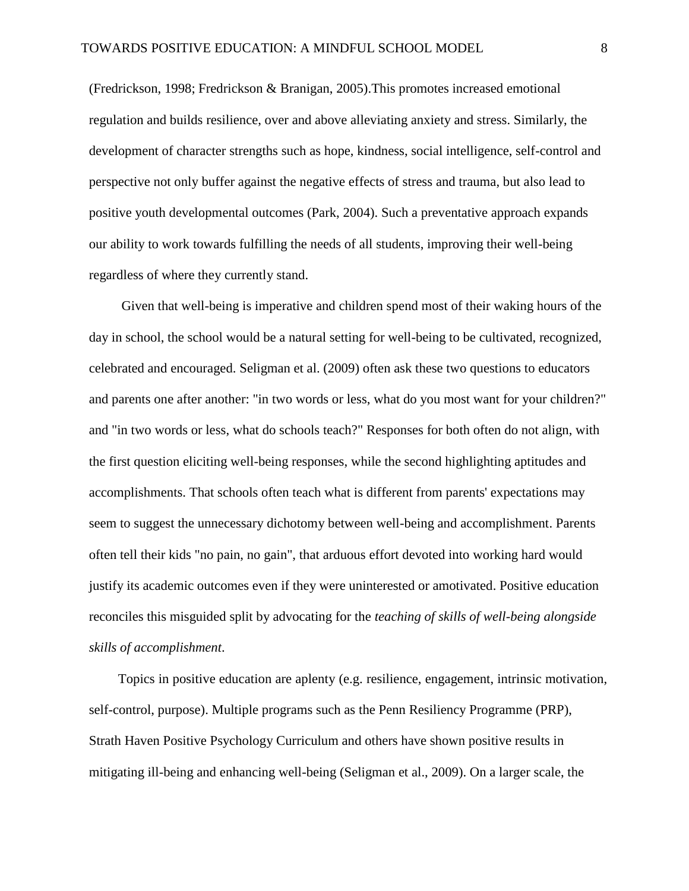(Fredrickson, 1998; Fredrickson & Branigan, 2005).This promotes increased emotional regulation and builds resilience, over and above alleviating anxiety and stress. Similarly, the development of character strengths such as hope, kindness, social intelligence, self-control and perspective not only buffer against the negative effects of stress and trauma, but also lead to positive youth developmental outcomes (Park, 2004). Such a preventative approach expands our ability to work towards fulfilling the needs of all students, improving their well-being regardless of where they currently stand.

Given that well-being is imperative and children spend most of their waking hours of the day in school, the school would be a natural setting for well-being to be cultivated, recognized, celebrated and encouraged. Seligman et al. (2009) often ask these two questions to educators and parents one after another: "in two words or less, what do you most want for your children?" and "in two words or less, what do schools teach?" Responses for both often do not align, with the first question eliciting well-being responses, while the second highlighting aptitudes and accomplishments. That schools often teach what is different from parents' expectations may seem to suggest the unnecessary dichotomy between well-being and accomplishment. Parents often tell their kids "no pain, no gain", that arduous effort devoted into working hard would justify its academic outcomes even if they were uninterested or amotivated. Positive education reconciles this misguided split by advocating for the *teaching of skills of well-being alongside skills of accomplishment*.

Topics in positive education are aplenty (e.g. resilience, engagement, intrinsic motivation, self-control, purpose). Multiple programs such as the Penn Resiliency Programme (PRP), Strath Haven Positive Psychology Curriculum and others have shown positive results in mitigating ill-being and enhancing well-being (Seligman et al., 2009). On a larger scale, the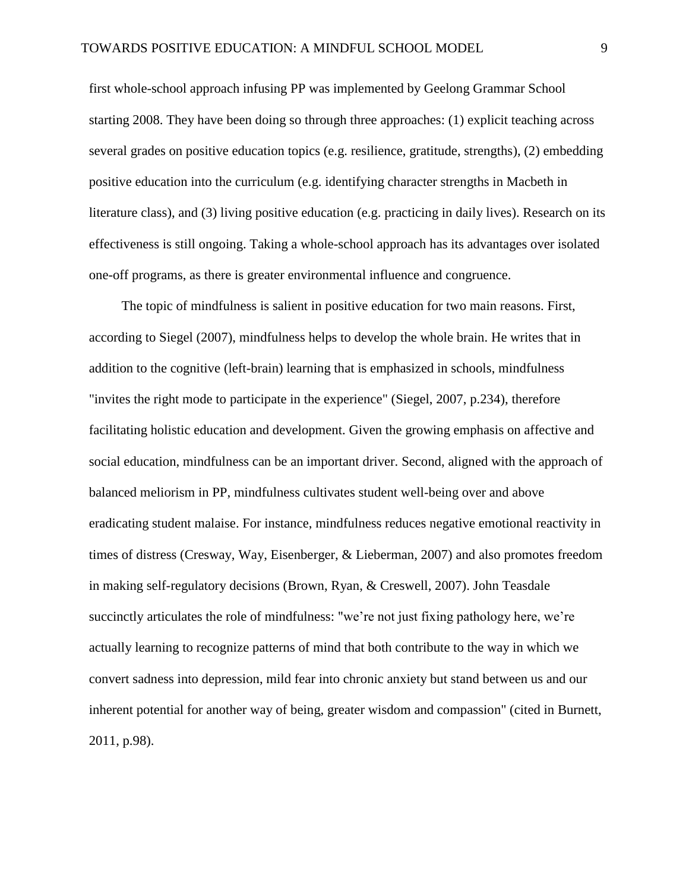first whole-school approach infusing PP was implemented by Geelong Grammar School starting 2008. They have been doing so through three approaches: (1) explicit teaching across several grades on positive education topics (e.g. resilience, gratitude, strengths), (2) embedding positive education into the curriculum (e.g. identifying character strengths in Macbeth in literature class), and (3) living positive education (e.g. practicing in daily lives). Research on its effectiveness is still ongoing. Taking a whole-school approach has its advantages over isolated one-off programs, as there is greater environmental influence and congruence.

The topic of mindfulness is salient in positive education for two main reasons. First, according to Siegel (2007), mindfulness helps to develop the whole brain. He writes that in addition to the cognitive (left-brain) learning that is emphasized in schools, mindfulness "invites the right mode to participate in the experience" (Siegel, 2007, p.234), therefore facilitating holistic education and development. Given the growing emphasis on affective and social education, mindfulness can be an important driver. Second, aligned with the approach of balanced meliorism in PP, mindfulness cultivates student well-being over and above eradicating student malaise. For instance, mindfulness reduces negative emotional reactivity in times of distress (Cresway, Way, Eisenberger, & Lieberman, 2007) and also promotes freedom in making self-regulatory decisions (Brown, Ryan, & Creswell, 2007). John Teasdale succinctly articulates the role of mindfulness: "we're not just fixing pathology here, we're actually learning to recognize patterns of mind that both contribute to the way in which we convert sadness into depression, mild fear into chronic anxiety but stand between us and our inherent potential for another way of being, greater wisdom and compassion" (cited in Burnett, 2011, p.98).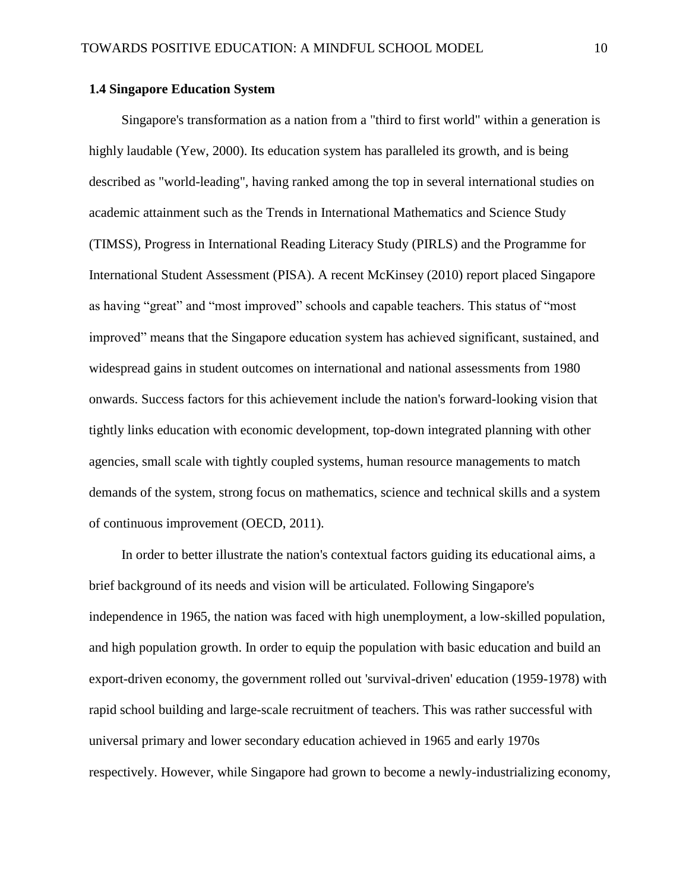#### **1.4 Singapore Education System**

Singapore's transformation as a nation from a "third to first world" within a generation is highly laudable (Yew, 2000). Its education system has paralleled its growth, and is being described as "world-leading", having ranked among the top in several international studies on academic attainment such as the Trends in International Mathematics and Science Study (TIMSS), Progress in International Reading Literacy Study (PIRLS) and the Programme for International Student Assessment (PISA). A recent McKinsey (2010) report placed Singapore as having "great" and "most improved" schools and capable teachers. This status of "most improved" means that the Singapore education system has achieved significant, sustained, and widespread gains in student outcomes on international and national assessments from 1980 onwards. Success factors for this achievement include the nation's forward-looking vision that tightly links education with economic development, top-down integrated planning with other agencies, small scale with tightly coupled systems, human resource managements to match demands of the system, strong focus on mathematics, science and technical skills and a system of continuous improvement (OECD, 2011).

In order to better illustrate the nation's contextual factors guiding its educational aims, a brief background of its needs and vision will be articulated. Following Singapore's independence in 1965, the nation was faced with high unemployment, a low-skilled population, and high population growth. In order to equip the population with basic education and build an export-driven economy, the government rolled out 'survival-driven' education (1959-1978) with rapid school building and large-scale recruitment of teachers. This was rather successful with universal primary and lower secondary education achieved in 1965 and early 1970s respectively. However, while Singapore had grown to become a newly-industrializing economy,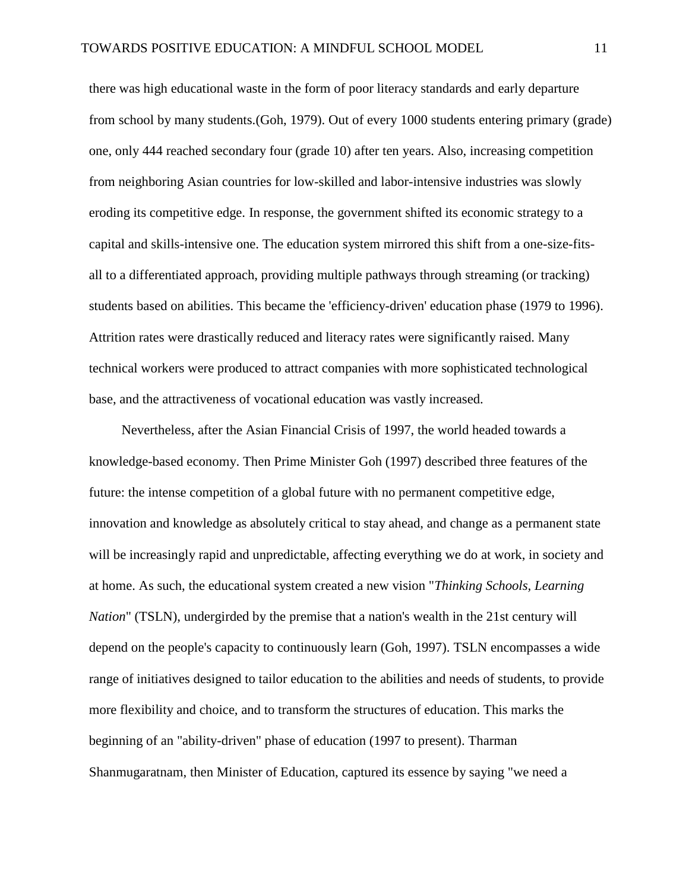there was high educational waste in the form of poor literacy standards and early departure from school by many students.(Goh, 1979). Out of every 1000 students entering primary (grade) one, only 444 reached secondary four (grade 10) after ten years. Also, increasing competition from neighboring Asian countries for low-skilled and labor-intensive industries was slowly eroding its competitive edge. In response, the government shifted its economic strategy to a capital and skills-intensive one. The education system mirrored this shift from a one-size-fitsall to a differentiated approach, providing multiple pathways through streaming (or tracking) students based on abilities. This became the 'efficiency-driven' education phase (1979 to 1996). Attrition rates were drastically reduced and literacy rates were significantly raised. Many technical workers were produced to attract companies with more sophisticated technological base, and the attractiveness of vocational education was vastly increased.

Nevertheless, after the Asian Financial Crisis of 1997, the world headed towards a knowledge-based economy. Then Prime Minister Goh (1997) described three features of the future: the intense competition of a global future with no permanent competitive edge, innovation and knowledge as absolutely critical to stay ahead, and change as a permanent state will be increasingly rapid and unpredictable, affecting everything we do at work, in society and at home. As such, the educational system created a new vision "*Thinking Schools, Learning Nation*" (TSLN), undergirded by the premise that a nation's wealth in the 21st century will depend on the people's capacity to continuously learn (Goh, 1997). TSLN encompasses a wide range of initiatives designed to tailor education to the abilities and needs of students, to provide more flexibility and choice, and to transform the structures of education. This marks the beginning of an "ability-driven" phase of education (1997 to present). Tharman Shanmugaratnam, then Minister of Education, captured its essence by saying "we need a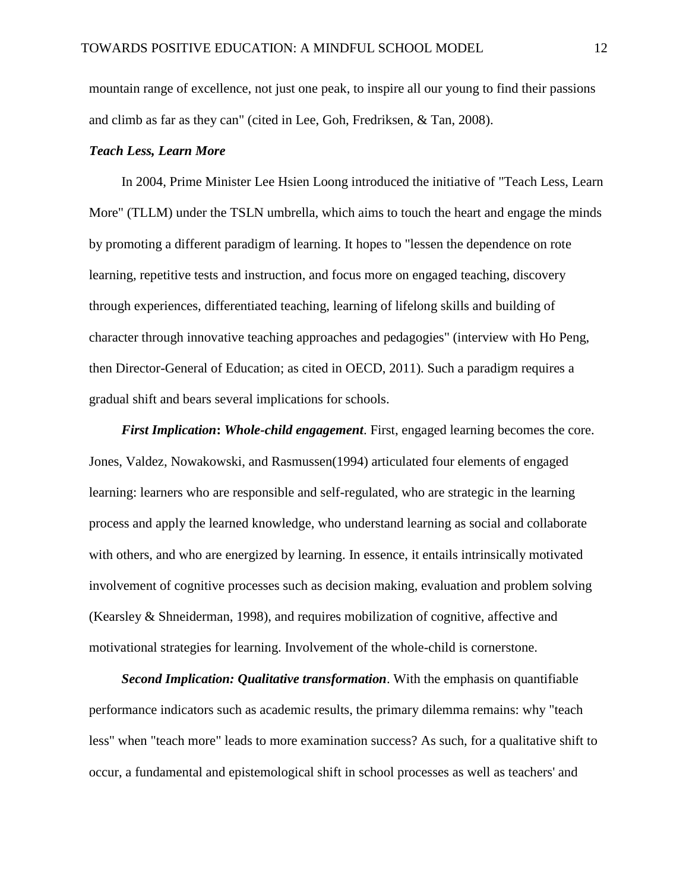mountain range of excellence, not just one peak, to inspire all our young to find their passions and climb as far as they can" (cited in Lee, Goh, Fredriksen, & Tan, 2008).

#### *Teach Less, Learn More*

In 2004, Prime Minister Lee Hsien Loong introduced the initiative of "Teach Less, Learn More" (TLLM) under the TSLN umbrella, which aims to touch the heart and engage the minds by promoting a different paradigm of learning. It hopes to "lessen the dependence on rote learning, repetitive tests and instruction, and focus more on engaged teaching, discovery through experiences, differentiated teaching, learning of lifelong skills and building of character through innovative teaching approaches and pedagogies" (interview with Ho Peng, then Director-General of Education; as cited in OECD, 2011). Such a paradigm requires a gradual shift and bears several implications for schools.

*First Implication***:** *Whole-child engagement*. First, engaged learning becomes the core. Jones, Valdez, Nowakowski, and Rasmussen(1994) articulated four elements of engaged learning: learners who are responsible and self-regulated, who are strategic in the learning process and apply the learned knowledge, who understand learning as social and collaborate with others, and who are energized by learning. In essence, it entails intrinsically motivated involvement of cognitive processes such as decision making, evaluation and problem solving (Kearsley & Shneiderman, 1998), and requires mobilization of cognitive, affective and motivational strategies for learning. Involvement of the whole-child is cornerstone.

*Second Implication: Qualitative transformation*. With the emphasis on quantifiable performance indicators such as academic results, the primary dilemma remains: why "teach less" when "teach more" leads to more examination success? As such, for a qualitative shift to occur, a fundamental and epistemological shift in school processes as well as teachers' and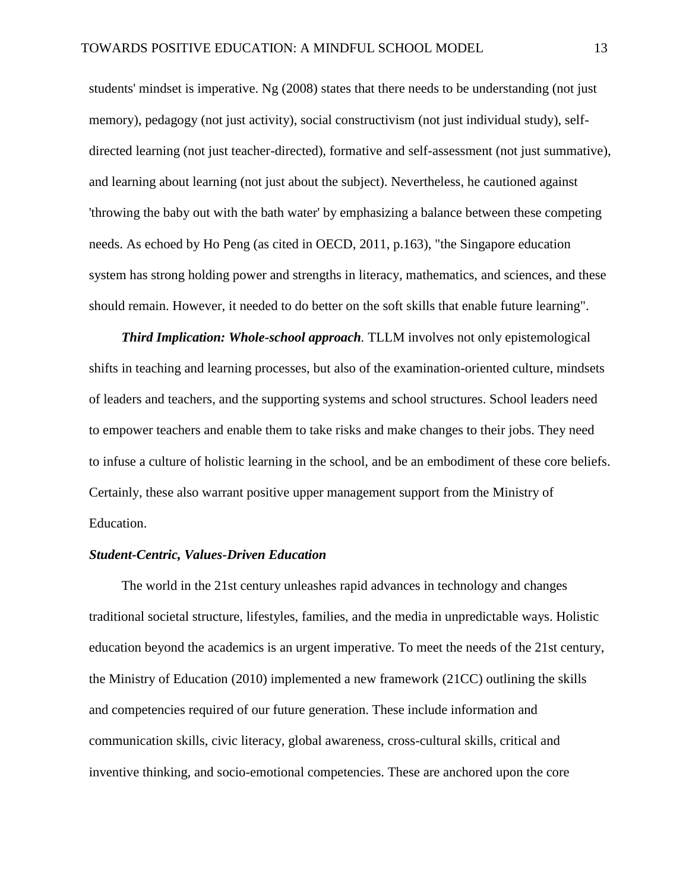students' mindset is imperative. Ng (2008) states that there needs to be understanding (not just memory), pedagogy (not just activity), social constructivism (not just individual study), selfdirected learning (not just teacher-directed), formative and self-assessment (not just summative), and learning about learning (not just about the subject). Nevertheless, he cautioned against 'throwing the baby out with the bath water' by emphasizing a balance between these competing needs. As echoed by Ho Peng (as cited in OECD, 2011, p.163), "the Singapore education system has strong holding power and strengths in literacy, mathematics, and sciences, and these should remain. However, it needed to do better on the soft skills that enable future learning".

*Third Implication: Whole-school approach.* TLLM involves not only epistemological shifts in teaching and learning processes, but also of the examination-oriented culture, mindsets of leaders and teachers, and the supporting systems and school structures. School leaders need to empower teachers and enable them to take risks and make changes to their jobs. They need to infuse a culture of holistic learning in the school, and be an embodiment of these core beliefs. Certainly, these also warrant positive upper management support from the Ministry of Education.

#### *Student-Centric, Values-Driven Education*

The world in the 21st century unleashes rapid advances in technology and changes traditional societal structure, lifestyles, families, and the media in unpredictable ways. Holistic education beyond the academics is an urgent imperative. To meet the needs of the 21st century, the Ministry of Education (2010) implemented a new framework (21CC) outlining the skills and competencies required of our future generation. These include information and communication skills, civic literacy, global awareness, cross-cultural skills, critical and inventive thinking, and socio-emotional competencies. These are anchored upon the core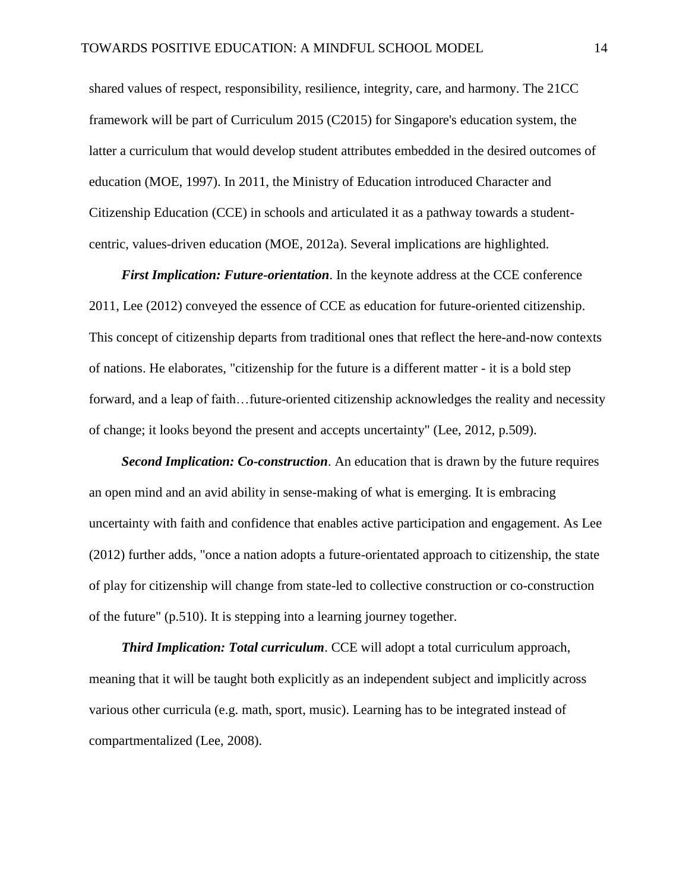shared values of respect, responsibility, resilience, integrity, care, and harmony. The 21CC framework will be part of Curriculum 2015 (C2015) for Singapore's education system, the latter a curriculum that would develop student attributes embedded in the desired outcomes of education (MOE, 1997). In 2011, the Ministry of Education introduced Character and Citizenship Education (CCE) in schools and articulated it as a pathway towards a studentcentric, values-driven education (MOE, 2012a). Several implications are highlighted.

*First Implication: Future-orientation*. In the keynote address at the CCE conference 2011, Lee (2012) conveyed the essence of CCE as education for future-oriented citizenship. This concept of citizenship departs from traditional ones that reflect the here-and-now contexts of nations. He elaborates, "citizenship for the future is a different matter - it is a bold step forward, and a leap of faith…future-oriented citizenship acknowledges the reality and necessity of change; it looks beyond the present and accepts uncertainty" (Lee, 2012, p.509).

*Second Implication: Co-construction*. An education that is drawn by the future requires an open mind and an avid ability in sense-making of what is emerging. It is embracing uncertainty with faith and confidence that enables active participation and engagement. As Lee (2012) further adds, "once a nation adopts a future-orientated approach to citizenship, the state of play for citizenship will change from state-led to collective construction or co-construction of the future" (p.510). It is stepping into a learning journey together.

*Third Implication: Total curriculum*. CCE will adopt a total curriculum approach, meaning that it will be taught both explicitly as an independent subject and implicitly across various other curricula (e.g. math, sport, music). Learning has to be integrated instead of compartmentalized (Lee, 2008).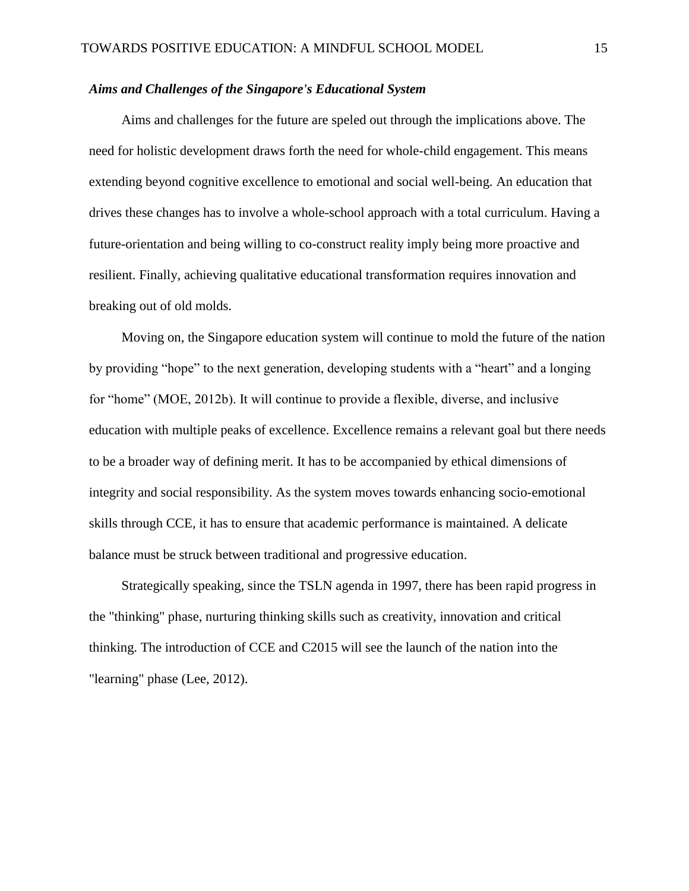## *Aims and Challenges of the Singapore's Educational System*

Aims and challenges for the future are speled out through the implications above. The need for holistic development draws forth the need for whole-child engagement. This means extending beyond cognitive excellence to emotional and social well-being. An education that drives these changes has to involve a whole-school approach with a total curriculum. Having a future-orientation and being willing to co-construct reality imply being more proactive and resilient. Finally, achieving qualitative educational transformation requires innovation and breaking out of old molds.

Moving on, the Singapore education system will continue to mold the future of the nation by providing "hope" to the next generation, developing students with a "heart" and a longing for "home" (MOE, 2012b). It will continue to provide a flexible, diverse, and inclusive education with multiple peaks of excellence. Excellence remains a relevant goal but there needs to be a broader way of defining merit. It has to be accompanied by ethical dimensions of integrity and social responsibility. As the system moves towards enhancing socio-emotional skills through CCE, it has to ensure that academic performance is maintained. A delicate balance must be struck between traditional and progressive education.

Strategically speaking, since the TSLN agenda in 1997, there has been rapid progress in the "thinking" phase, nurturing thinking skills such as creativity, innovation and critical thinking. The introduction of CCE and C2015 will see the launch of the nation into the "learning" phase (Lee, 2012).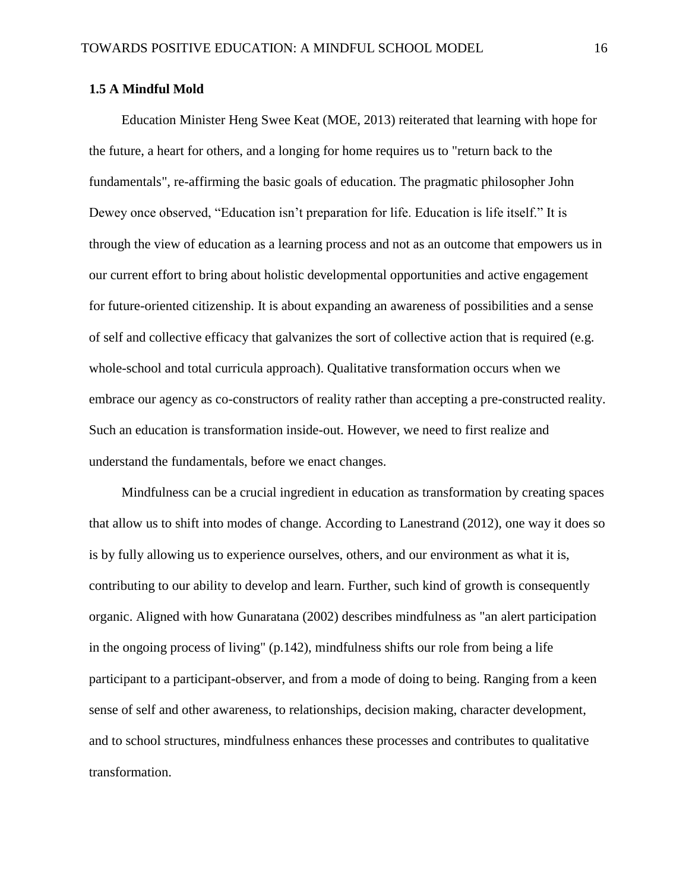#### **1.5 A Mindful Mold**

Education Minister Heng Swee Keat (MOE, 2013) reiterated that learning with hope for the future, a heart for others, and a longing for home requires us to "return back to the fundamentals", re-affirming the basic goals of education. The pragmatic philosopher John Dewey once observed, "Education isn't preparation for life. Education is life itself." It is through the view of education as a learning process and not as an outcome that empowers us in our current effort to bring about holistic developmental opportunities and active engagement for future-oriented citizenship. It is about expanding an awareness of possibilities and a sense of self and collective efficacy that galvanizes the sort of collective action that is required (e.g. whole-school and total curricula approach). Qualitative transformation occurs when we embrace our agency as co-constructors of reality rather than accepting a pre-constructed reality. Such an education is transformation inside-out. However, we need to first realize and understand the fundamentals, before we enact changes.

Mindfulness can be a crucial ingredient in education as transformation by creating spaces that allow us to shift into modes of change. According to Lanestrand (2012), one way it does so is by fully allowing us to experience ourselves, others, and our environment as what it is, contributing to our ability to develop and learn. Further, such kind of growth is consequently organic. Aligned with how Gunaratana (2002) describes mindfulness as "an alert participation in the ongoing process of living" (p.142), mindfulness shifts our role from being a life participant to a participant-observer, and from a mode of doing to being. Ranging from a keen sense of self and other awareness, to relationships, decision making, character development, and to school structures, mindfulness enhances these processes and contributes to qualitative transformation.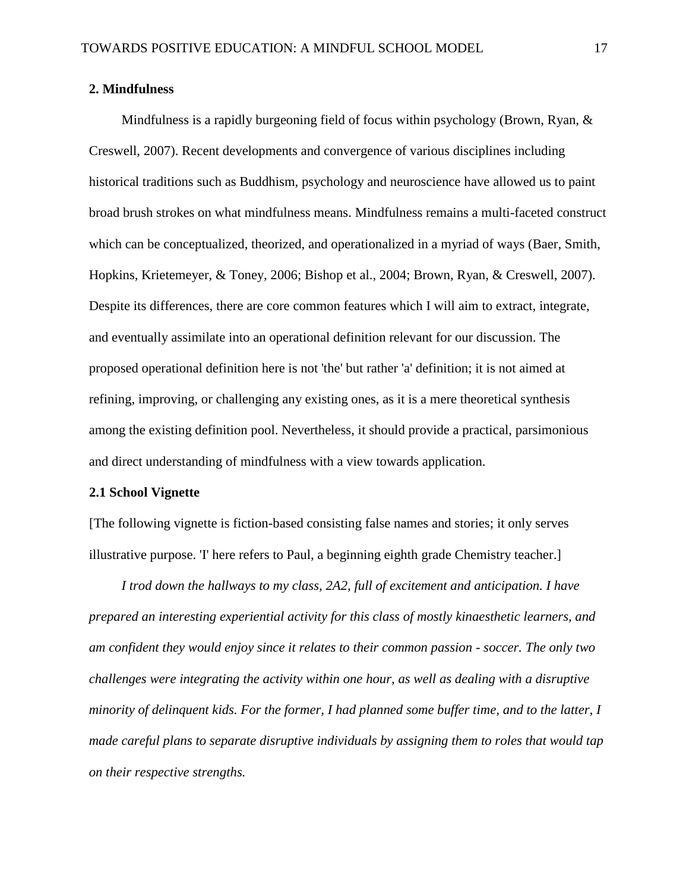#### **2. Mindfulness**

Mindfulness is a rapidly burgeoning field of focus within psychology (Brown, Ryan,  $\&$ Creswell, 2007). Recent developments and convergence of various disciplines including historical traditions such as Buddhism, psychology and neuroscience have allowed us to paint broad brush strokes on what mindfulness means. Mindfulness remains a multi-faceted construct which can be conceptualized, theorized, and operationalized in a myriad of ways (Baer, Smith, Hopkins, Krietemeyer, & Toney, 2006; Bishop et al., 2004; Brown, Ryan, & Creswell, 2007). Despite its differences, there are core common features which I will aim to extract, integrate, and eventually assimilate into an operational definition relevant for our discussion. The proposed operational definition here is not 'the' but rather 'a' definition; it is not aimed at refining, improving, or challenging any existing ones, as it is a mere theoretical synthesis among the existing definition pool. Nevertheless, it should provide a practical, parsimonious and direct understanding of mindfulness with a view towards application.

#### **2.1 School Vignette**

[The following vignette is fiction-based consisting false names and stories; it only serves illustrative purpose. 'I' here refers to Paul, a beginning eighth grade Chemistry teacher.]

*I trod down the hallways to my class, 2A2, full of excitement and anticipation. I have prepared an interesting experiential activity for this class of mostly kinaesthetic learners, and am confident they would enjoy since it relates to their common passion - soccer. The only two challenges were integrating the activity within one hour, as well as dealing with a disruptive minority of delinquent kids. For the former, I had planned some buffer time, and to the latter, I made careful plans to separate disruptive individuals by assigning them to roles that would tap on their respective strengths.*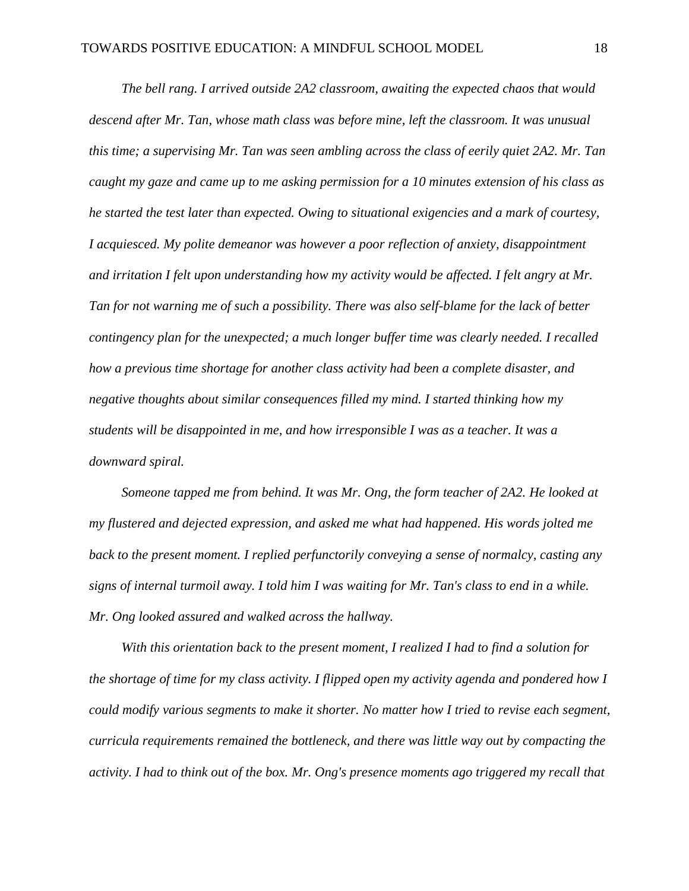*The bell rang. I arrived outside 2A2 classroom, awaiting the expected chaos that would descend after Mr. Tan, whose math class was before mine, left the classroom. It was unusual this time; a supervising Mr. Tan was seen ambling across the class of eerily quiet 2A2. Mr. Tan caught my gaze and came up to me asking permission for a 10 minutes extension of his class as he started the test later than expected. Owing to situational exigencies and a mark of courtesy, I acquiesced. My polite demeanor was however a poor reflection of anxiety, disappointment and irritation I felt upon understanding how my activity would be affected. I felt angry at Mr. Tan for not warning me of such a possibility. There was also self-blame for the lack of better contingency plan for the unexpected; a much longer buffer time was clearly needed. I recalled how a previous time shortage for another class activity had been a complete disaster, and negative thoughts about similar consequences filled my mind. I started thinking how my students will be disappointed in me, and how irresponsible I was as a teacher. It was a downward spiral.*

*Someone tapped me from behind. It was Mr. Ong, the form teacher of 2A2. He looked at my flustered and dejected expression, and asked me what had happened. His words jolted me back to the present moment. I replied perfunctorily conveying a sense of normalcy, casting any signs of internal turmoil away. I told him I was waiting for Mr. Tan's class to end in a while. Mr. Ong looked assured and walked across the hallway.*

*With this orientation back to the present moment, I realized I had to find a solution for the shortage of time for my class activity. I flipped open my activity agenda and pondered how I could modify various segments to make it shorter. No matter how I tried to revise each segment, curricula requirements remained the bottleneck, and there was little way out by compacting the activity. I had to think out of the box. Mr. Ong's presence moments ago triggered my recall that*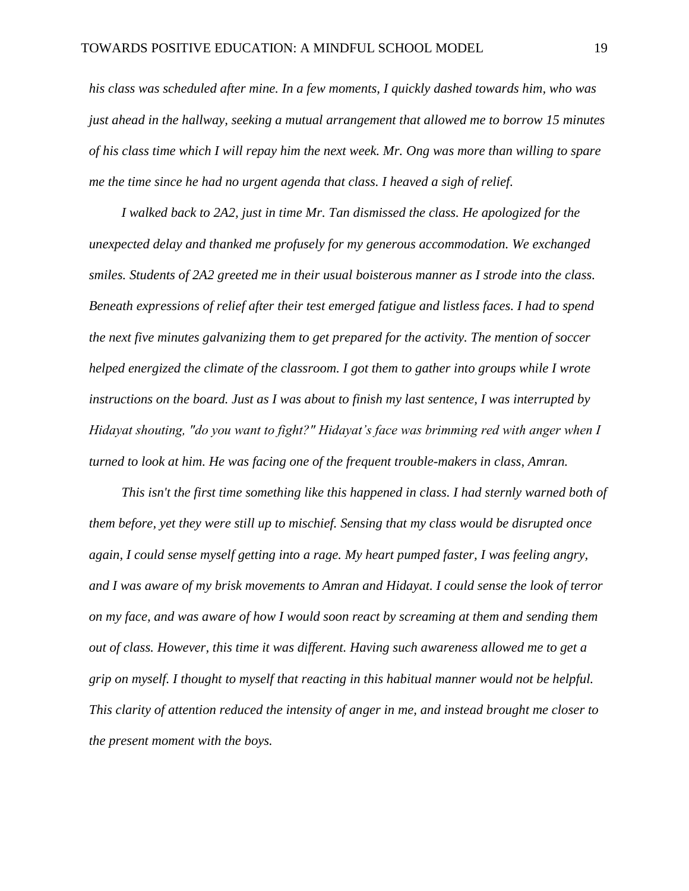*his class was scheduled after mine. In a few moments, I quickly dashed towards him, who was just ahead in the hallway, seeking a mutual arrangement that allowed me to borrow 15 minutes of his class time which I will repay him the next week. Mr. Ong was more than willing to spare me the time since he had no urgent agenda that class. I heaved a sigh of relief.*

*I walked back to 2A2, just in time Mr. Tan dismissed the class. He apologized for the unexpected delay and thanked me profusely for my generous accommodation. We exchanged smiles. Students of 2A2 greeted me in their usual boisterous manner as I strode into the class. Beneath expressions of relief after their test emerged fatigue and listless faces. I had to spend the next five minutes galvanizing them to get prepared for the activity. The mention of soccer helped energized the climate of the classroom. I got them to gather into groups while I wrote instructions on the board. Just as I was about to finish my last sentence, I was interrupted by Hidayat shouting, "do you want to fight?" Hidayat's face was brimming red with anger when I turned to look at him. He was facing one of the frequent trouble-makers in class, Amran.* 

*This isn't the first time something like this happened in class. I had sternly warned both of them before, yet they were still up to mischief. Sensing that my class would be disrupted once again, I could sense myself getting into a rage. My heart pumped faster, I was feeling angry, and I was aware of my brisk movements to Amran and Hidayat. I could sense the look of terror on my face, and was aware of how I would soon react by screaming at them and sending them out of class. However, this time it was different. Having such awareness allowed me to get a grip on myself. I thought to myself that reacting in this habitual manner would not be helpful. This clarity of attention reduced the intensity of anger in me, and instead brought me closer to the present moment with the boys.*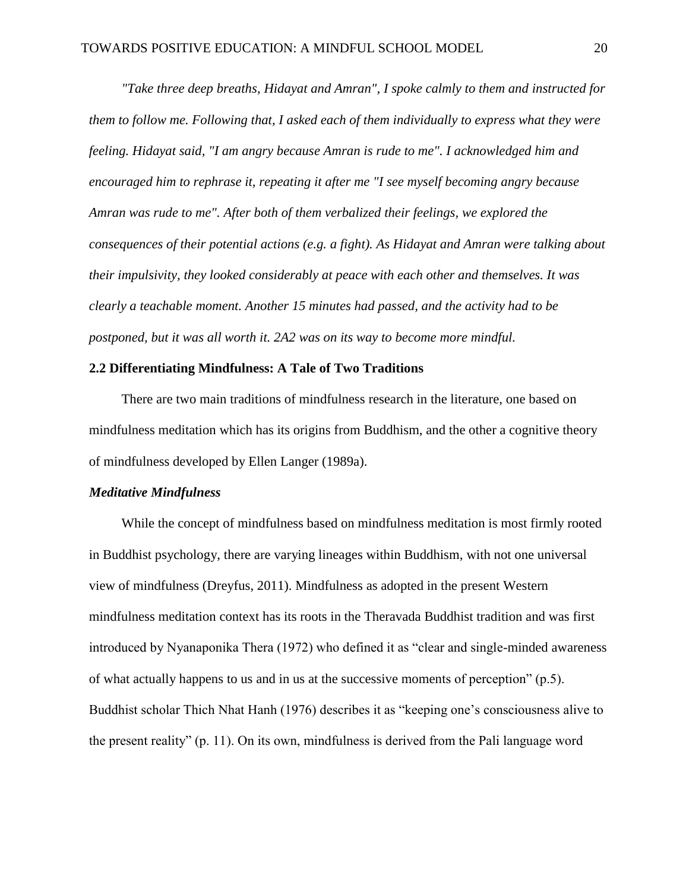*"Take three deep breaths, Hidayat and Amran", I spoke calmly to them and instructed for them to follow me. Following that, I asked each of them individually to express what they were feeling. Hidayat said, "I am angry because Amran is rude to me". I acknowledged him and encouraged him to rephrase it, repeating it after me "I see myself becoming angry because Amran was rude to me". After both of them verbalized their feelings, we explored the consequences of their potential actions (e.g. a fight). As Hidayat and Amran were talking about their impulsivity, they looked considerably at peace with each other and themselves. It was clearly a teachable moment. Another 15 minutes had passed, and the activity had to be postponed, but it was all worth it. 2A2 was on its way to become more mindful.*

#### **2.2 Differentiating Mindfulness: A Tale of Two Traditions**

There are two main traditions of mindfulness research in the literature, one based on mindfulness meditation which has its origins from Buddhism, and the other a cognitive theory of mindfulness developed by Ellen Langer (1989a).

#### *Meditative Mindfulness*

While the concept of mindfulness based on mindfulness meditation is most firmly rooted in Buddhist psychology, there are varying lineages within Buddhism, with not one universal view of mindfulness (Dreyfus, 2011). Mindfulness as adopted in the present Western mindfulness meditation context has its roots in the Theravada Buddhist tradition and was first introduced by Nyanaponika Thera (1972) who defined it as "clear and single-minded awareness of what actually happens to us and in us at the successive moments of perception" (p.5). Buddhist scholar Thich Nhat Hanh (1976) describes it as "keeping one's consciousness alive to the present reality" (p. 11). On its own, mindfulness is derived from the Pali language word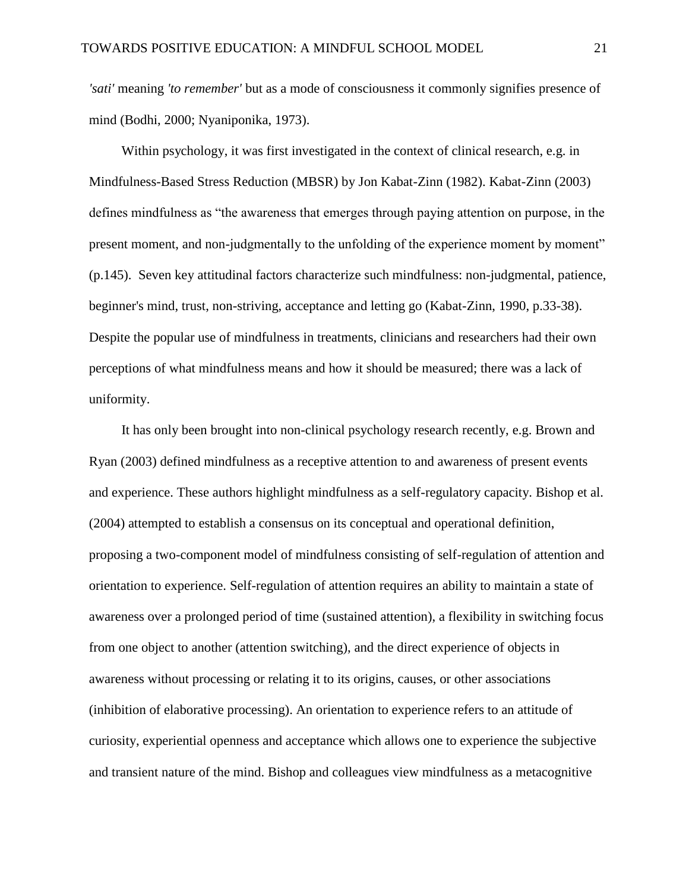*'sati'* meaning *'to remember'* but as a mode of consciousness it commonly signifies presence of mind (Bodhi, 2000; Nyaniponika, 1973).

Within psychology, it was first investigated in the context of clinical research, e.g. in Mindfulness-Based Stress Reduction (MBSR) by Jon Kabat-Zinn (1982). Kabat-Zinn (2003) defines mindfulness as "the awareness that emerges through paying attention on purpose, in the present moment, and non-judgmentally to the unfolding of the experience moment by moment" (p.145). Seven key attitudinal factors characterize such mindfulness: non-judgmental, patience, beginner's mind, trust, non-striving, acceptance and letting go (Kabat-Zinn, 1990, p.33-38). Despite the popular use of mindfulness in treatments, clinicians and researchers had their own perceptions of what mindfulness means and how it should be measured; there was a lack of uniformity.

It has only been brought into non-clinical psychology research recently, e.g. Brown and Ryan (2003) defined mindfulness as a receptive attention to and awareness of present events and experience. These authors highlight mindfulness as a self-regulatory capacity. Bishop et al. (2004) attempted to establish a consensus on its conceptual and operational definition, proposing a two-component model of mindfulness consisting of self-regulation of attention and orientation to experience. Self-regulation of attention requires an ability to maintain a state of awareness over a prolonged period of time (sustained attention), a flexibility in switching focus from one object to another (attention switching), and the direct experience of objects in awareness without processing or relating it to its origins, causes, or other associations (inhibition of elaborative processing). An orientation to experience refers to an attitude of curiosity, experiential openness and acceptance which allows one to experience the subjective and transient nature of the mind. Bishop and colleagues view mindfulness as a metacognitive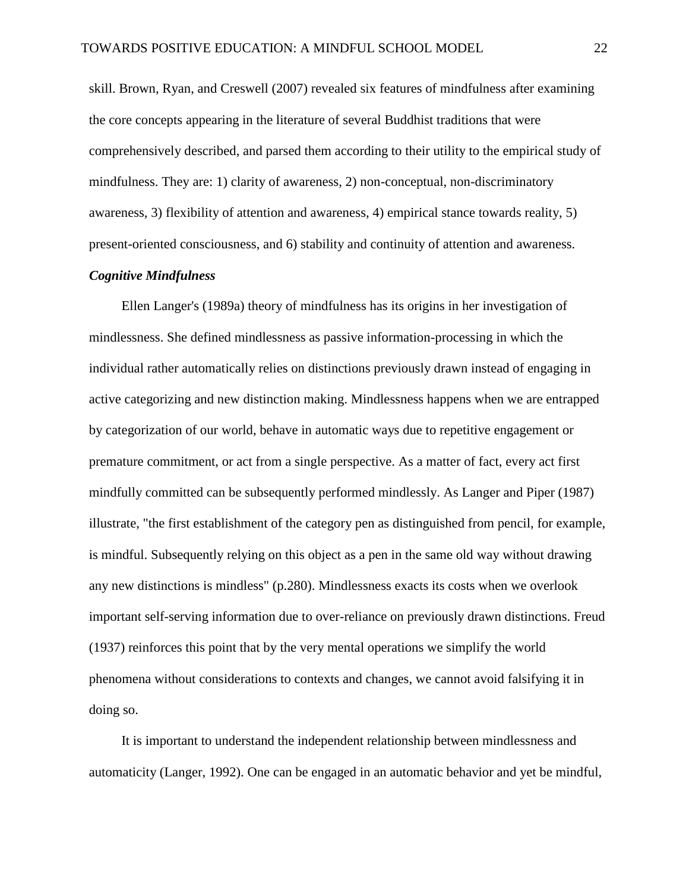skill. Brown, Ryan, and Creswell (2007) revealed six features of mindfulness after examining the core concepts appearing in the literature of several Buddhist traditions that were comprehensively described, and parsed them according to their utility to the empirical study of mindfulness. They are: 1) clarity of awareness, 2) non-conceptual, non-discriminatory awareness, 3) flexibility of attention and awareness, 4) empirical stance towards reality, 5) present-oriented consciousness, and 6) stability and continuity of attention and awareness.

#### *Cognitive Mindfulness*

Ellen Langer's (1989a) theory of mindfulness has its origins in her investigation of mindlessness. She defined mindlessness as passive information-processing in which the individual rather automatically relies on distinctions previously drawn instead of engaging in active categorizing and new distinction making. Mindlessness happens when we are entrapped by categorization of our world, behave in automatic ways due to repetitive engagement or premature commitment, or act from a single perspective. As a matter of fact, every act first mindfully committed can be subsequently performed mindlessly. As Langer and Piper (1987) illustrate, "the first establishment of the category pen as distinguished from pencil, for example, is mindful. Subsequently relying on this object as a pen in the same old way without drawing any new distinctions is mindless" (p.280). Mindlessness exacts its costs when we overlook important self-serving information due to over-reliance on previously drawn distinctions. Freud (1937) reinforces this point that by the very mental operations we simplify the world phenomena without considerations to contexts and changes, we cannot avoid falsifying it in doing so.

It is important to understand the independent relationship between mindlessness and automaticity (Langer, 1992). One can be engaged in an automatic behavior and yet be mindful,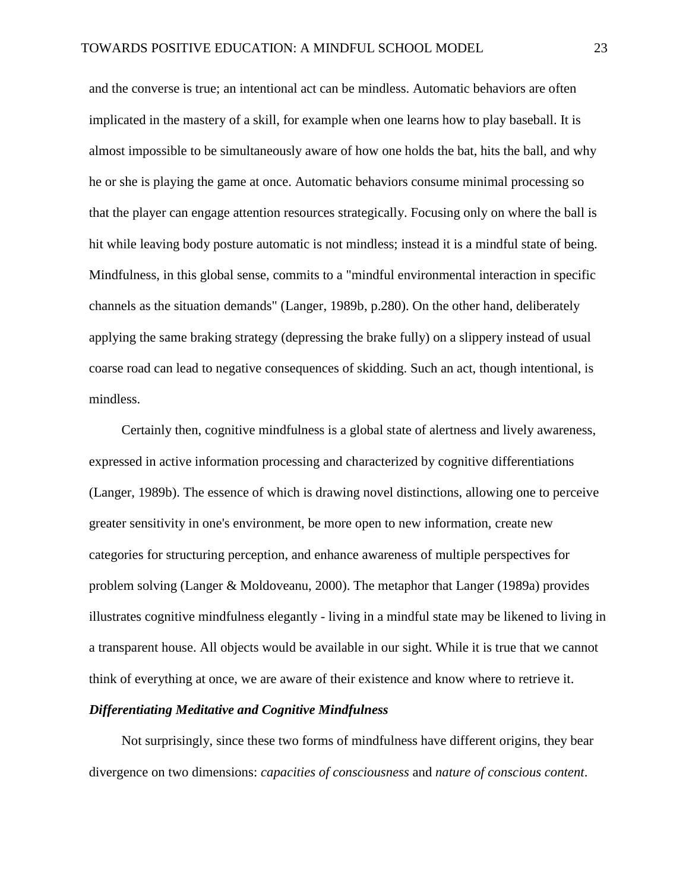and the converse is true; an intentional act can be mindless. Automatic behaviors are often implicated in the mastery of a skill, for example when one learns how to play baseball. It is almost impossible to be simultaneously aware of how one holds the bat, hits the ball, and why he or she is playing the game at once. Automatic behaviors consume minimal processing so that the player can engage attention resources strategically. Focusing only on where the ball is hit while leaving body posture automatic is not mindless; instead it is a mindful state of being. Mindfulness, in this global sense, commits to a "mindful environmental interaction in specific channels as the situation demands" (Langer, 1989b, p.280). On the other hand, deliberately applying the same braking strategy (depressing the brake fully) on a slippery instead of usual coarse road can lead to negative consequences of skidding. Such an act, though intentional, is mindless.

Certainly then, cognitive mindfulness is a global state of alertness and lively awareness, expressed in active information processing and characterized by cognitive differentiations (Langer, 1989b). The essence of which is drawing novel distinctions, allowing one to perceive greater sensitivity in one's environment, be more open to new information, create new categories for structuring perception, and enhance awareness of multiple perspectives for problem solving (Langer & Moldoveanu, 2000). The metaphor that Langer (1989a) provides illustrates cognitive mindfulness elegantly - living in a mindful state may be likened to living in a transparent house. All objects would be available in our sight. While it is true that we cannot think of everything at once, we are aware of their existence and know where to retrieve it.

#### *Differentiating Meditative and Cognitive Mindfulness*

Not surprisingly, since these two forms of mindfulness have different origins, they bear divergence on two dimensions: *capacities of consciousness* and *nature of conscious content*.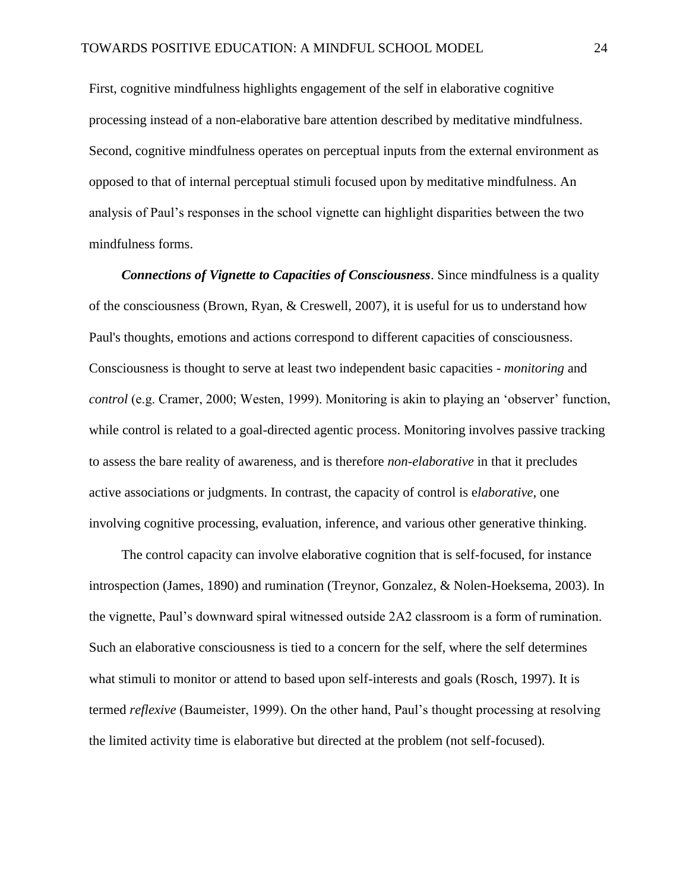First, cognitive mindfulness highlights engagement of the self in elaborative cognitive processing instead of a non-elaborative bare attention described by meditative mindfulness. Second, cognitive mindfulness operates on perceptual inputs from the external environment as opposed to that of internal perceptual stimuli focused upon by meditative mindfulness. An analysis of Paul's responses in the school vignette can highlight disparities between the two mindfulness forms.

*Connections of Vignette to Capacities of Consciousness*. Since mindfulness is a quality of the consciousness (Brown, Ryan, & Creswell, 2007), it is useful for us to understand how Paul's thoughts, emotions and actions correspond to different capacities of consciousness. Consciousness is thought to serve at least two independent basic capacities - *monitoring* and *control* (e.g. Cramer, 2000; Westen, 1999). Monitoring is akin to playing an 'observer' function, while control is related to a goal-directed agentic process. Monitoring involves passive tracking to assess the bare reality of awareness, and is therefore *non-elaborative* in that it precludes active associations or judgments. In contrast, the capacity of control is e*laborative*, one involving cognitive processing, evaluation, inference, and various other generative thinking.

The control capacity can involve elaborative cognition that is self-focused, for instance introspection (James, 1890) and rumination (Treynor, Gonzalez, & Nolen-Hoeksema, 2003). In the vignette, Paul's downward spiral witnessed outside 2A2 classroom is a form of rumination. Such an elaborative consciousness is tied to a concern for the self, where the self determines what stimuli to monitor or attend to based upon self-interests and goals (Rosch, 1997). It is termed *reflexive* (Baumeister, 1999). On the other hand, Paul's thought processing at resolving the limited activity time is elaborative but directed at the problem (not self-focused).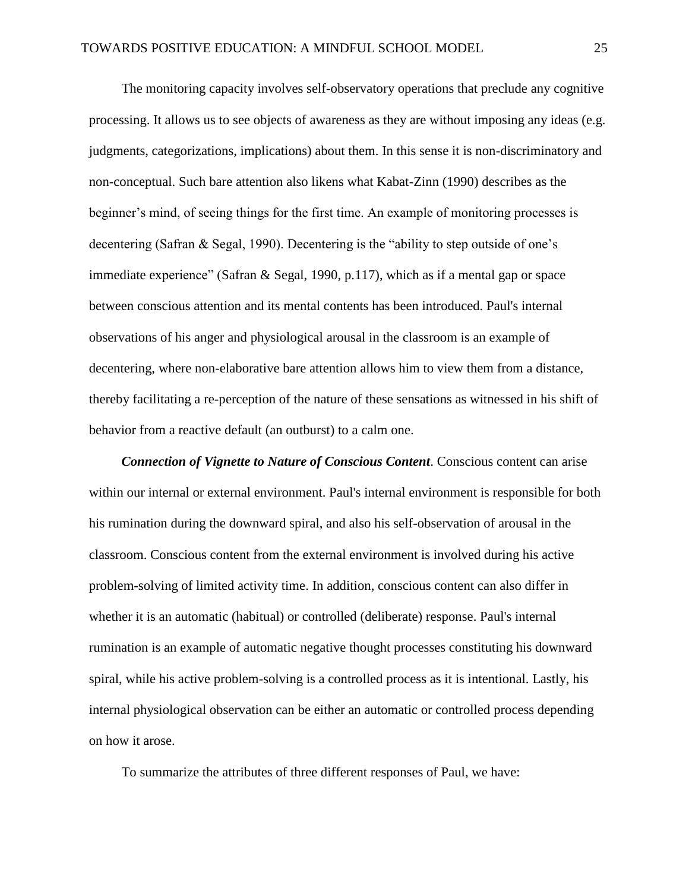The monitoring capacity involves self-observatory operations that preclude any cognitive processing. It allows us to see objects of awareness as they are without imposing any ideas (e.g. judgments, categorizations, implications) about them. In this sense it is non-discriminatory and non-conceptual. Such bare attention also likens what Kabat-Zinn (1990) describes as the beginner's mind, of seeing things for the first time. An example of monitoring processes is decentering (Safran & Segal, 1990). Decentering is the "ability to step outside of one's immediate experience" (Safran & Segal, 1990, p.117), which as if a mental gap or space between conscious attention and its mental contents has been introduced. Paul's internal observations of his anger and physiological arousal in the classroom is an example of decentering, where non-elaborative bare attention allows him to view them from a distance, thereby facilitating a re-perception of the nature of these sensations as witnessed in his shift of behavior from a reactive default (an outburst) to a calm one.

*Connection of Vignette to Nature of Conscious Content*. Conscious content can arise within our internal or external environment. Paul's internal environment is responsible for both his rumination during the downward spiral, and also his self-observation of arousal in the classroom. Conscious content from the external environment is involved during his active problem-solving of limited activity time. In addition, conscious content can also differ in whether it is an automatic (habitual) or controlled (deliberate) response. Paul's internal rumination is an example of automatic negative thought processes constituting his downward spiral, while his active problem-solving is a controlled process as it is intentional. Lastly, his internal physiological observation can be either an automatic or controlled process depending on how it arose.

To summarize the attributes of three different responses of Paul, we have: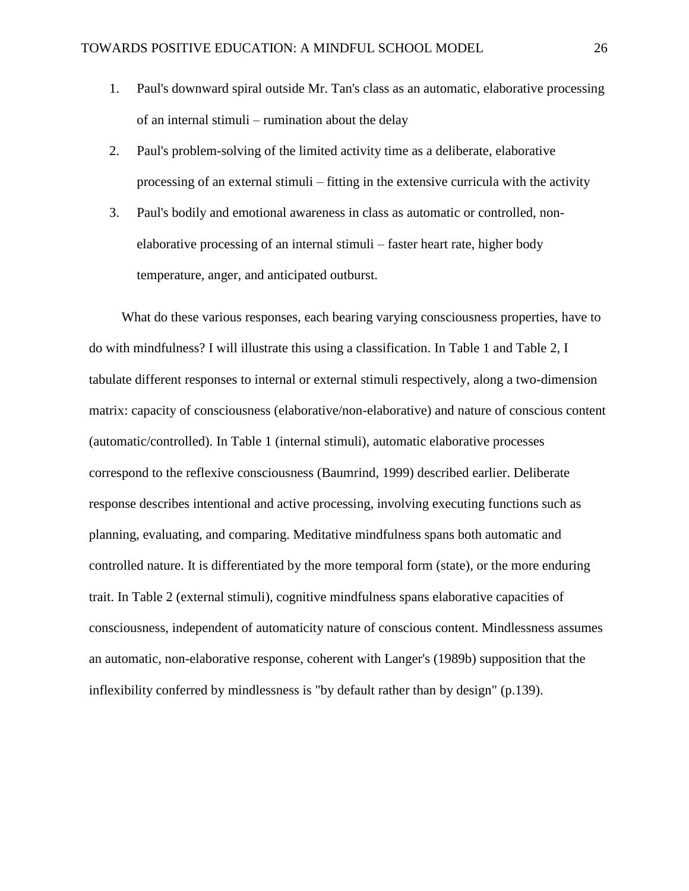- 1. Paul's downward spiral outside Mr. Tan's class as an automatic, elaborative processing of an internal stimuli – rumination about the delay
- 2. Paul's problem-solving of the limited activity time as a deliberate, elaborative processing of an external stimuli – fitting in the extensive curricula with the activity
- 3. Paul's bodily and emotional awareness in class as automatic or controlled, nonelaborative processing of an internal stimuli – faster heart rate, higher body temperature, anger, and anticipated outburst.

What do these various responses, each bearing varying consciousness properties, have to do with mindfulness? I will illustrate this using a classification. In Table 1 and Table 2, I tabulate different responses to internal or external stimuli respectively, along a two-dimension matrix: capacity of consciousness (elaborative/non-elaborative) and nature of conscious content (automatic/controlled). In Table 1 (internal stimuli), automatic elaborative processes correspond to the reflexive consciousness (Baumrind, 1999) described earlier. Deliberate response describes intentional and active processing, involving executing functions such as planning, evaluating, and comparing. Meditative mindfulness spans both automatic and controlled nature. It is differentiated by the more temporal form (state), or the more enduring trait. In Table 2 (external stimuli), cognitive mindfulness spans elaborative capacities of consciousness, independent of automaticity nature of conscious content. Mindlessness assumes an automatic, non-elaborative response, coherent with Langer's (1989b) supposition that the inflexibility conferred by mindlessness is "by default rather than by design" (p.139).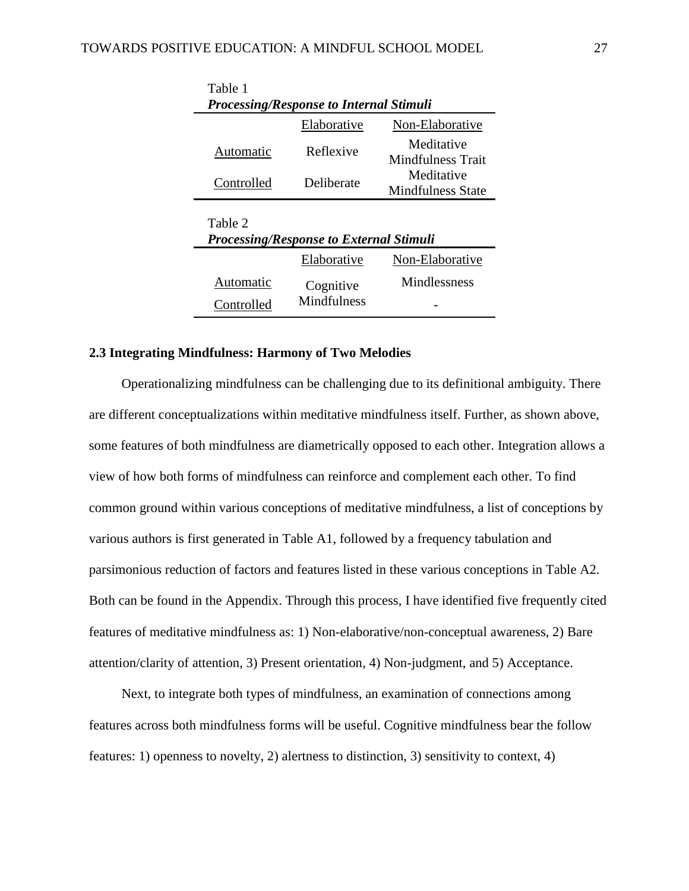| Table 1    | <b>Processing/Response to Internal Stimuli</b> |                                 |
|------------|------------------------------------------------|---------------------------------|
|            | Elaborative                                    | Non-Elaborative                 |
| Automatic  | Reflexive                                      | Meditative<br>Mindfulness Trait |
| Controlled | Deliberate                                     | Meditative<br>Mindfulness State |
|            |                                                |                                 |
| Table 2    | <b>Processing/Response to External Stimuli</b> |                                 |
|            | Elaborative                                    | Non-Elaborative                 |

#### **2.3 Integrating Mindfulness: Harmony of Two Melodies**

Operationalizing mindfulness can be challenging due to its definitional ambiguity. There are different conceptualizations within meditative mindfulness itself. Further, as shown above, some features of both mindfulness are diametrically opposed to each other. Integration allows a view of how both forms of mindfulness can reinforce and complement each other. To find common ground within various conceptions of meditative mindfulness, a list of conceptions by various authors is first generated in Table A1, followed by a frequency tabulation and parsimonious reduction of factors and features listed in these various conceptions in Table A2. Both can be found in the Appendix. Through this process, I have identified five frequently cited features of meditative mindfulness as: 1) Non-elaborative/non-conceptual awareness, 2) Bare attention/clarity of attention, 3) Present orientation, 4) Non-judgment, and 5) Acceptance.

Next, to integrate both types of mindfulness, an examination of connections among features across both mindfulness forms will be useful. Cognitive mindfulness bear the follow features: 1) openness to novelty, 2) alertness to distinction, 3) sensitivity to context, 4)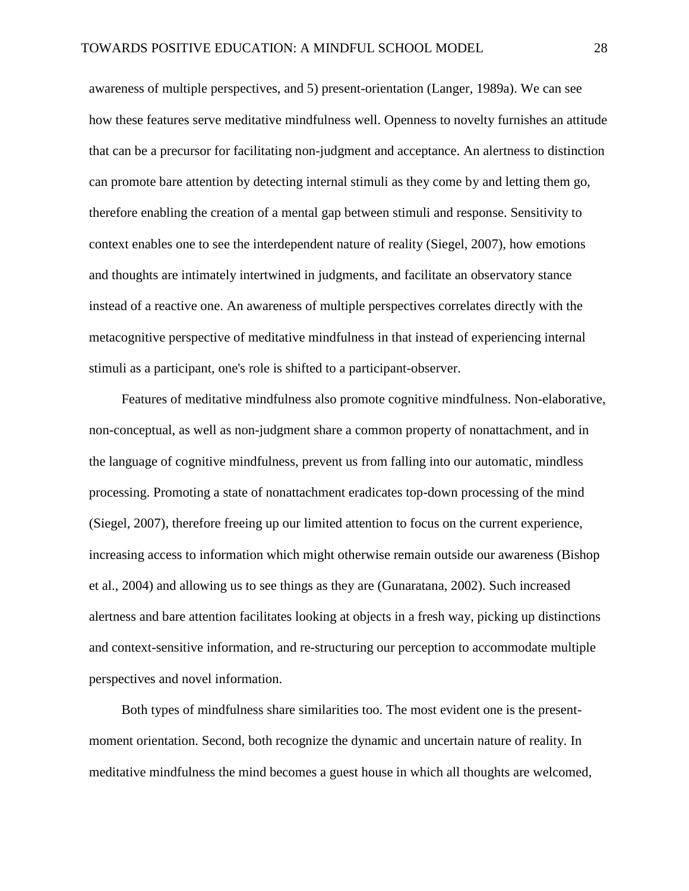awareness of multiple perspectives, and 5) present-orientation (Langer, 1989a). We can see how these features serve meditative mindfulness well. Openness to novelty furnishes an attitude that can be a precursor for facilitating non-judgment and acceptance. An alertness to distinction can promote bare attention by detecting internal stimuli as they come by and letting them go, therefore enabling the creation of a mental gap between stimuli and response. Sensitivity to context enables one to see the interdependent nature of reality (Siegel, 2007), how emotions and thoughts are intimately intertwined in judgments, and facilitate an observatory stance instead of a reactive one. An awareness of multiple perspectives correlates directly with the metacognitive perspective of meditative mindfulness in that instead of experiencing internal stimuli as a participant, one's role is shifted to a participant-observer.

Features of meditative mindfulness also promote cognitive mindfulness. Non-elaborative, non-conceptual, as well as non-judgment share a common property of nonattachment, and in the language of cognitive mindfulness, prevent us from falling into our automatic, mindless processing. Promoting a state of nonattachment eradicates top-down processing of the mind (Siegel, 2007), therefore freeing up our limited attention to focus on the current experience, increasing access to information which might otherwise remain outside our awareness (Bishop et al., 2004) and allowing us to see things as they are (Gunaratana, 2002). Such increased alertness and bare attention facilitates looking at objects in a fresh way, picking up distinctions and context-sensitive information, and re-structuring our perception to accommodate multiple perspectives and novel information.

Both types of mindfulness share similarities too. The most evident one is the presentmoment orientation. Second, both recognize the dynamic and uncertain nature of reality. In meditative mindfulness the mind becomes a guest house in which all thoughts are welcomed,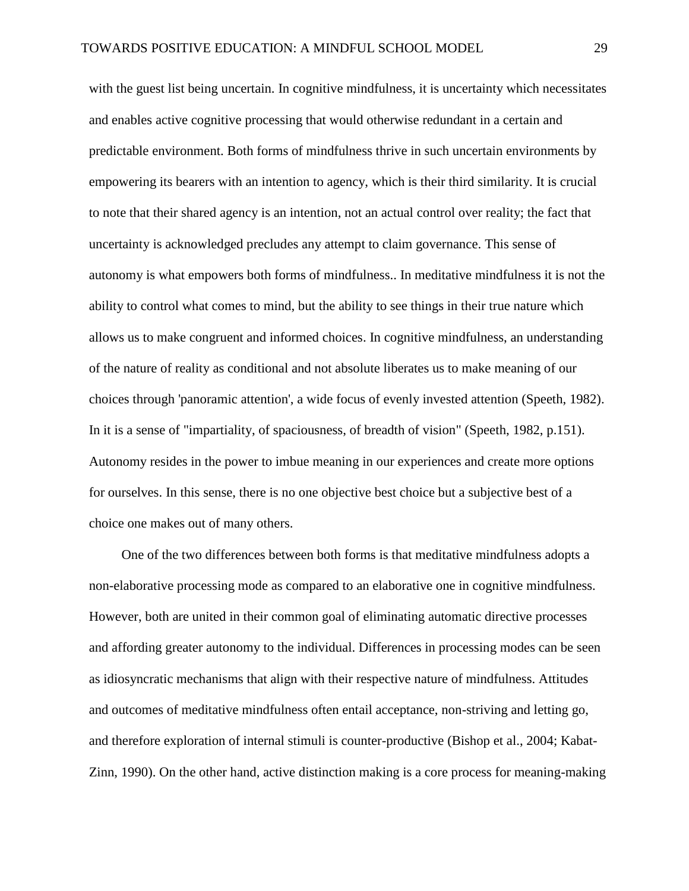with the guest list being uncertain. In cognitive mindfulness, it is uncertainty which necessitates and enables active cognitive processing that would otherwise redundant in a certain and predictable environment. Both forms of mindfulness thrive in such uncertain environments by empowering its bearers with an intention to agency, which is their third similarity. It is crucial to note that their shared agency is an intention, not an actual control over reality; the fact that uncertainty is acknowledged precludes any attempt to claim governance. This sense of autonomy is what empowers both forms of mindfulness.. In meditative mindfulness it is not the ability to control what comes to mind, but the ability to see things in their true nature which allows us to make congruent and informed choices. In cognitive mindfulness, an understanding of the nature of reality as conditional and not absolute liberates us to make meaning of our choices through 'panoramic attention', a wide focus of evenly invested attention (Speeth, 1982). In it is a sense of "impartiality, of spaciousness, of breadth of vision" (Speeth, 1982, p.151). Autonomy resides in the power to imbue meaning in our experiences and create more options for ourselves. In this sense, there is no one objective best choice but a subjective best of a choice one makes out of many others.

One of the two differences between both forms is that meditative mindfulness adopts a non-elaborative processing mode as compared to an elaborative one in cognitive mindfulness. However, both are united in their common goal of eliminating automatic directive processes and affording greater autonomy to the individual. Differences in processing modes can be seen as idiosyncratic mechanisms that align with their respective nature of mindfulness. Attitudes and outcomes of meditative mindfulness often entail acceptance, non-striving and letting go, and therefore exploration of internal stimuli is counter-productive (Bishop et al., 2004; Kabat-Zinn, 1990). On the other hand, active distinction making is a core process for meaning-making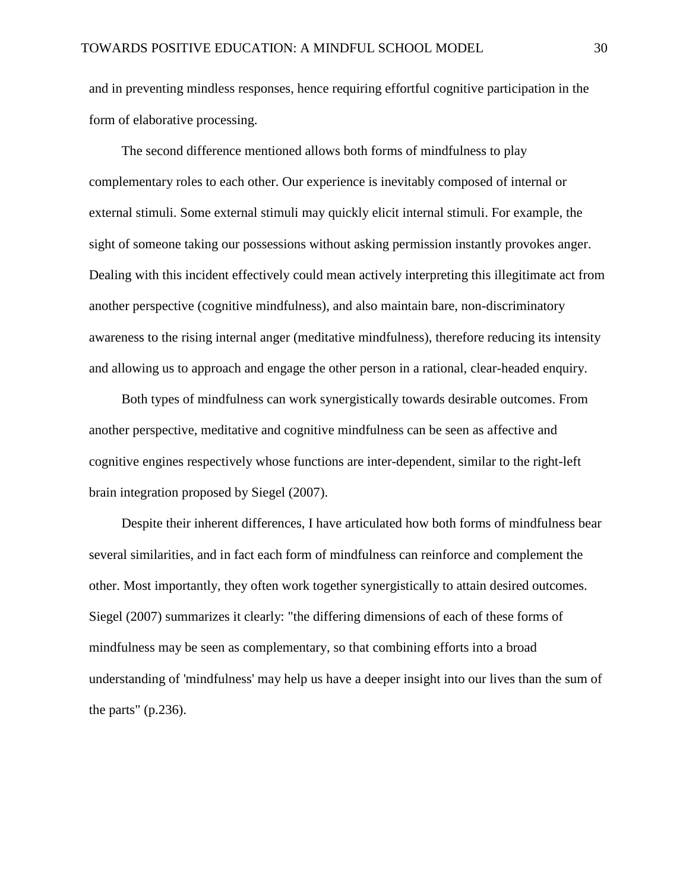and in preventing mindless responses, hence requiring effortful cognitive participation in the form of elaborative processing.

The second difference mentioned allows both forms of mindfulness to play complementary roles to each other. Our experience is inevitably composed of internal or external stimuli. Some external stimuli may quickly elicit internal stimuli. For example, the sight of someone taking our possessions without asking permission instantly provokes anger. Dealing with this incident effectively could mean actively interpreting this illegitimate act from another perspective (cognitive mindfulness), and also maintain bare, non-discriminatory awareness to the rising internal anger (meditative mindfulness), therefore reducing its intensity and allowing us to approach and engage the other person in a rational, clear-headed enquiry.

Both types of mindfulness can work synergistically towards desirable outcomes. From another perspective, meditative and cognitive mindfulness can be seen as affective and cognitive engines respectively whose functions are inter-dependent, similar to the right-left brain integration proposed by Siegel (2007).

Despite their inherent differences, I have articulated how both forms of mindfulness bear several similarities, and in fact each form of mindfulness can reinforce and complement the other. Most importantly, they often work together synergistically to attain desired outcomes. Siegel (2007) summarizes it clearly: "the differing dimensions of each of these forms of mindfulness may be seen as complementary, so that combining efforts into a broad understanding of 'mindfulness' may help us have a deeper insight into our lives than the sum of the parts"  $(p.236)$ .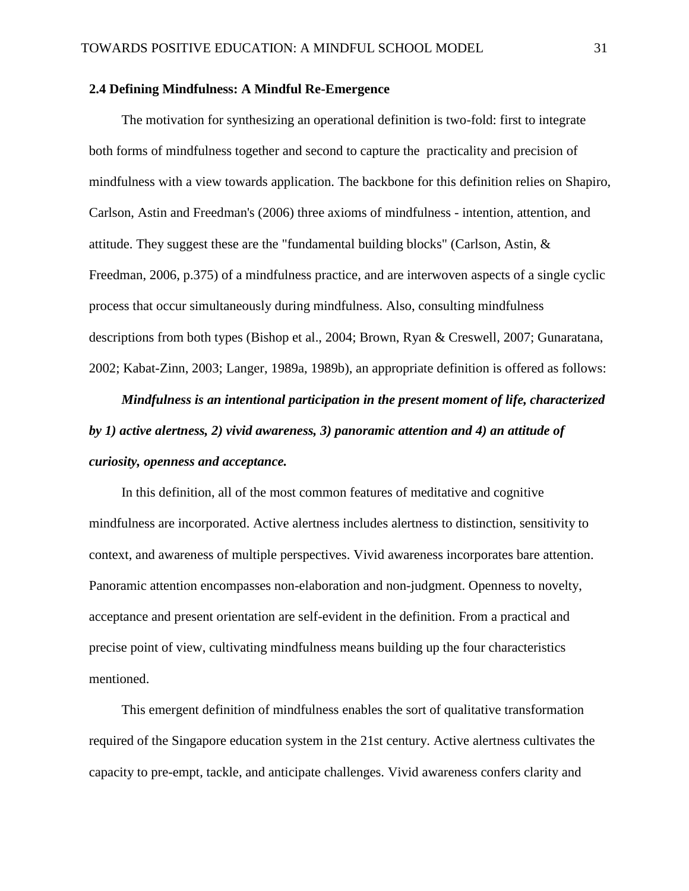#### **2.4 Defining Mindfulness: A Mindful Re-Emergence**

The motivation for synthesizing an operational definition is two-fold: first to integrate both forms of mindfulness together and second to capture the practicality and precision of mindfulness with a view towards application. The backbone for this definition relies on Shapiro, Carlson, Astin and Freedman's (2006) three axioms of mindfulness - intention, attention, and attitude. They suggest these are the "fundamental building blocks" (Carlson, Astin, & Freedman, 2006, p.375) of a mindfulness practice, and are interwoven aspects of a single cyclic process that occur simultaneously during mindfulness. Also, consulting mindfulness descriptions from both types (Bishop et al., 2004; Brown, Ryan & Creswell, 2007; Gunaratana, 2002; Kabat-Zinn, 2003; Langer, 1989a, 1989b), an appropriate definition is offered as follows:

*Mindfulness is an intentional participation in the present moment of life, characterized by 1) active alertness, 2) vivid awareness, 3) panoramic attention and 4) an attitude of curiosity, openness and acceptance.*

In this definition, all of the most common features of meditative and cognitive mindfulness are incorporated. Active alertness includes alertness to distinction, sensitivity to context, and awareness of multiple perspectives. Vivid awareness incorporates bare attention. Panoramic attention encompasses non-elaboration and non-judgment. Openness to novelty, acceptance and present orientation are self-evident in the definition. From a practical and precise point of view, cultivating mindfulness means building up the four characteristics mentioned.

This emergent definition of mindfulness enables the sort of qualitative transformation required of the Singapore education system in the 21st century. Active alertness cultivates the capacity to pre-empt, tackle, and anticipate challenges. Vivid awareness confers clarity and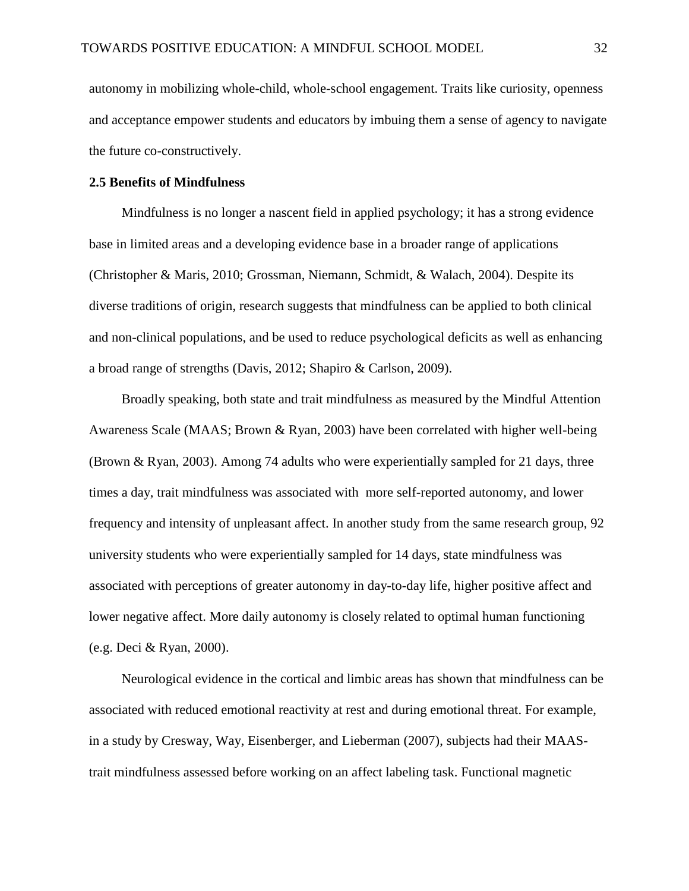autonomy in mobilizing whole-child, whole-school engagement. Traits like curiosity, openness and acceptance empower students and educators by imbuing them a sense of agency to navigate the future co-constructively.

#### **2.5 Benefits of Mindfulness**

Mindfulness is no longer a nascent field in applied psychology; it has a strong evidence base in limited areas and a developing evidence base in a broader range of applications (Christopher & Maris, 2010; Grossman, Niemann, Schmidt, & Walach, 2004). Despite its diverse traditions of origin, research suggests that mindfulness can be applied to both clinical and non-clinical populations, and be used to reduce psychological deficits as well as enhancing a broad range of strengths (Davis, 2012; Shapiro & Carlson, 2009).

Broadly speaking, both state and trait mindfulness as measured by the Mindful Attention Awareness Scale (MAAS; Brown & Ryan, 2003) have been correlated with higher well-being (Brown & Ryan, 2003). Among 74 adults who were experientially sampled for 21 days, three times a day, trait mindfulness was associated with more self-reported autonomy, and lower frequency and intensity of unpleasant affect. In another study from the same research group, 92 university students who were experientially sampled for 14 days, state mindfulness was associated with perceptions of greater autonomy in day-to-day life, higher positive affect and lower negative affect. More daily autonomy is closely related to optimal human functioning (e.g. Deci & Ryan, 2000).

Neurological evidence in the cortical and limbic areas has shown that mindfulness can be associated with reduced emotional reactivity at rest and during emotional threat. For example, in a study by Cresway, Way, Eisenberger, and Lieberman (2007), subjects had their MAAStrait mindfulness assessed before working on an affect labeling task. Functional magnetic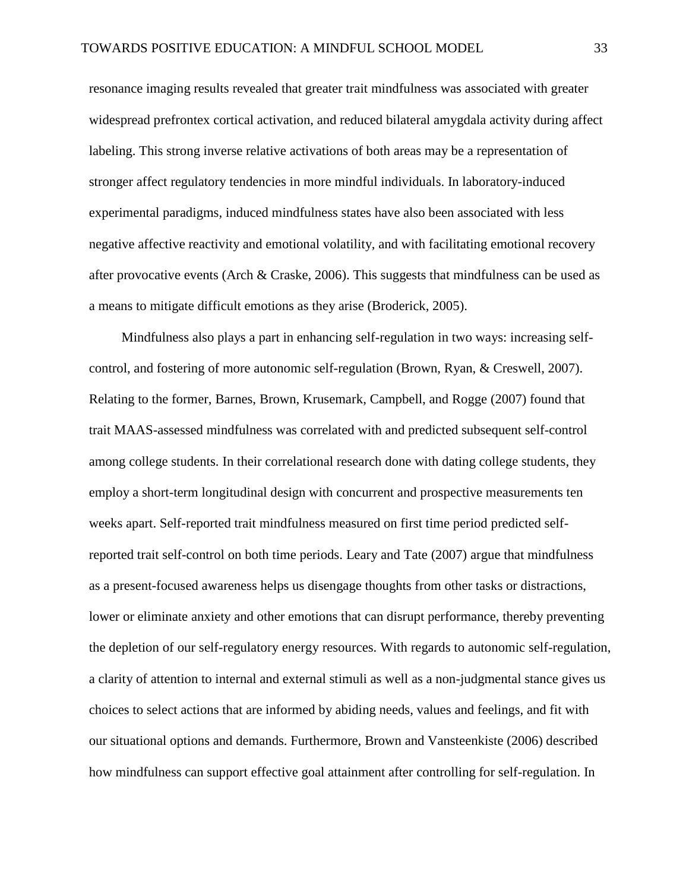resonance imaging results revealed that greater trait mindfulness was associated with greater widespread prefrontex cortical activation, and reduced bilateral amygdala activity during affect labeling. This strong inverse relative activations of both areas may be a representation of stronger affect regulatory tendencies in more mindful individuals. In laboratory-induced experimental paradigms, induced mindfulness states have also been associated with less negative affective reactivity and emotional volatility, and with facilitating emotional recovery after provocative events (Arch & Craske, 2006). This suggests that mindfulness can be used as a means to mitigate difficult emotions as they arise (Broderick, 2005).

Mindfulness also plays a part in enhancing self-regulation in two ways: increasing selfcontrol, and fostering of more autonomic self-regulation (Brown, Ryan, & Creswell, 2007). Relating to the former, Barnes, Brown, Krusemark, Campbell, and Rogge (2007) found that trait MAAS-assessed mindfulness was correlated with and predicted subsequent self-control among college students. In their correlational research done with dating college students, they employ a short-term longitudinal design with concurrent and prospective measurements ten weeks apart. Self-reported trait mindfulness measured on first time period predicted selfreported trait self-control on both time periods. Leary and Tate (2007) argue that mindfulness as a present-focused awareness helps us disengage thoughts from other tasks or distractions, lower or eliminate anxiety and other emotions that can disrupt performance, thereby preventing the depletion of our self-regulatory energy resources. With regards to autonomic self-regulation, a clarity of attention to internal and external stimuli as well as a non-judgmental stance gives us choices to select actions that are informed by abiding needs, values and feelings, and fit with our situational options and demands. Furthermore, Brown and Vansteenkiste (2006) described how mindfulness can support effective goal attainment after controlling for self-regulation. In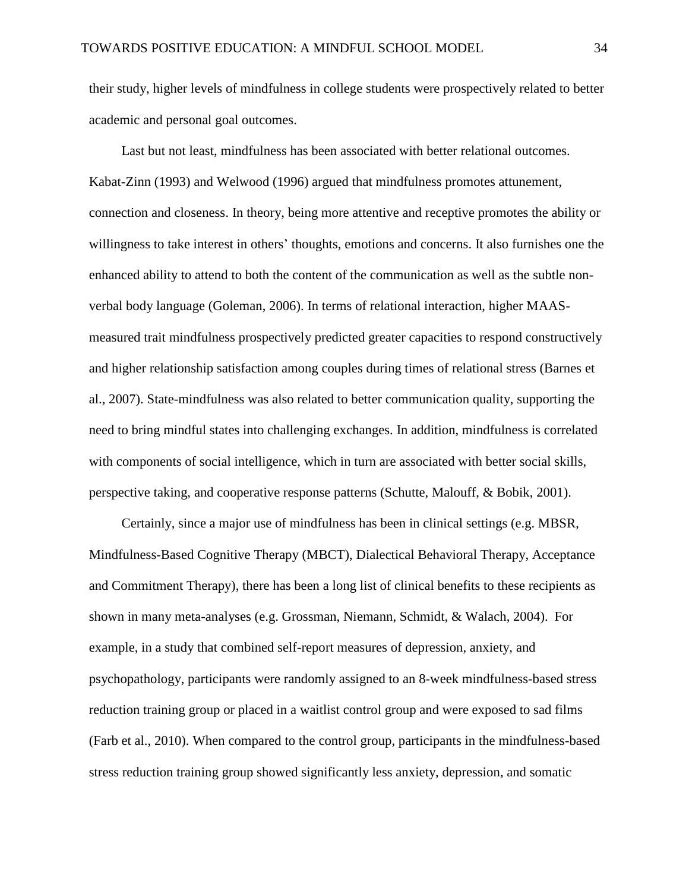their study, higher levels of mindfulness in college students were prospectively related to better academic and personal goal outcomes.

Last but not least, mindfulness has been associated with better relational outcomes. Kabat-Zinn (1993) and Welwood (1996) argued that mindfulness promotes attunement, connection and closeness. In theory, being more attentive and receptive promotes the ability or willingness to take interest in others' thoughts, emotions and concerns. It also furnishes one the enhanced ability to attend to both the content of the communication as well as the subtle nonverbal body language (Goleman, 2006). In terms of relational interaction, higher MAASmeasured trait mindfulness prospectively predicted greater capacities to respond constructively and higher relationship satisfaction among couples during times of relational stress (Barnes et al., 2007). State-mindfulness was also related to better communication quality, supporting the need to bring mindful states into challenging exchanges. In addition, mindfulness is correlated with components of social intelligence, which in turn are associated with better social skills, perspective taking, and cooperative response patterns (Schutte, Malouff, & Bobik, 2001).

Certainly, since a major use of mindfulness has been in clinical settings (e.g. MBSR, Mindfulness-Based Cognitive Therapy (MBCT), Dialectical Behavioral Therapy, Acceptance and Commitment Therapy), there has been a long list of clinical benefits to these recipients as shown in many meta-analyses (e.g. Grossman, Niemann, Schmidt, & Walach, 2004). For example, in a study that combined self-report measures of depression, anxiety, and psychopathology, participants were randomly assigned to an 8-week mindfulness-based stress reduction training group or placed in a waitlist control group and were exposed to sad films (Farb et al., 2010). When compared to the control group, participants in the mindfulness-based stress reduction training group showed significantly less anxiety, depression, and somatic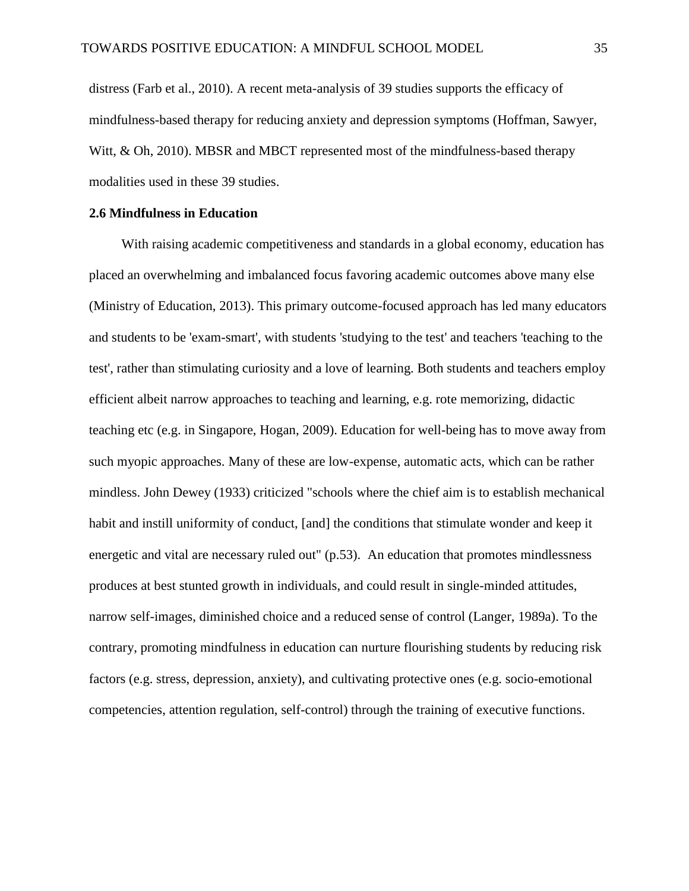distress (Farb et al., 2010). A recent meta-analysis of 39 studies supports the efficacy of mindfulness-based therapy for reducing anxiety and depression symptoms (Hoffman, Sawyer, Witt, & Oh, 2010). MBSR and MBCT represented most of the mindfulness-based therapy modalities used in these 39 studies.

#### **2.6 Mindfulness in Education**

With raising academic competitiveness and standards in a global economy, education has placed an overwhelming and imbalanced focus favoring academic outcomes above many else (Ministry of Education, 2013). This primary outcome-focused approach has led many educators and students to be 'exam-smart', with students 'studying to the test' and teachers 'teaching to the test', rather than stimulating curiosity and a love of learning. Both students and teachers employ efficient albeit narrow approaches to teaching and learning, e.g. rote memorizing, didactic teaching etc (e.g. in Singapore, Hogan, 2009). Education for well-being has to move away from such myopic approaches. Many of these are low-expense, automatic acts, which can be rather mindless. John Dewey (1933) criticized "schools where the chief aim is to establish mechanical habit and instill uniformity of conduct, [and] the conditions that stimulate wonder and keep it energetic and vital are necessary ruled out" (p.53). An education that promotes mindlessness produces at best stunted growth in individuals, and could result in single-minded attitudes, narrow self-images, diminished choice and a reduced sense of control (Langer, 1989a). To the contrary, promoting mindfulness in education can nurture flourishing students by reducing risk factors (e.g. stress, depression, anxiety), and cultivating protective ones (e.g. socio-emotional competencies, attention regulation, self-control) through the training of executive functions.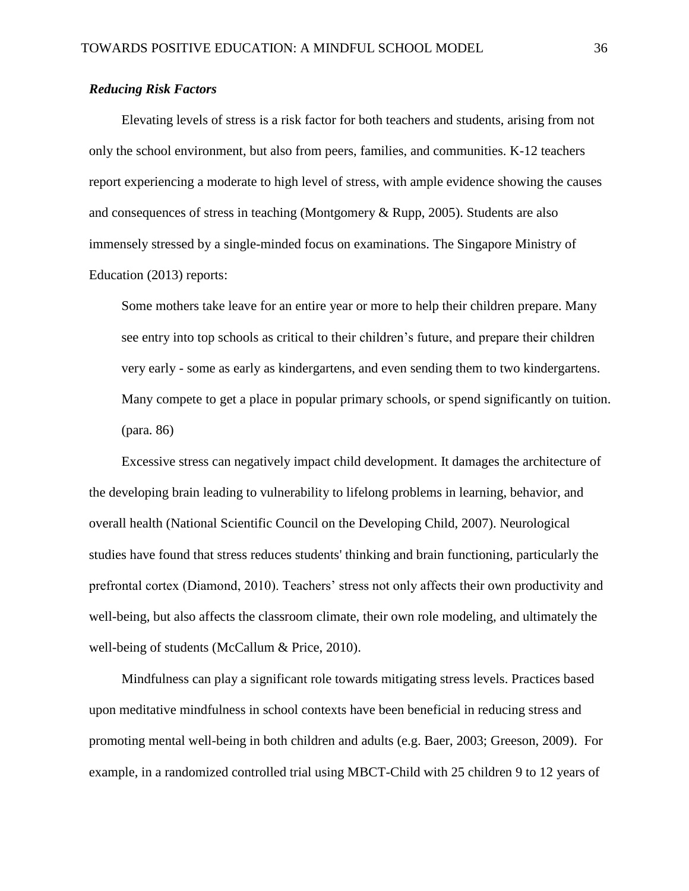## *Reducing Risk Factors*

Elevating levels of stress is a risk factor for both teachers and students, arising from not only the school environment, but also from peers, families, and communities. K-12 teachers report experiencing a moderate to high level of stress, with ample evidence showing the causes and consequences of stress in teaching (Montgomery & Rupp, 2005). Students are also immensely stressed by a single-minded focus on examinations. The Singapore Ministry of Education (2013) reports:

Some mothers take leave for an entire year or more to help their children prepare. Many see entry into top schools as critical to their children's future, and prepare their children very early - some as early as kindergartens, and even sending them to two kindergartens. Many compete to get a place in popular primary schools, or spend significantly on tuition. (para. 86)

Excessive stress can negatively impact child development. It damages the architecture of the developing brain leading to vulnerability to lifelong problems in learning, behavior, and overall health (National Scientific Council on the Developing Child, 2007). Neurological studies have found that stress reduces students' thinking and brain functioning, particularly the prefrontal cortex (Diamond, 2010). Teachers' stress not only affects their own productivity and well-being, but also affects the classroom climate, their own role modeling, and ultimately the well-being of students (McCallum & Price, 2010).

Mindfulness can play a significant role towards mitigating stress levels. Practices based upon meditative mindfulness in school contexts have been beneficial in reducing stress and promoting mental well-being in both children and adults (e.g. Baer, 2003; Greeson, 2009). For example, in a randomized controlled trial using MBCT-Child with 25 children 9 to 12 years of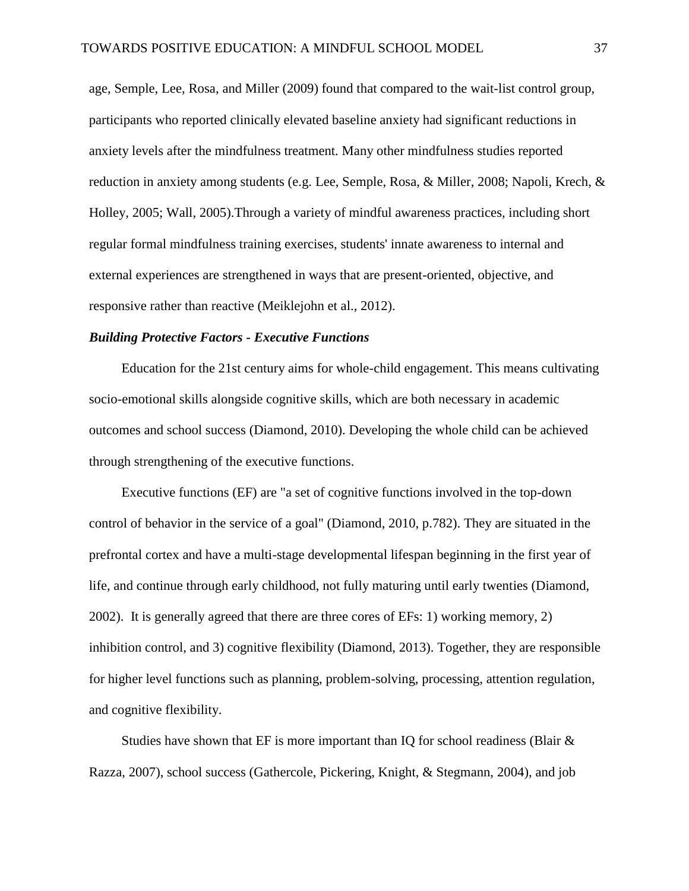age, Semple, Lee, Rosa, and Miller (2009) found that compared to the wait-list control group, participants who reported clinically elevated baseline anxiety had significant reductions in anxiety levels after the mindfulness treatment. Many other mindfulness studies reported reduction in anxiety among students (e.g. Lee, Semple, Rosa, & Miller, 2008; Napoli, Krech, & Holley, 2005; Wall, 2005).Through a variety of mindful awareness practices, including short regular formal mindfulness training exercises, students' innate awareness to internal and external experiences are strengthened in ways that are present-oriented, objective, and responsive rather than reactive (Meiklejohn et al., 2012).

#### *Building Protective Factors - Executive Functions*

Education for the 21st century aims for whole-child engagement. This means cultivating socio-emotional skills alongside cognitive skills, which are both necessary in academic outcomes and school success (Diamond, 2010). Developing the whole child can be achieved through strengthening of the executive functions.

Executive functions (EF) are "a set of cognitive functions involved in the top-down control of behavior in the service of a goal" (Diamond, 2010, p.782). They are situated in the prefrontal cortex and have a multi-stage developmental lifespan beginning in the first year of life, and continue through early childhood, not fully maturing until early twenties (Diamond, 2002). It is generally agreed that there are three cores of EFs: 1) working memory, 2) inhibition control, and 3) cognitive flexibility (Diamond, 2013). Together, they are responsible for higher level functions such as planning, problem-solving, processing, attention regulation, and cognitive flexibility.

Studies have shown that EF is more important than IQ for school readiness (Blair  $\&$ Razza, 2007), school success (Gathercole, Pickering, Knight, & Stegmann, 2004), and job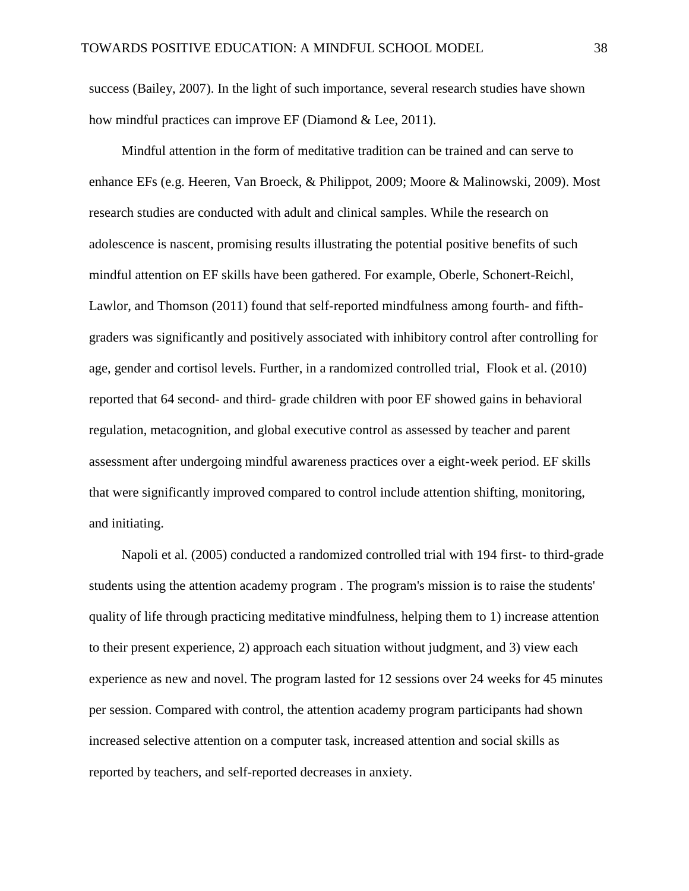success (Bailey, 2007). In the light of such importance, several research studies have shown how mindful practices can improve EF (Diamond & Lee, 2011).

Mindful attention in the form of meditative tradition can be trained and can serve to enhance EFs (e.g. Heeren, Van Broeck, & Philippot, 2009; Moore & Malinowski, 2009). Most research studies are conducted with adult and clinical samples. While the research on adolescence is nascent, promising results illustrating the potential positive benefits of such mindful attention on EF skills have been gathered. For example, Oberle, Schonert-Reichl, Lawlor, and Thomson (2011) found that self-reported mindfulness among fourth- and fifthgraders was significantly and positively associated with inhibitory control after controlling for age, gender and cortisol levels. Further, in a randomized controlled trial, Flook et al. (2010) reported that 64 second- and third- grade children with poor EF showed gains in behavioral regulation, metacognition, and global executive control as assessed by teacher and parent assessment after undergoing mindful awareness practices over a eight-week period. EF skills that were significantly improved compared to control include attention shifting, monitoring, and initiating.

Napoli et al. (2005) conducted a randomized controlled trial with 194 first- to third-grade students using the attention academy program . The program's mission is to raise the students' quality of life through practicing meditative mindfulness, helping them to 1) increase attention to their present experience, 2) approach each situation without judgment, and 3) view each experience as new and novel. The program lasted for 12 sessions over 24 weeks for 45 minutes per session. Compared with control, the attention academy program participants had shown increased selective attention on a computer task, increased attention and social skills as reported by teachers, and self-reported decreases in anxiety.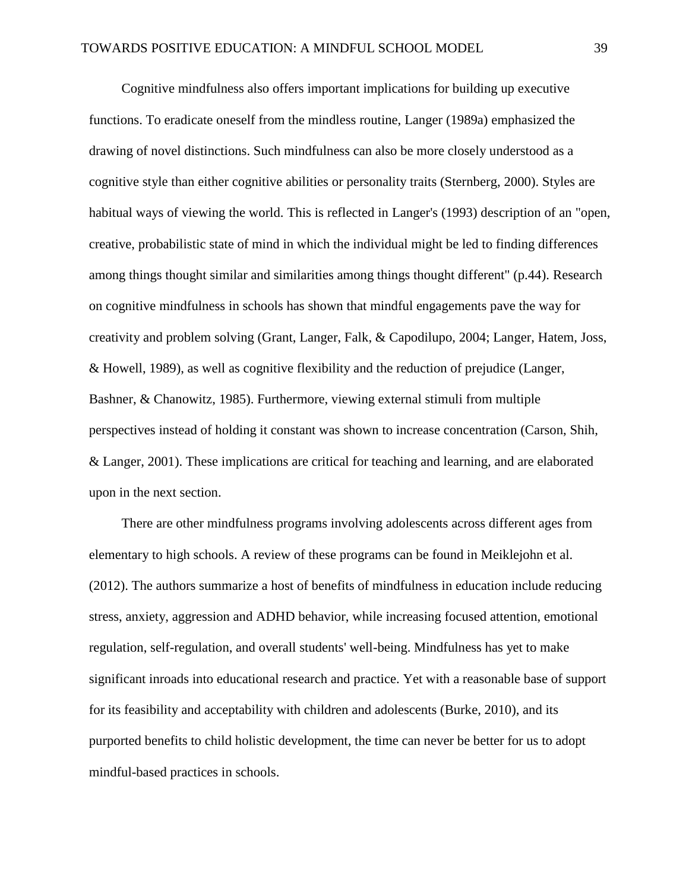Cognitive mindfulness also offers important implications for building up executive functions. To eradicate oneself from the mindless routine, Langer (1989a) emphasized the drawing of novel distinctions. Such mindfulness can also be more closely understood as a cognitive style than either cognitive abilities or personality traits (Sternberg, 2000). Styles are habitual ways of viewing the world. This is reflected in Langer's (1993) description of an "open, creative, probabilistic state of mind in which the individual might be led to finding differences among things thought similar and similarities among things thought different" (p.44). Research on cognitive mindfulness in schools has shown that mindful engagements pave the way for creativity and problem solving (Grant, Langer, Falk, & Capodilupo, 2004; Langer, Hatem, Joss, & Howell, 1989), as well as cognitive flexibility and the reduction of prejudice (Langer, Bashner, & Chanowitz, 1985). Furthermore, viewing external stimuli from multiple perspectives instead of holding it constant was shown to increase concentration (Carson, Shih, & Langer, 2001). These implications are critical for teaching and learning, and are elaborated upon in the next section.

There are other mindfulness programs involving adolescents across different ages from elementary to high schools. A review of these programs can be found in Meiklejohn et al. (2012). The authors summarize a host of benefits of mindfulness in education include reducing stress, anxiety, aggression and ADHD behavior, while increasing focused attention, emotional regulation, self-regulation, and overall students' well-being. Mindfulness has yet to make significant inroads into educational research and practice. Yet with a reasonable base of support for its feasibility and acceptability with children and adolescents (Burke, 2010), and its purported benefits to child holistic development, the time can never be better for us to adopt mindful-based practices in schools.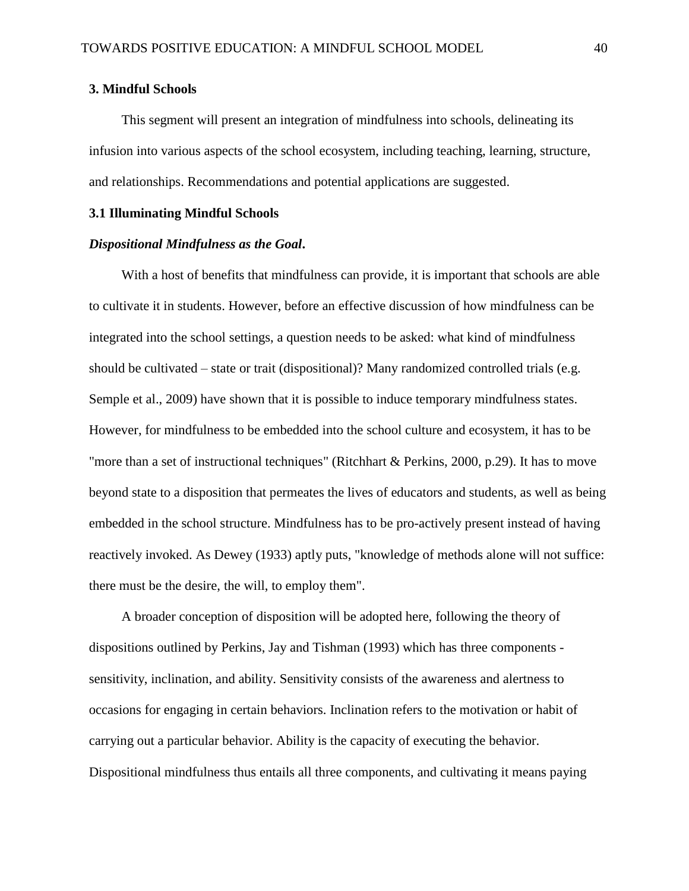#### **3. Mindful Schools**

This segment will present an integration of mindfulness into schools, delineating its infusion into various aspects of the school ecosystem, including teaching, learning, structure, and relationships. Recommendations and potential applications are suggested.

### **3.1 Illuminating Mindful Schools**

#### *Dispositional Mindfulness as the Goal***.**

With a host of benefits that mindfulness can provide, it is important that schools are able to cultivate it in students. However, before an effective discussion of how mindfulness can be integrated into the school settings, a question needs to be asked: what kind of mindfulness should be cultivated – state or trait (dispositional)? Many randomized controlled trials (e.g. Semple et al., 2009) have shown that it is possible to induce temporary mindfulness states. However, for mindfulness to be embedded into the school culture and ecosystem, it has to be "more than a set of instructional techniques" (Ritchhart & Perkins, 2000, p.29). It has to move beyond state to a disposition that permeates the lives of educators and students, as well as being embedded in the school structure. Mindfulness has to be pro-actively present instead of having reactively invoked. As Dewey (1933) aptly puts, "knowledge of methods alone will not suffice: there must be the desire, the will, to employ them".

A broader conception of disposition will be adopted here, following the theory of dispositions outlined by Perkins, Jay and Tishman (1993) which has three components sensitivity, inclination, and ability. Sensitivity consists of the awareness and alertness to occasions for engaging in certain behaviors. Inclination refers to the motivation or habit of carrying out a particular behavior. Ability is the capacity of executing the behavior. Dispositional mindfulness thus entails all three components, and cultivating it means paying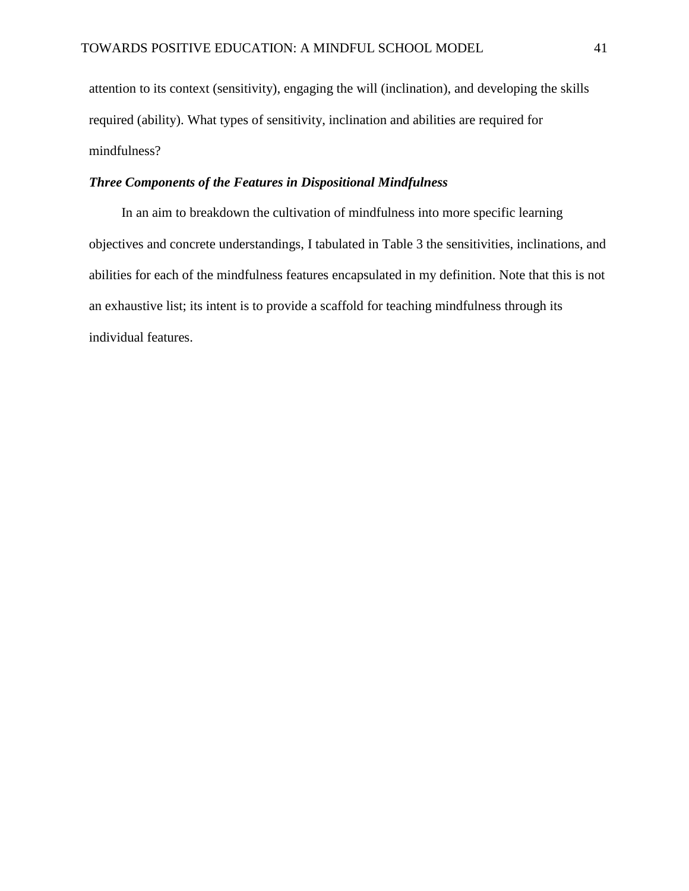attention to its context (sensitivity), engaging the will (inclination), and developing the skills required (ability). What types of sensitivity, inclination and abilities are required for mindfulness?

## *Three Components of the Features in Dispositional Mindfulness*

In an aim to breakdown the cultivation of mindfulness into more specific learning objectives and concrete understandings, I tabulated in Table 3 the sensitivities, inclinations, and abilities for each of the mindfulness features encapsulated in my definition. Note that this is not an exhaustive list; its intent is to provide a scaffold for teaching mindfulness through its individual features.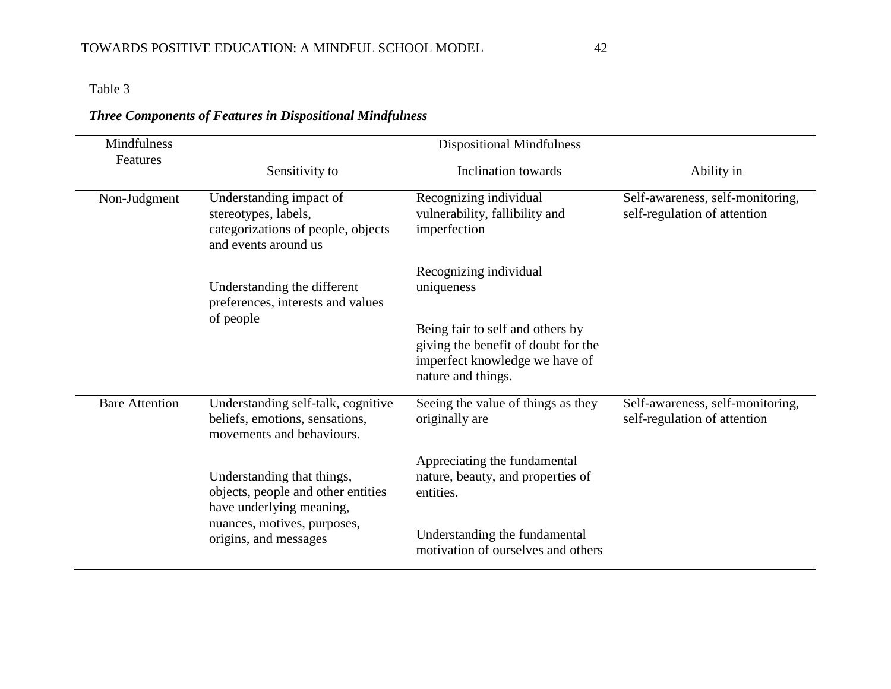| Mindfulness<br>Features | <b>Dispositional Mindfulness</b>                                                                                                                     |                                                                                                                                 |                                                                  |
|-------------------------|------------------------------------------------------------------------------------------------------------------------------------------------------|---------------------------------------------------------------------------------------------------------------------------------|------------------------------------------------------------------|
|                         | Sensitivity to                                                                                                                                       | <b>Inclination</b> towards                                                                                                      | Ability in                                                       |
| Non-Judgment            | Understanding impact of<br>stereotypes, labels,<br>categorizations of people, objects<br>and events around us                                        | Recognizing individual<br>vulnerability, fallibility and<br>imperfection                                                        | Self-awareness, self-monitoring,<br>self-regulation of attention |
|                         | Understanding the different<br>preferences, interests and values<br>of people                                                                        | Recognizing individual<br>uniqueness                                                                                            |                                                                  |
|                         |                                                                                                                                                      | Being fair to self and others by<br>giving the benefit of doubt for the<br>imperfect knowledge we have of<br>nature and things. |                                                                  |
| <b>Bare Attention</b>   | Understanding self-talk, cognitive<br>beliefs, emotions, sensations,<br>movements and behaviours.                                                    | Seeing the value of things as they<br>originally are                                                                            | Self-awareness, self-monitoring,<br>self-regulation of attention |
|                         | Understanding that things,<br>objects, people and other entities<br>have underlying meaning,<br>nuances, motives, purposes,<br>origins, and messages | Appreciating the fundamental<br>nature, beauty, and properties of<br>entities.                                                  |                                                                  |
|                         |                                                                                                                                                      | Understanding the fundamental<br>motivation of ourselves and others                                                             |                                                                  |

# *Three Components of Features in Dispositional Mindfulness*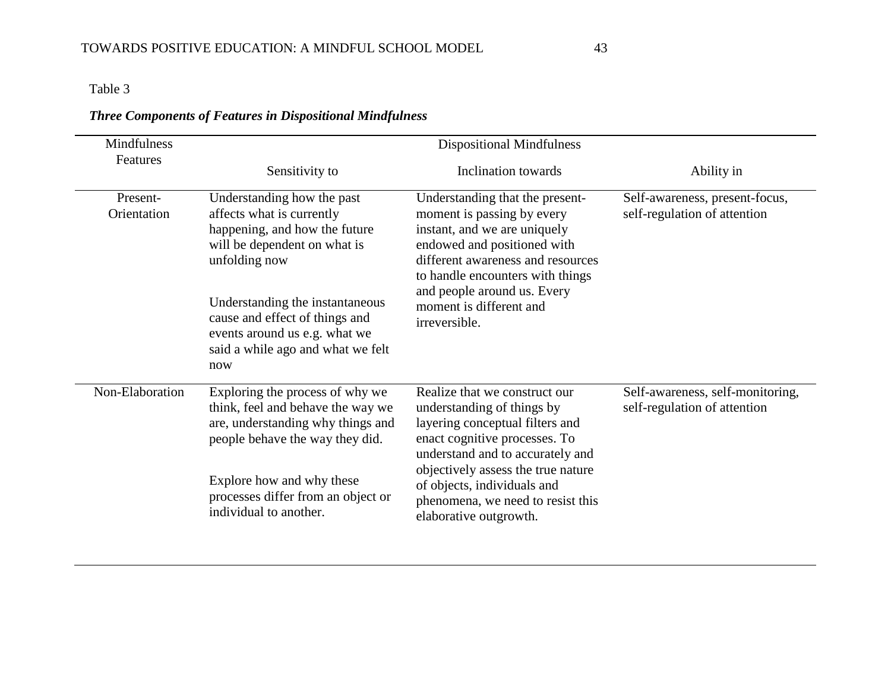| Mindfulness             | <b>Dispositional Mindfulness</b>                                                                                                                                                                               |                                                                                                                                                                                                                                                                 |                                                                  |
|-------------------------|----------------------------------------------------------------------------------------------------------------------------------------------------------------------------------------------------------------|-----------------------------------------------------------------------------------------------------------------------------------------------------------------------------------------------------------------------------------------------------------------|------------------------------------------------------------------|
| Features                | Sensitivity to                                                                                                                                                                                                 | <b>Inclination</b> towards                                                                                                                                                                                                                                      | Ability in                                                       |
| Present-<br>Orientation | Understanding how the past<br>affects what is currently<br>happening, and how the future<br>will be dependent on what is<br>unfolding now<br>Understanding the instantaneous<br>cause and effect of things and | Understanding that the present-<br>moment is passing by every<br>instant, and we are uniquely<br>endowed and positioned with<br>different awareness and resources<br>to handle encounters with things<br>and people around us. Every<br>moment is different and | Self-awareness, present-focus,<br>self-regulation of attention   |
|                         | events around us e.g. what we<br>said a while ago and what we felt<br>now                                                                                                                                      | irreversible.                                                                                                                                                                                                                                                   |                                                                  |
| Non-Elaboration         | Exploring the process of why we<br>think, feel and behave the way we<br>are, understanding why things and<br>people behave the way they did.                                                                   | Realize that we construct our<br>understanding of things by<br>layering conceptual filters and<br>enact cognitive processes. To<br>understand and to accurately and                                                                                             | Self-awareness, self-monitoring,<br>self-regulation of attention |
|                         | Explore how and why these<br>processes differ from an object or<br>individual to another.                                                                                                                      | objectively assess the true nature<br>of objects, individuals and<br>phenomena, we need to resist this<br>elaborative outgrowth.                                                                                                                                |                                                                  |

# *Three Components of Features in Dispositional Mindfulness*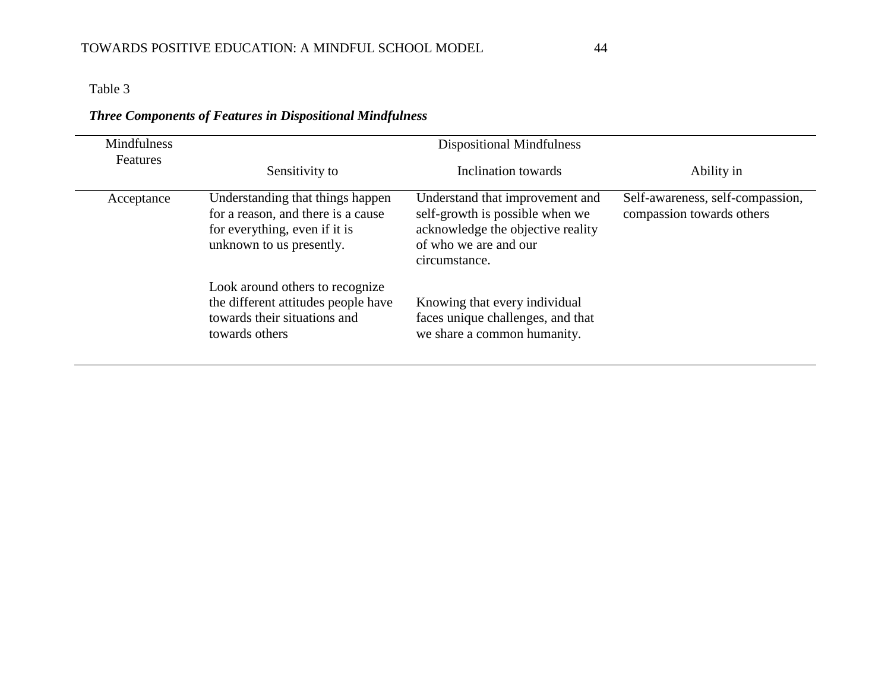| <b>Mindfulness</b><br>Features | Dispositional Mindfulness                                                                                                           |                                                                                                                                                   |                                                               |
|--------------------------------|-------------------------------------------------------------------------------------------------------------------------------------|---------------------------------------------------------------------------------------------------------------------------------------------------|---------------------------------------------------------------|
|                                | Sensitivity to                                                                                                                      | Inclination towards                                                                                                                               | Ability in                                                    |
| Acceptance                     | Understanding that things happen<br>for a reason, and there is a cause<br>for everything, even if it is<br>unknown to us presently. | Understand that improvement and<br>self-growth is possible when we<br>acknowledge the objective reality<br>of who we are and our<br>circumstance. | Self-awareness, self-compassion,<br>compassion towards others |
|                                | Look around others to recognize<br>the different attitudes people have<br>towards their situations and<br>towards others            | Knowing that every individual<br>faces unique challenges, and that<br>we share a common humanity.                                                 |                                                               |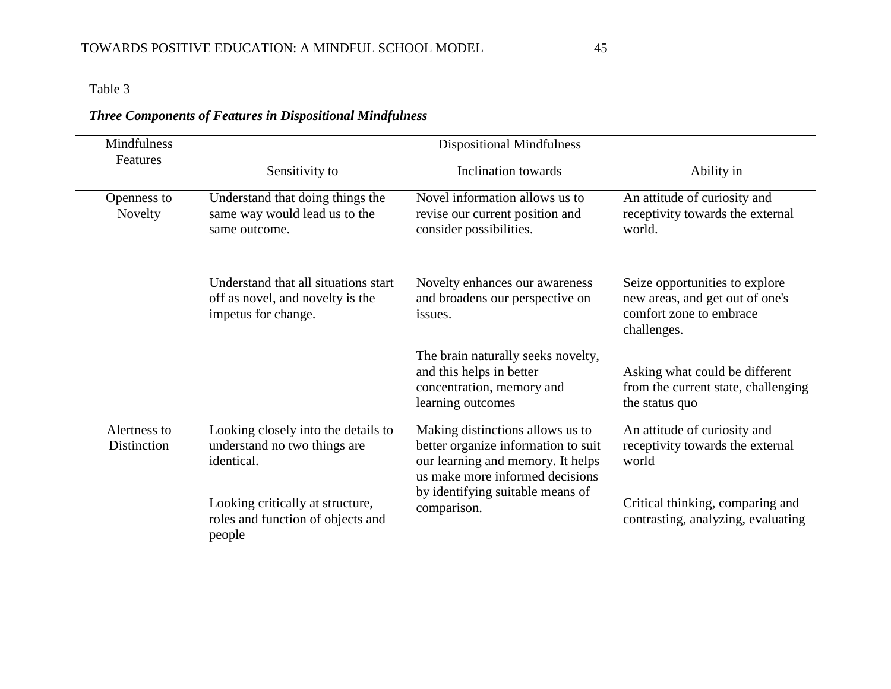# *Three Components of Features in Dispositional Mindfulness*

| Mindfulness<br>Features     | <b>Dispositional Mindfulness</b>                                                                |                                                                                                                                                 |                                                                                                             |
|-----------------------------|-------------------------------------------------------------------------------------------------|-------------------------------------------------------------------------------------------------------------------------------------------------|-------------------------------------------------------------------------------------------------------------|
|                             | Sensitivity to                                                                                  | <b>Inclination</b> towards                                                                                                                      | Ability in                                                                                                  |
| Openness to<br>Novelty      | Understand that doing things the<br>same way would lead us to the<br>same outcome.              | Novel information allows us to<br>revise our current position and<br>consider possibilities.                                                    | An attitude of curiosity and<br>receptivity towards the external<br>world.                                  |
|                             | Understand that all situations start<br>off as novel, and novelty is the<br>impetus for change. | Novelty enhances our awareness<br>and broadens our perspective on<br>issues.                                                                    | Seize opportunities to explore<br>new areas, and get out of one's<br>comfort zone to embrace<br>challenges. |
|                             |                                                                                                 | The brain naturally seeks novelty,<br>and this helps in better<br>concentration, memory and<br>learning outcomes                                | Asking what could be different<br>from the current state, challenging<br>the status quo                     |
| Alertness to<br>Distinction | Looking closely into the details to<br>understand no two things are<br>identical.               | Making distinctions allows us to<br>better organize information to suit<br>our learning and memory. It helps<br>us make more informed decisions | An attitude of curiosity and<br>receptivity towards the external<br>world                                   |
|                             | Looking critically at structure,<br>roles and function of objects and<br>people                 | by identifying suitable means of<br>comparison.                                                                                                 | Critical thinking, comparing and<br>contrasting, analyzing, evaluating                                      |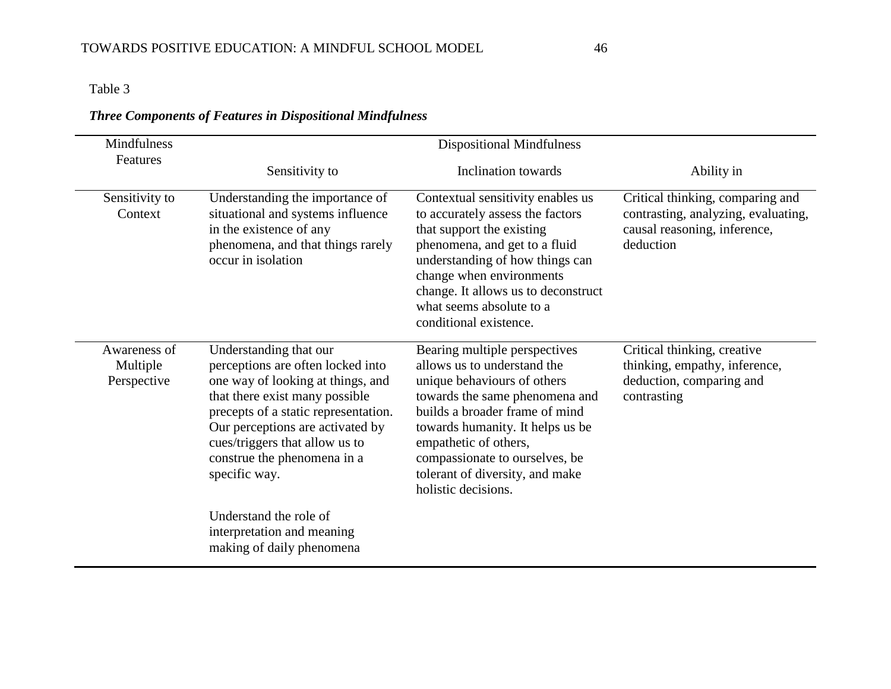# *Three Components of Features in Dispositional Mindfulness*

| <b>Mindfulness</b>                      | <b>Dispositional Mindfulness</b>                                                                                                                                                                                                                                                                 |                                                                                                                                                                                                                                                                                                                          |                                                                                                                      |
|-----------------------------------------|--------------------------------------------------------------------------------------------------------------------------------------------------------------------------------------------------------------------------------------------------------------------------------------------------|--------------------------------------------------------------------------------------------------------------------------------------------------------------------------------------------------------------------------------------------------------------------------------------------------------------------------|----------------------------------------------------------------------------------------------------------------------|
| Features                                | Sensitivity to                                                                                                                                                                                                                                                                                   | <b>Inclination</b> towards                                                                                                                                                                                                                                                                                               | Ability in                                                                                                           |
| Sensitivity to<br>Context               | Understanding the importance of<br>situational and systems influence<br>in the existence of any<br>phenomena, and that things rarely<br>occur in isolation                                                                                                                                       | Contextual sensitivity enables us<br>to accurately assess the factors<br>that support the existing<br>phenomena, and get to a fluid<br>understanding of how things can<br>change when environments<br>change. It allows us to deconstruct<br>what seems absolute to a<br>conditional existence.                          | Critical thinking, comparing and<br>contrasting, analyzing, evaluating,<br>causal reasoning, inference,<br>deduction |
| Awareness of<br>Multiple<br>Perspective | Understanding that our<br>perceptions are often locked into<br>one way of looking at things, and<br>that there exist many possible<br>precepts of a static representation.<br>Our perceptions are activated by<br>cues/triggers that allow us to<br>construe the phenomena in a<br>specific way. | Bearing multiple perspectives<br>allows us to understand the<br>unique behaviours of others<br>towards the same phenomena and<br>builds a broader frame of mind<br>towards humanity. It helps us be<br>empathetic of others,<br>compassionate to ourselves, be<br>tolerant of diversity, and make<br>holistic decisions. | Critical thinking, creative<br>thinking, empathy, inference,<br>deduction, comparing and<br>contrasting              |
|                                         | Understand the role of<br>interpretation and meaning<br>making of daily phenomena                                                                                                                                                                                                                |                                                                                                                                                                                                                                                                                                                          |                                                                                                                      |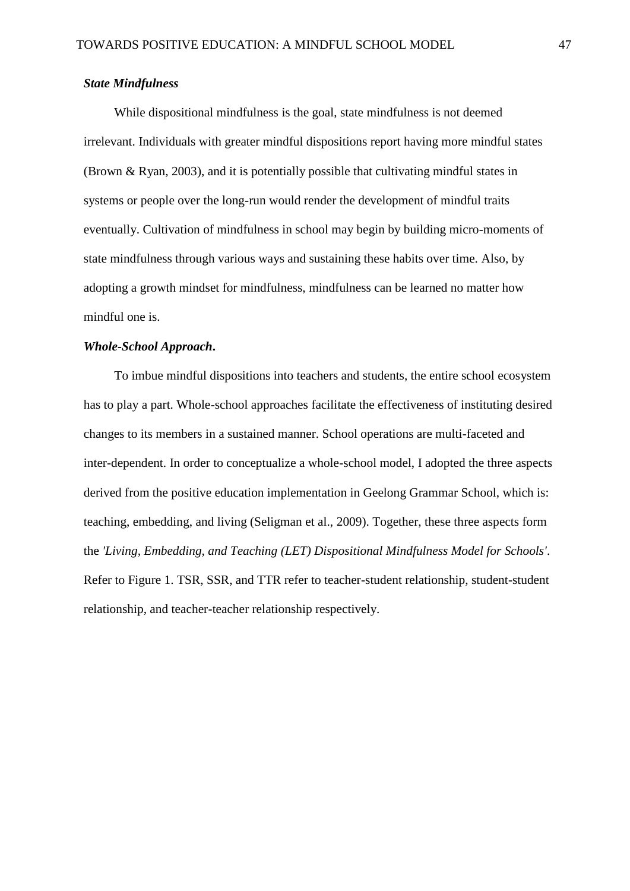### *State Mindfulness*

While dispositional mindfulness is the goal, state mindfulness is not deemed irrelevant. Individuals with greater mindful dispositions report having more mindful states (Brown & Ryan, 2003), and it is potentially possible that cultivating mindful states in systems or people over the long-run would render the development of mindful traits eventually. Cultivation of mindfulness in school may begin by building micro-moments of state mindfulness through various ways and sustaining these habits over time. Also, by adopting a growth mindset for mindfulness, mindfulness can be learned no matter how mindful one is.

## *Whole-School Approach***.**

To imbue mindful dispositions into teachers and students, the entire school ecosystem has to play a part. Whole-school approaches facilitate the effectiveness of instituting desired changes to its members in a sustained manner. School operations are multi-faceted and inter-dependent. In order to conceptualize a whole-school model, I adopted the three aspects derived from the positive education implementation in Geelong Grammar School, which is: teaching, embedding, and living (Seligman et al., 2009). Together, these three aspects form the *'Living, Embedding, and Teaching (LET) Dispositional Mindfulness Model for Schools'*. Refer to Figure 1. TSR, SSR, and TTR refer to teacher-student relationship, student-student relationship, and teacher-teacher relationship respectively.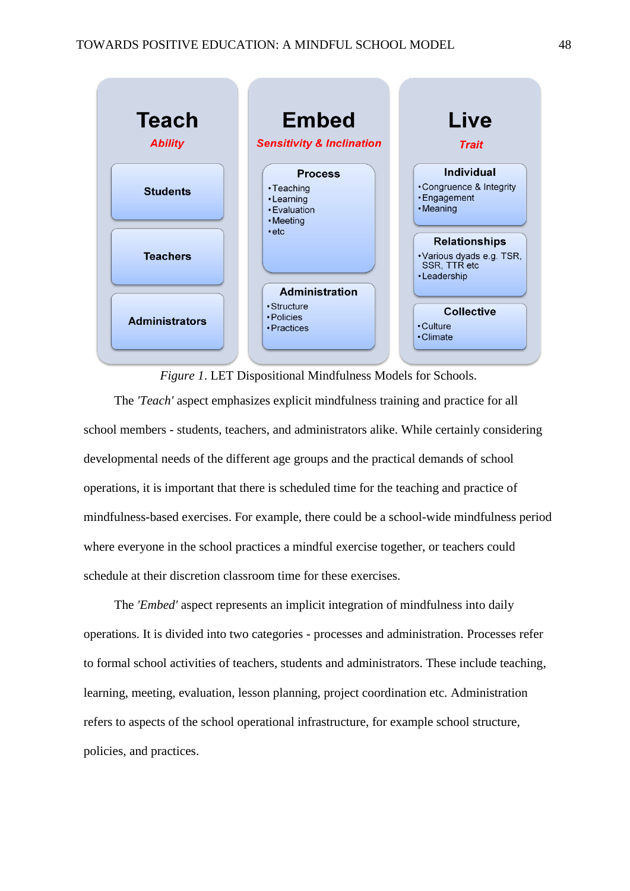

*Figure 1*. LET Dispositional Mindfulness Models for Schools.

The *'Teach'* aspect emphasizes explicit mindfulness training and practice for all school members - students, teachers, and administrators alike. While certainly considering developmental needs of the different age groups and the practical demands of school operations, it is important that there is scheduled time for the teaching and practice of mindfulness-based exercises. For example, there could be a school-wide mindfulness period where everyone in the school practices a mindful exercise together, or teachers could schedule at their discretion classroom time for these exercises.

The *'Embed'* aspect represents an implicit integration of mindfulness into daily operations. It is divided into two categories - processes and administration. Processes refer to formal school activities of teachers, students and administrators. These include teaching, learning, meeting, evaluation, lesson planning, project coordination etc. Administration refers to aspects of the school operational infrastructure, for example school structure, policies, and practices.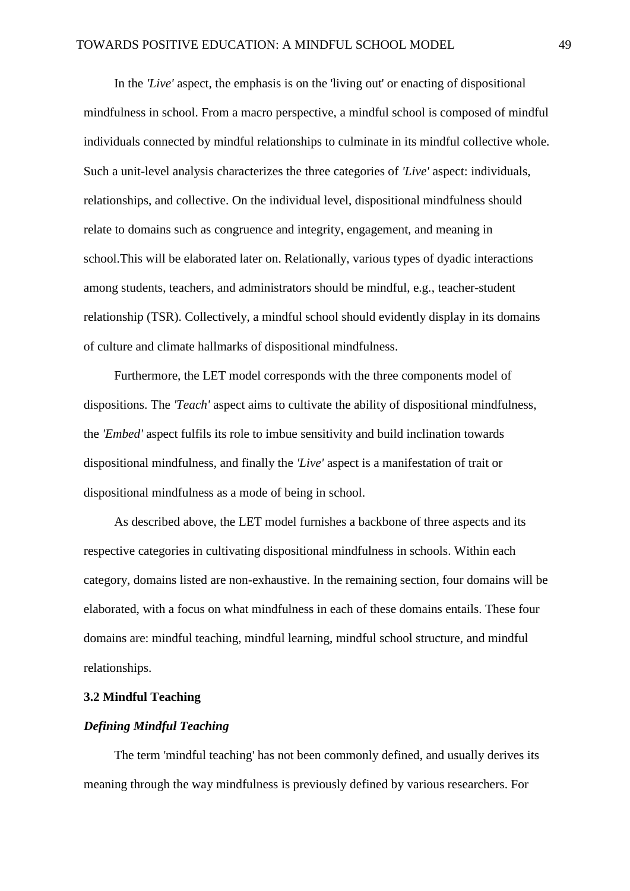In the *'Live'* aspect, the emphasis is on the 'living out' or enacting of dispositional mindfulness in school. From a macro perspective, a mindful school is composed of mindful individuals connected by mindful relationships to culminate in its mindful collective whole. Such a unit-level analysis characterizes the three categories of *'Live'* aspect: individuals, relationships, and collective. On the individual level, dispositional mindfulness should relate to domains such as congruence and integrity, engagement, and meaning in school.This will be elaborated later on. Relationally, various types of dyadic interactions among students, teachers, and administrators should be mindful, e.g., teacher-student relationship (TSR). Collectively, a mindful school should evidently display in its domains of culture and climate hallmarks of dispositional mindfulness.

Furthermore, the LET model corresponds with the three components model of dispositions. The *'Teach'* aspect aims to cultivate the ability of dispositional mindfulness, the *'Embed'* aspect fulfils its role to imbue sensitivity and build inclination towards dispositional mindfulness, and finally the *'Live'* aspect is a manifestation of trait or dispositional mindfulness as a mode of being in school.

As described above, the LET model furnishes a backbone of three aspects and its respective categories in cultivating dispositional mindfulness in schools. Within each category, domains listed are non-exhaustive. In the remaining section, four domains will be elaborated, with a focus on what mindfulness in each of these domains entails. These four domains are: mindful teaching, mindful learning, mindful school structure, and mindful relationships.

## **3.2 Mindful Teaching**

## *Defining Mindful Teaching*

The term 'mindful teaching' has not been commonly defined, and usually derives its meaning through the way mindfulness is previously defined by various researchers. For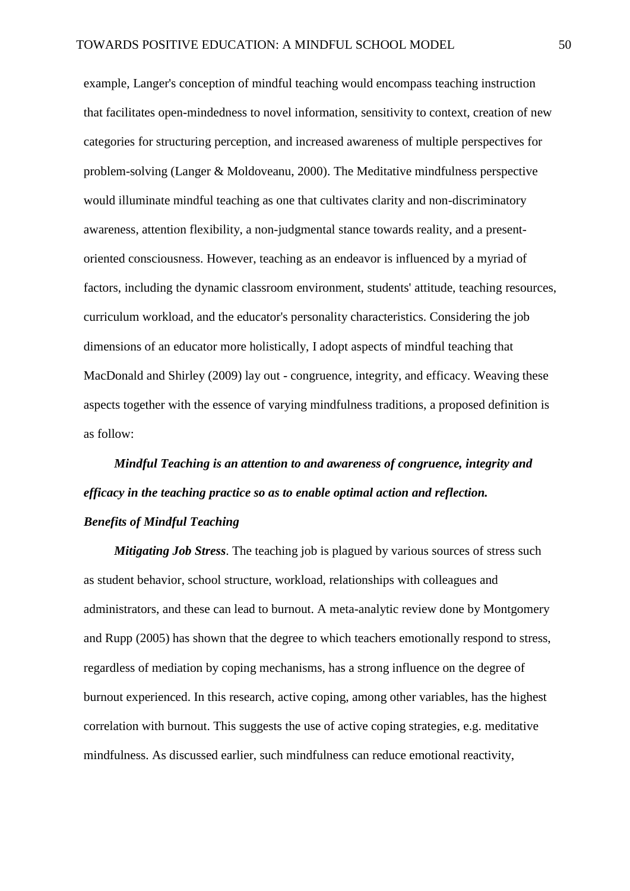example, Langer's conception of mindful teaching would encompass teaching instruction that facilitates open-mindedness to novel information, sensitivity to context, creation of new categories for structuring perception, and increased awareness of multiple perspectives for problem-solving (Langer & Moldoveanu, 2000). The Meditative mindfulness perspective would illuminate mindful teaching as one that cultivates clarity and non-discriminatory awareness, attention flexibility, a non-judgmental stance towards reality, and a presentoriented consciousness. However, teaching as an endeavor is influenced by a myriad of factors, including the dynamic classroom environment, students' attitude, teaching resources, curriculum workload, and the educator's personality characteristics. Considering the job dimensions of an educator more holistically, I adopt aspects of mindful teaching that MacDonald and Shirley (2009) lay out - congruence, integrity, and efficacy. Weaving these aspects together with the essence of varying mindfulness traditions, a proposed definition is as follow:

*Mindful Teaching is an attention to and awareness of congruence, integrity and efficacy in the teaching practice so as to enable optimal action and reflection. Benefits of Mindful Teaching*

*Mitigating Job Stress.* The teaching job is plagued by various sources of stress such as student behavior, school structure, workload, relationships with colleagues and administrators, and these can lead to burnout. A meta-analytic review done by Montgomery and Rupp (2005) has shown that the degree to which teachers emotionally respond to stress, regardless of mediation by coping mechanisms, has a strong influence on the degree of burnout experienced. In this research, active coping, among other variables, has the highest correlation with burnout. This suggests the use of active coping strategies, e.g. meditative mindfulness. As discussed earlier, such mindfulness can reduce emotional reactivity,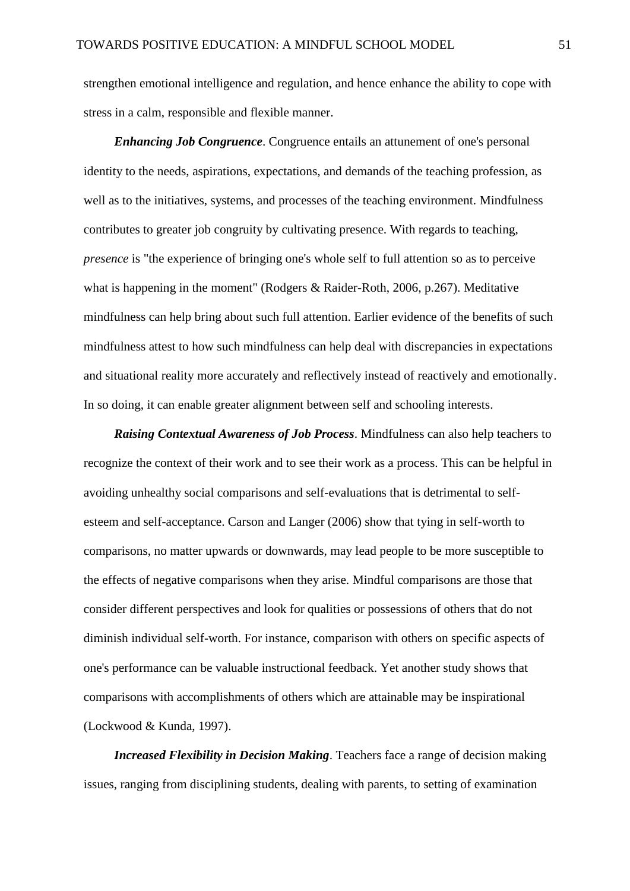strengthen emotional intelligence and regulation, and hence enhance the ability to cope with stress in a calm, responsible and flexible manner.

*Enhancing Job Congruence*. Congruence entails an attunement of one's personal identity to the needs, aspirations, expectations, and demands of the teaching profession, as well as to the initiatives, systems, and processes of the teaching environment. Mindfulness contributes to greater job congruity by cultivating presence. With regards to teaching, *presence* is "the experience of bringing one's whole self to full attention so as to perceive what is happening in the moment" (Rodgers & Raider-Roth, 2006, p.267). Meditative mindfulness can help bring about such full attention. Earlier evidence of the benefits of such mindfulness attest to how such mindfulness can help deal with discrepancies in expectations and situational reality more accurately and reflectively instead of reactively and emotionally. In so doing, it can enable greater alignment between self and schooling interests.

*Raising Contextual Awareness of Job Process*. Mindfulness can also help teachers to recognize the context of their work and to see their work as a process. This can be helpful in avoiding unhealthy social comparisons and self-evaluations that is detrimental to selfesteem and self-acceptance. Carson and Langer (2006) show that tying in self-worth to comparisons, no matter upwards or downwards, may lead people to be more susceptible to the effects of negative comparisons when they arise. Mindful comparisons are those that consider different perspectives and look for qualities or possessions of others that do not diminish individual self-worth. For instance, comparison with others on specific aspects of one's performance can be valuable instructional feedback. Yet another study shows that comparisons with accomplishments of others which are attainable may be inspirational (Lockwood & Kunda, 1997).

*Increased Flexibility in Decision Making*. Teachers face a range of decision making issues, ranging from disciplining students, dealing with parents, to setting of examination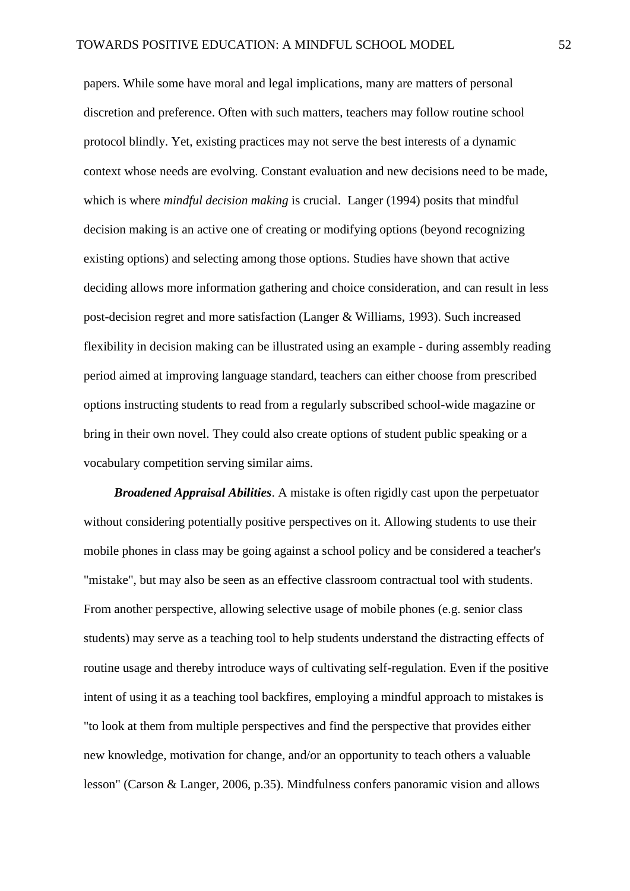papers. While some have moral and legal implications, many are matters of personal discretion and preference. Often with such matters, teachers may follow routine school protocol blindly. Yet, existing practices may not serve the best interests of a dynamic context whose needs are evolving. Constant evaluation and new decisions need to be made, which is where *mindful decision making* is crucial. Langer (1994) posits that mindful decision making is an active one of creating or modifying options (beyond recognizing existing options) and selecting among those options. Studies have shown that active deciding allows more information gathering and choice consideration, and can result in less post-decision regret and more satisfaction (Langer & Williams, 1993). Such increased flexibility in decision making can be illustrated using an example - during assembly reading period aimed at improving language standard, teachers can either choose from prescribed options instructing students to read from a regularly subscribed school-wide magazine or bring in their own novel. They could also create options of student public speaking or a vocabulary competition serving similar aims.

*Broadened Appraisal Abilities*. A mistake is often rigidly cast upon the perpetuator without considering potentially positive perspectives on it. Allowing students to use their mobile phones in class may be going against a school policy and be considered a teacher's "mistake", but may also be seen as an effective classroom contractual tool with students. From another perspective, allowing selective usage of mobile phones (e.g. senior class students) may serve as a teaching tool to help students understand the distracting effects of routine usage and thereby introduce ways of cultivating self-regulation. Even if the positive intent of using it as a teaching tool backfires, employing a mindful approach to mistakes is "to look at them from multiple perspectives and find the perspective that provides either new knowledge, motivation for change, and/or an opportunity to teach others a valuable lesson" (Carson & Langer, 2006, p.35). Mindfulness confers panoramic vision and allows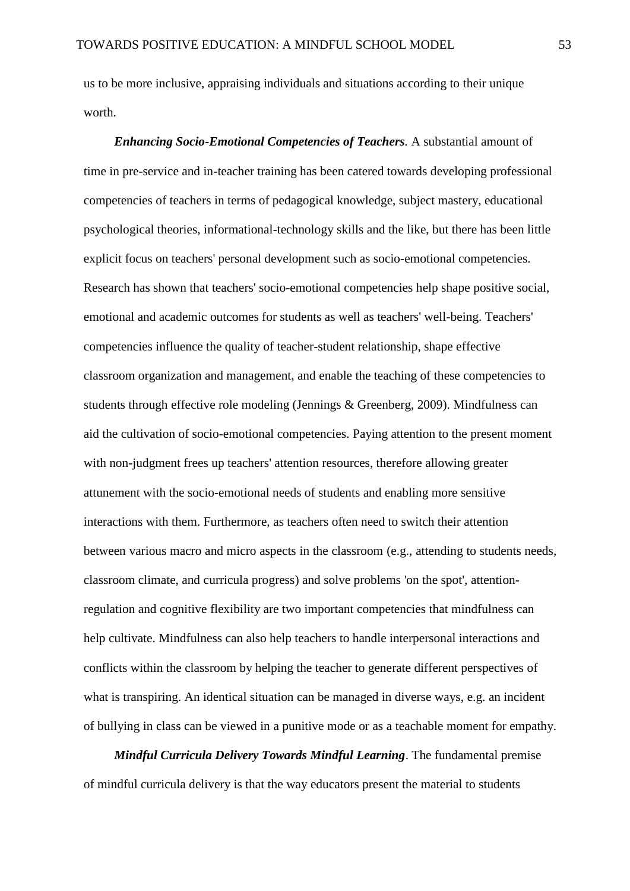us to be more inclusive, appraising individuals and situations according to their unique worth.

*Enhancing Socio-Emotional Competencies of Teachers.* A substantial amount of time in pre-service and in-teacher training has been catered towards developing professional competencies of teachers in terms of pedagogical knowledge, subject mastery, educational psychological theories, informational-technology skills and the like, but there has been little explicit focus on teachers' personal development such as socio-emotional competencies. Research has shown that teachers' socio-emotional competencies help shape positive social, emotional and academic outcomes for students as well as teachers' well-being. Teachers' competencies influence the quality of teacher-student relationship, shape effective classroom organization and management, and enable the teaching of these competencies to students through effective role modeling (Jennings & Greenberg, 2009). Mindfulness can aid the cultivation of socio-emotional competencies. Paying attention to the present moment with non-judgment frees up teachers' attention resources, therefore allowing greater attunement with the socio-emotional needs of students and enabling more sensitive interactions with them. Furthermore, as teachers often need to switch their attention between various macro and micro aspects in the classroom (e.g., attending to students needs, classroom climate, and curricula progress) and solve problems 'on the spot', attentionregulation and cognitive flexibility are two important competencies that mindfulness can help cultivate. Mindfulness can also help teachers to handle interpersonal interactions and conflicts within the classroom by helping the teacher to generate different perspectives of what is transpiring. An identical situation can be managed in diverse ways, e.g. an incident of bullying in class can be viewed in a punitive mode or as a teachable moment for empathy.

*Mindful Curricula Delivery Towards Mindful Learning*. The fundamental premise of mindful curricula delivery is that the way educators present the material to students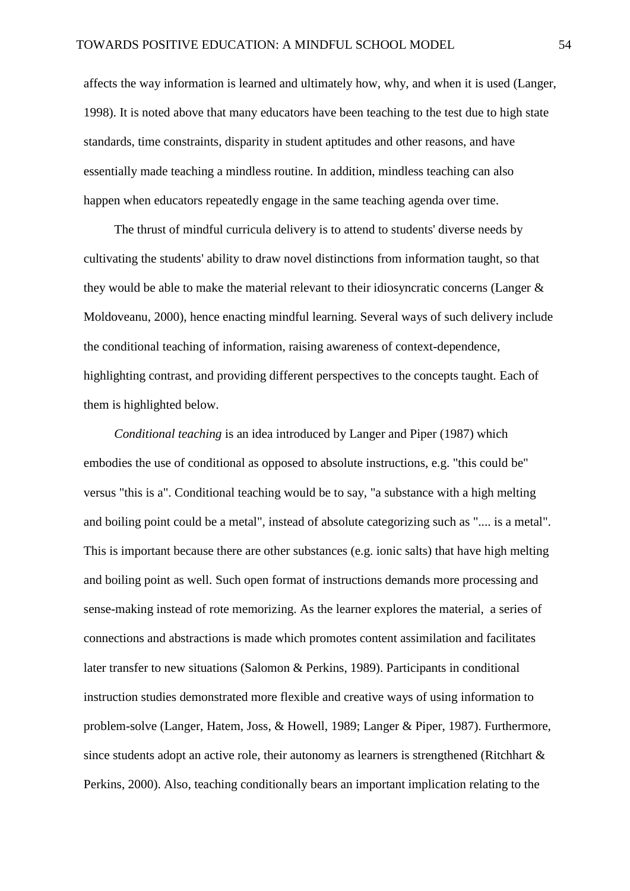affects the way information is learned and ultimately how, why, and when it is used (Langer, 1998). It is noted above that many educators have been teaching to the test due to high state standards, time constraints, disparity in student aptitudes and other reasons, and have essentially made teaching a mindless routine. In addition, mindless teaching can also happen when educators repeatedly engage in the same teaching agenda over time.

The thrust of mindful curricula delivery is to attend to students' diverse needs by cultivating the students' ability to draw novel distinctions from information taught, so that they would be able to make the material relevant to their idiosyncratic concerns (Langer & Moldoveanu, 2000), hence enacting mindful learning. Several ways of such delivery include the conditional teaching of information, raising awareness of context-dependence, highlighting contrast, and providing different perspectives to the concepts taught. Each of them is highlighted below.

*Conditional teaching* is an idea introduced by Langer and Piper (1987) which embodies the use of conditional as opposed to absolute instructions, e.g. "this could be" versus "this is a". Conditional teaching would be to say, "a substance with a high melting and boiling point could be a metal", instead of absolute categorizing such as ".... is a metal". This is important because there are other substances (e.g. ionic salts) that have high melting and boiling point as well. Such open format of instructions demands more processing and sense-making instead of rote memorizing. As the learner explores the material, a series of connections and abstractions is made which promotes content assimilation and facilitates later transfer to new situations (Salomon & Perkins, 1989). Participants in conditional instruction studies demonstrated more flexible and creative ways of using information to problem-solve (Langer, Hatem, Joss, & Howell, 1989; Langer & Piper, 1987). Furthermore, since students adopt an active role, their autonomy as learners is strengthened (Ritchhart & Perkins, 2000). Also, teaching conditionally bears an important implication relating to the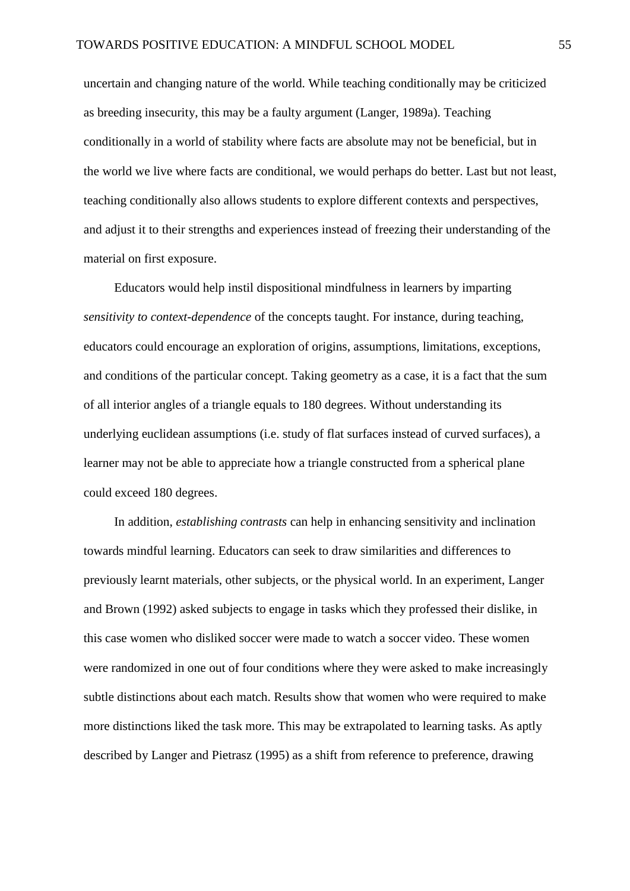uncertain and changing nature of the world. While teaching conditionally may be criticized as breeding insecurity, this may be a faulty argument (Langer, 1989a). Teaching conditionally in a world of stability where facts are absolute may not be beneficial, but in the world we live where facts are conditional, we would perhaps do better. Last but not least, teaching conditionally also allows students to explore different contexts and perspectives, and adjust it to their strengths and experiences instead of freezing their understanding of the material on first exposure.

Educators would help instil dispositional mindfulness in learners by imparting *sensitivity to context-dependence* of the concepts taught. For instance, during teaching, educators could encourage an exploration of origins, assumptions, limitations, exceptions, and conditions of the particular concept. Taking geometry as a case, it is a fact that the sum of all interior angles of a triangle equals to 180 degrees. Without understanding its underlying euclidean assumptions (i.e. study of flat surfaces instead of curved surfaces), a learner may not be able to appreciate how a triangle constructed from a spherical plane could exceed 180 degrees.

In addition, *establishing contrasts* can help in enhancing sensitivity and inclination towards mindful learning. Educators can seek to draw similarities and differences to previously learnt materials, other subjects, or the physical world. In an experiment, Langer and Brown (1992) asked subjects to engage in tasks which they professed their dislike, in this case women who disliked soccer were made to watch a soccer video. These women were randomized in one out of four conditions where they were asked to make increasingly subtle distinctions about each match. Results show that women who were required to make more distinctions liked the task more. This may be extrapolated to learning tasks. As aptly described by Langer and Pietrasz (1995) as a shift from reference to preference, drawing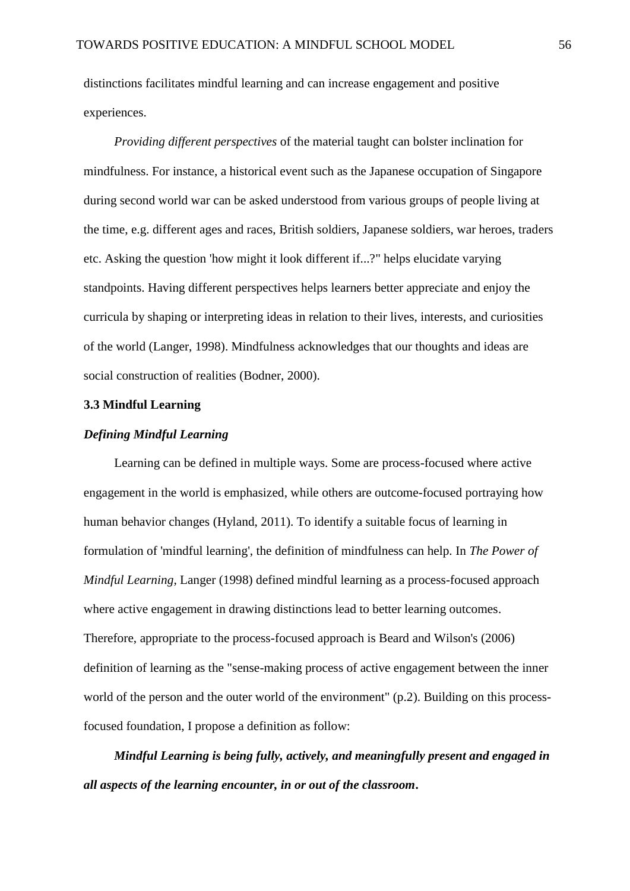distinctions facilitates mindful learning and can increase engagement and positive experiences.

*Providing different perspectives* of the material taught can bolster inclination for mindfulness. For instance, a historical event such as the Japanese occupation of Singapore during second world war can be asked understood from various groups of people living at the time, e.g. different ages and races, British soldiers, Japanese soldiers, war heroes, traders etc. Asking the question 'how might it look different if...?" helps elucidate varying standpoints. Having different perspectives helps learners better appreciate and enjoy the curricula by shaping or interpreting ideas in relation to their lives, interests, and curiosities of the world (Langer, 1998). Mindfulness acknowledges that our thoughts and ideas are social construction of realities (Bodner, 2000).

## **3.3 Mindful Learning**

## *Defining Mindful Learning*

Learning can be defined in multiple ways. Some are process-focused where active engagement in the world is emphasized, while others are outcome-focused portraying how human behavior changes (Hyland, 2011). To identify a suitable focus of learning in formulation of 'mindful learning', the definition of mindfulness can help. In *The Power of Mindful Learning*, Langer (1998) defined mindful learning as a process-focused approach where active engagement in drawing distinctions lead to better learning outcomes. Therefore, appropriate to the process-focused approach is Beard and Wilson's (2006) definition of learning as the "sense-making process of active engagement between the inner world of the person and the outer world of the environment" (p.2). Building on this processfocused foundation, I propose a definition as follow:

*Mindful Learning is being fully, actively, and meaningfully present and engaged in all aspects of the learning encounter, in or out of the classroom***.**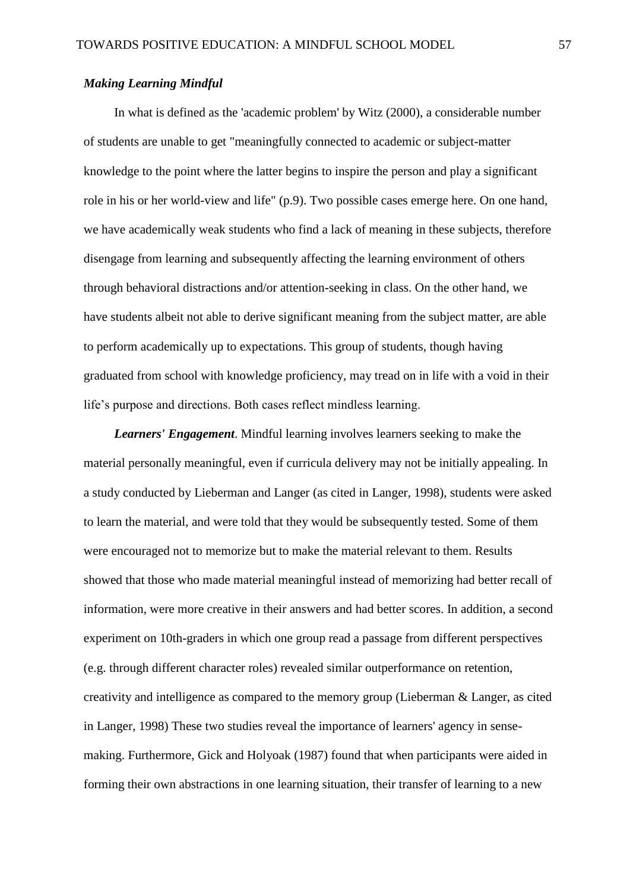### *Making Learning Mindful*

In what is defined as the 'academic problem' by Witz (2000), a considerable number of students are unable to get "meaningfully connected to academic or subject-matter knowledge to the point where the latter begins to inspire the person and play a significant role in his or her world-view and life" (p.9). Two possible cases emerge here. On one hand, we have academically weak students who find a lack of meaning in these subjects, therefore disengage from learning and subsequently affecting the learning environment of others through behavioral distractions and/or attention-seeking in class. On the other hand, we have students albeit not able to derive significant meaning from the subject matter, are able to perform academically up to expectations. This group of students, though having graduated from school with knowledge proficiency, may tread on in life with a void in their life's purpose and directions. Both cases reflect mindless learning.

*Learners' Engagement*. Mindful learning involves learners seeking to make the material personally meaningful, even if curricula delivery may not be initially appealing. In a study conducted by Lieberman and Langer (as cited in Langer, 1998), students were asked to learn the material, and were told that they would be subsequently tested. Some of them were encouraged not to memorize but to make the material relevant to them. Results showed that those who made material meaningful instead of memorizing had better recall of information, were more creative in their answers and had better scores. In addition, a second experiment on 10th-graders in which one group read a passage from different perspectives (e.g. through different character roles) revealed similar outperformance on retention, creativity and intelligence as compared to the memory group (Lieberman & Langer, as cited in Langer, 1998) These two studies reveal the importance of learners' agency in sensemaking. Furthermore, Gick and Holyoak (1987) found that when participants were aided in forming their own abstractions in one learning situation, their transfer of learning to a new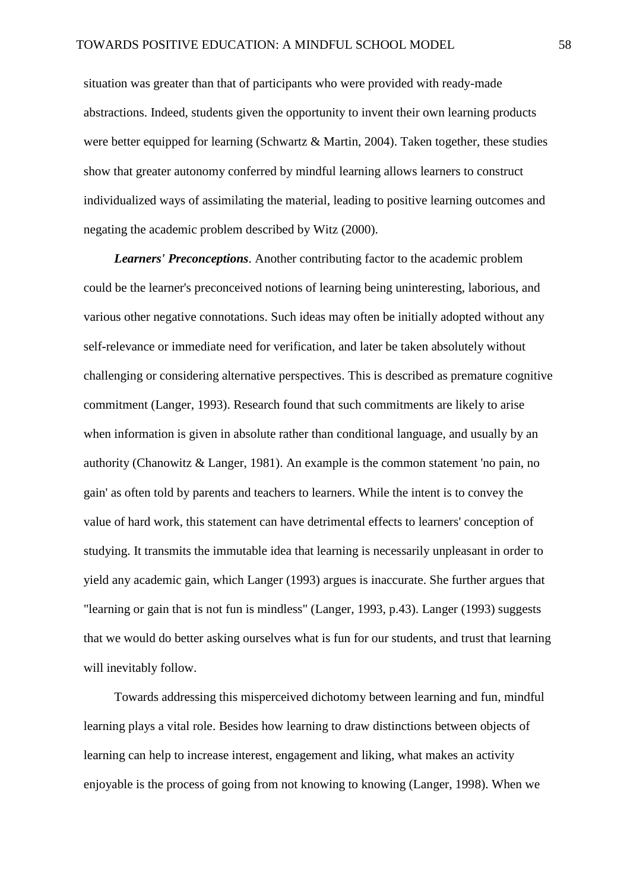situation was greater than that of participants who were provided with ready-made abstractions. Indeed, students given the opportunity to invent their own learning products were better equipped for learning (Schwartz & Martin, 2004). Taken together, these studies show that greater autonomy conferred by mindful learning allows learners to construct individualized ways of assimilating the material, leading to positive learning outcomes and negating the academic problem described by Witz (2000).

*Learners' Preconceptions*. Another contributing factor to the academic problem could be the learner's preconceived notions of learning being uninteresting, laborious, and various other negative connotations. Such ideas may often be initially adopted without any self-relevance or immediate need for verification, and later be taken absolutely without challenging or considering alternative perspectives. This is described as premature cognitive commitment (Langer, 1993). Research found that such commitments are likely to arise when information is given in absolute rather than conditional language, and usually by an authority (Chanowitz & Langer, 1981). An example is the common statement 'no pain, no gain' as often told by parents and teachers to learners. While the intent is to convey the value of hard work, this statement can have detrimental effects to learners' conception of studying. It transmits the immutable idea that learning is necessarily unpleasant in order to yield any academic gain, which Langer (1993) argues is inaccurate. She further argues that "learning or gain that is not fun is mindless" (Langer, 1993, p.43). Langer (1993) suggests that we would do better asking ourselves what is fun for our students, and trust that learning will inevitably follow.

Towards addressing this misperceived dichotomy between learning and fun, mindful learning plays a vital role. Besides how learning to draw distinctions between objects of learning can help to increase interest, engagement and liking, what makes an activity enjoyable is the process of going from not knowing to knowing (Langer, 1998). When we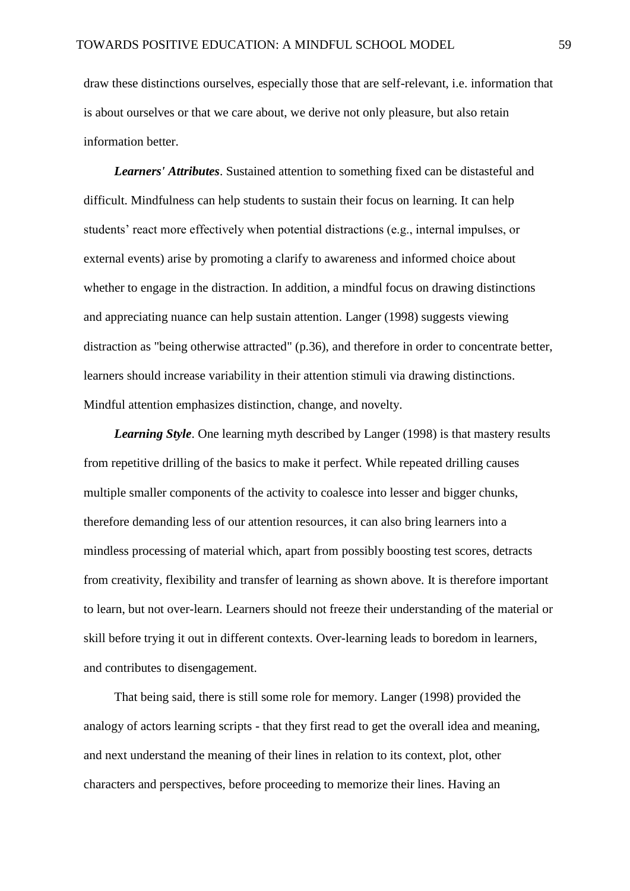draw these distinctions ourselves, especially those that are self-relevant, i.e. information that is about ourselves or that we care about, we derive not only pleasure, but also retain information better.

*Learners' Attributes*. Sustained attention to something fixed can be distasteful and difficult. Mindfulness can help students to sustain their focus on learning. It can help students' react more effectively when potential distractions (e.g., internal impulses, or external events) arise by promoting a clarify to awareness and informed choice about whether to engage in the distraction. In addition, a mindful focus on drawing distinctions and appreciating nuance can help sustain attention. Langer (1998) suggests viewing distraction as "being otherwise attracted" (p.36), and therefore in order to concentrate better, learners should increase variability in their attention stimuli via drawing distinctions. Mindful attention emphasizes distinction, change, and novelty.

*Learning Style*. One learning myth described by Langer (1998) is that mastery results from repetitive drilling of the basics to make it perfect. While repeated drilling causes multiple smaller components of the activity to coalesce into lesser and bigger chunks, therefore demanding less of our attention resources, it can also bring learners into a mindless processing of material which, apart from possibly boosting test scores, detracts from creativity, flexibility and transfer of learning as shown above. It is therefore important to learn, but not over-learn. Learners should not freeze their understanding of the material or skill before trying it out in different contexts. Over-learning leads to boredom in learners, and contributes to disengagement.

That being said, there is still some role for memory. Langer (1998) provided the analogy of actors learning scripts - that they first read to get the overall idea and meaning, and next understand the meaning of their lines in relation to its context, plot, other characters and perspectives, before proceeding to memorize their lines. Having an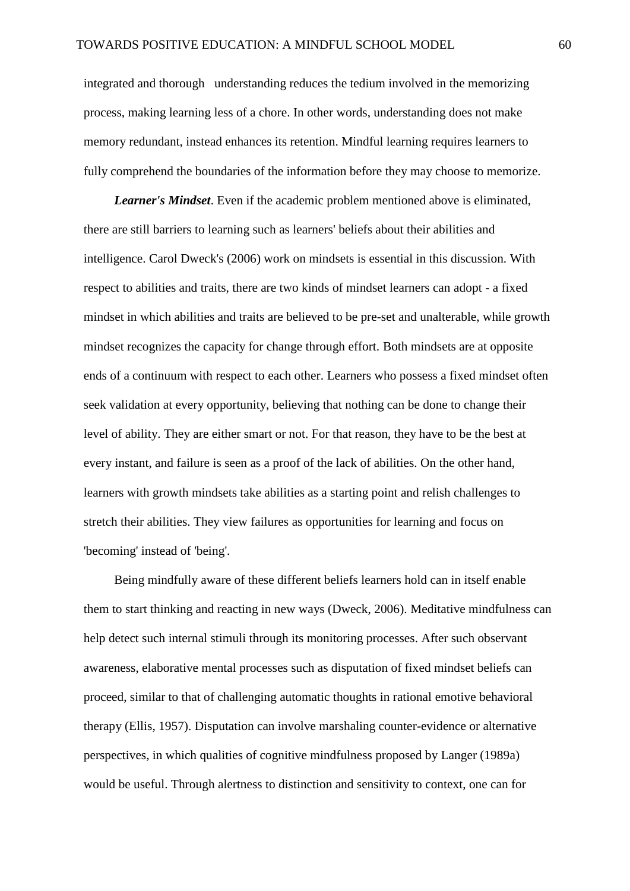integrated and thorough understanding reduces the tedium involved in the memorizing process, making learning less of a chore. In other words, understanding does not make memory redundant, instead enhances its retention. Mindful learning requires learners to fully comprehend the boundaries of the information before they may choose to memorize.

*Learner's Mindset*. Even if the academic problem mentioned above is eliminated, there are still barriers to learning such as learners' beliefs about their abilities and intelligence. Carol Dweck's (2006) work on mindsets is essential in this discussion. With respect to abilities and traits, there are two kinds of mindset learners can adopt - a fixed mindset in which abilities and traits are believed to be pre-set and unalterable, while growth mindset recognizes the capacity for change through effort. Both mindsets are at opposite ends of a continuum with respect to each other. Learners who possess a fixed mindset often seek validation at every opportunity, believing that nothing can be done to change their level of ability. They are either smart or not. For that reason, they have to be the best at every instant, and failure is seen as a proof of the lack of abilities. On the other hand, learners with growth mindsets take abilities as a starting point and relish challenges to stretch their abilities. They view failures as opportunities for learning and focus on 'becoming' instead of 'being'.

Being mindfully aware of these different beliefs learners hold can in itself enable them to start thinking and reacting in new ways (Dweck, 2006). Meditative mindfulness can help detect such internal stimuli through its monitoring processes. After such observant awareness, elaborative mental processes such as disputation of fixed mindset beliefs can proceed, similar to that of challenging automatic thoughts in rational emotive behavioral therapy (Ellis, 1957). Disputation can involve marshaling counter-evidence or alternative perspectives, in which qualities of cognitive mindfulness proposed by Langer (1989a) would be useful. Through alertness to distinction and sensitivity to context, one can for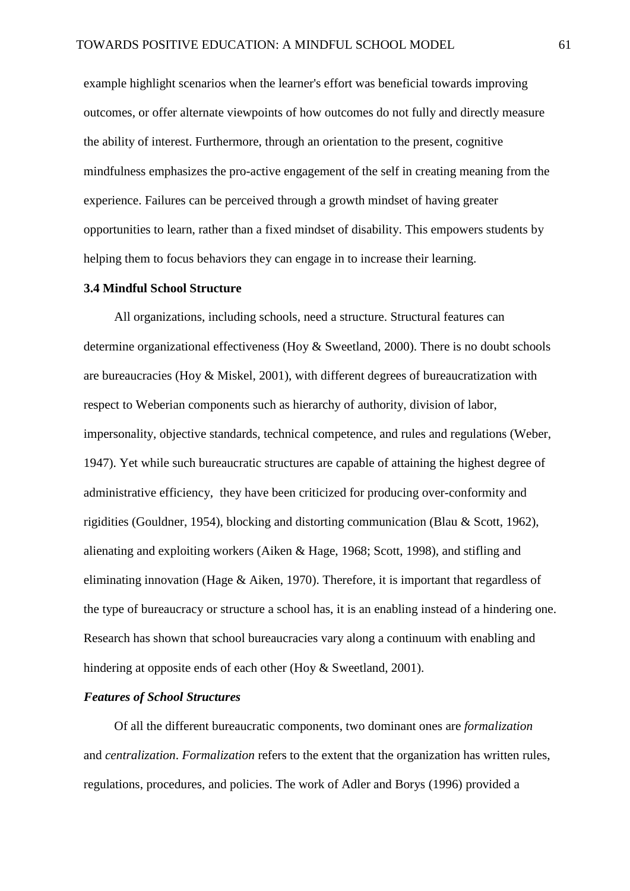example highlight scenarios when the learner's effort was beneficial towards improving outcomes, or offer alternate viewpoints of how outcomes do not fully and directly measure the ability of interest. Furthermore, through an orientation to the present, cognitive mindfulness emphasizes the pro-active engagement of the self in creating meaning from the experience. Failures can be perceived through a growth mindset of having greater opportunities to learn, rather than a fixed mindset of disability. This empowers students by helping them to focus behaviors they can engage in to increase their learning.

## **3.4 Mindful School Structure**

All organizations, including schools, need a structure. Structural features can determine organizational effectiveness (Hoy & Sweetland, 2000). There is no doubt schools are bureaucracies (Hoy & Miskel, 2001), with different degrees of bureaucratization with respect to Weberian components such as hierarchy of authority, division of labor, impersonality, objective standards, technical competence, and rules and regulations (Weber, 1947). Yet while such bureaucratic structures are capable of attaining the highest degree of administrative efficiency, they have been criticized for producing over-conformity and rigidities (Gouldner, 1954), blocking and distorting communication (Blau & Scott, 1962), alienating and exploiting workers (Aiken & Hage, 1968; Scott, 1998), and stifling and eliminating innovation (Hage & Aiken, 1970). Therefore, it is important that regardless of the type of bureaucracy or structure a school has, it is an enabling instead of a hindering one. Research has shown that school bureaucracies vary along a continuum with enabling and hindering at opposite ends of each other (Hoy & Sweetland, 2001).

## *Features of School Structures*

Of all the different bureaucratic components, two dominant ones are *formalization* and *centralization*. *Formalization* refers to the extent that the organization has written rules, regulations, procedures, and policies. The work of Adler and Borys (1996) provided a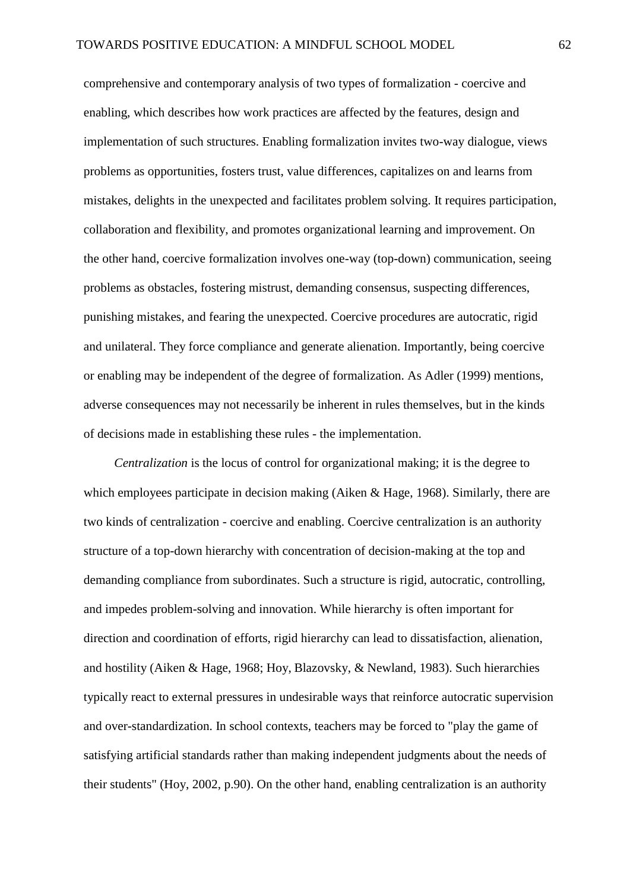comprehensive and contemporary analysis of two types of formalization - coercive and enabling, which describes how work practices are affected by the features, design and implementation of such structures. Enabling formalization invites two-way dialogue, views problems as opportunities, fosters trust, value differences, capitalizes on and learns from mistakes, delights in the unexpected and facilitates problem solving. It requires participation, collaboration and flexibility, and promotes organizational learning and improvement. On the other hand, coercive formalization involves one-way (top-down) communication, seeing problems as obstacles, fostering mistrust, demanding consensus, suspecting differences, punishing mistakes, and fearing the unexpected. Coercive procedures are autocratic, rigid and unilateral. They force compliance and generate alienation. Importantly, being coercive or enabling may be independent of the degree of formalization. As Adler (1999) mentions, adverse consequences may not necessarily be inherent in rules themselves, but in the kinds of decisions made in establishing these rules - the implementation.

*Centralization* is the locus of control for organizational making; it is the degree to which employees participate in decision making (Aiken & Hage, 1968). Similarly, there are two kinds of centralization - coercive and enabling. Coercive centralization is an authority structure of a top-down hierarchy with concentration of decision-making at the top and demanding compliance from subordinates. Such a structure is rigid, autocratic, controlling, and impedes problem-solving and innovation. While hierarchy is often important for direction and coordination of efforts, rigid hierarchy can lead to dissatisfaction, alienation, and hostility (Aiken & Hage, 1968; Hoy, Blazovsky, & Newland, 1983). Such hierarchies typically react to external pressures in undesirable ways that reinforce autocratic supervision and over-standardization. In school contexts, teachers may be forced to "play the game of satisfying artificial standards rather than making independent judgments about the needs of their students" (Hoy, 2002, p.90). On the other hand, enabling centralization is an authority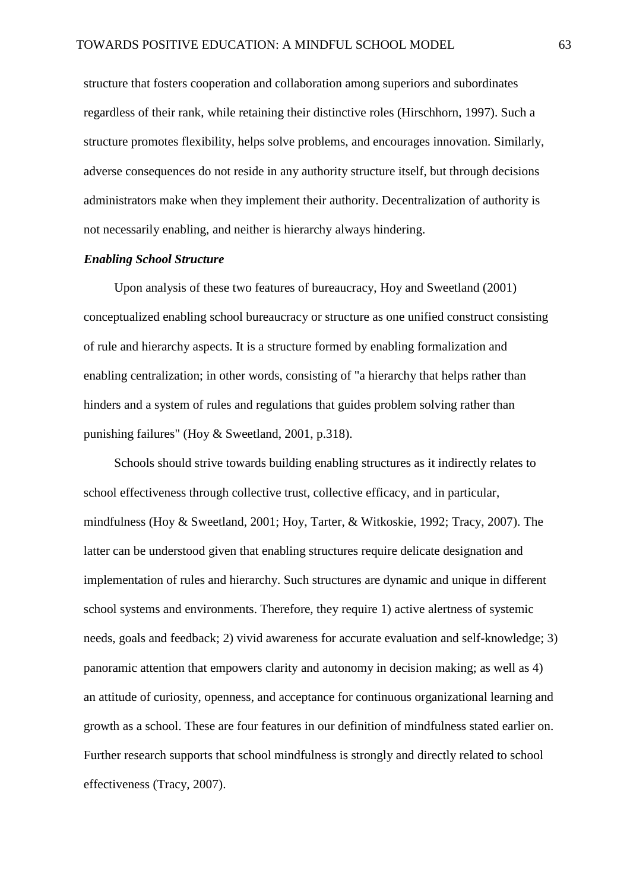structure that fosters cooperation and collaboration among superiors and subordinates regardless of their rank, while retaining their distinctive roles (Hirschhorn, 1997). Such a structure promotes flexibility, helps solve problems, and encourages innovation. Similarly, adverse consequences do not reside in any authority structure itself, but through decisions administrators make when they implement their authority. Decentralization of authority is not necessarily enabling, and neither is hierarchy always hindering.

#### *Enabling School Structure*

Upon analysis of these two features of bureaucracy, Hoy and Sweetland (2001) conceptualized enabling school bureaucracy or structure as one unified construct consisting of rule and hierarchy aspects. It is a structure formed by enabling formalization and enabling centralization; in other words, consisting of "a hierarchy that helps rather than hinders and a system of rules and regulations that guides problem solving rather than punishing failures" (Hoy & Sweetland, 2001, p.318).

Schools should strive towards building enabling structures as it indirectly relates to school effectiveness through collective trust, collective efficacy, and in particular, mindfulness (Hoy & Sweetland, 2001; Hoy, Tarter, & Witkoskie, 1992; Tracy, 2007). The latter can be understood given that enabling structures require delicate designation and implementation of rules and hierarchy. Such structures are dynamic and unique in different school systems and environments. Therefore, they require 1) active alertness of systemic needs, goals and feedback; 2) vivid awareness for accurate evaluation and self-knowledge; 3) panoramic attention that empowers clarity and autonomy in decision making; as well as 4) an attitude of curiosity, openness, and acceptance for continuous organizational learning and growth as a school. These are four features in our definition of mindfulness stated earlier on. Further research supports that school mindfulness is strongly and directly related to school effectiveness (Tracy, 2007).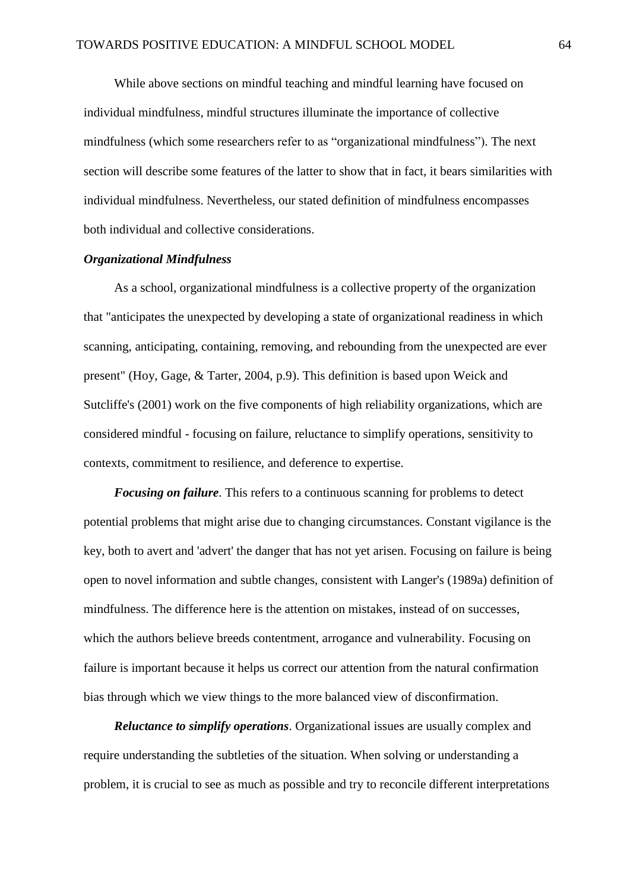While above sections on mindful teaching and mindful learning have focused on individual mindfulness, mindful structures illuminate the importance of collective mindfulness (which some researchers refer to as "organizational mindfulness"). The next section will describe some features of the latter to show that in fact, it bears similarities with individual mindfulness. Nevertheless, our stated definition of mindfulness encompasses both individual and collective considerations.

#### *Organizational Mindfulness*

As a school, organizational mindfulness is a collective property of the organization that "anticipates the unexpected by developing a state of organizational readiness in which scanning, anticipating, containing, removing, and rebounding from the unexpected are ever present" (Hoy, Gage, & Tarter, 2004, p.9). This definition is based upon Weick and Sutcliffe's (2001) work on the five components of high reliability organizations, which are considered mindful - focusing on failure, reluctance to simplify operations, sensitivity to contexts, commitment to resilience, and deference to expertise.

*Focusing on failure*. This refers to a continuous scanning for problems to detect potential problems that might arise due to changing circumstances. Constant vigilance is the key, both to avert and 'advert' the danger that has not yet arisen. Focusing on failure is being open to novel information and subtle changes, consistent with Langer's (1989a) definition of mindfulness. The difference here is the attention on mistakes, instead of on successes, which the authors believe breeds contentment, arrogance and vulnerability. Focusing on failure is important because it helps us correct our attention from the natural confirmation bias through which we view things to the more balanced view of disconfirmation.

*Reluctance to simplify operations*. Organizational issues are usually complex and require understanding the subtleties of the situation. When solving or understanding a problem, it is crucial to see as much as possible and try to reconcile different interpretations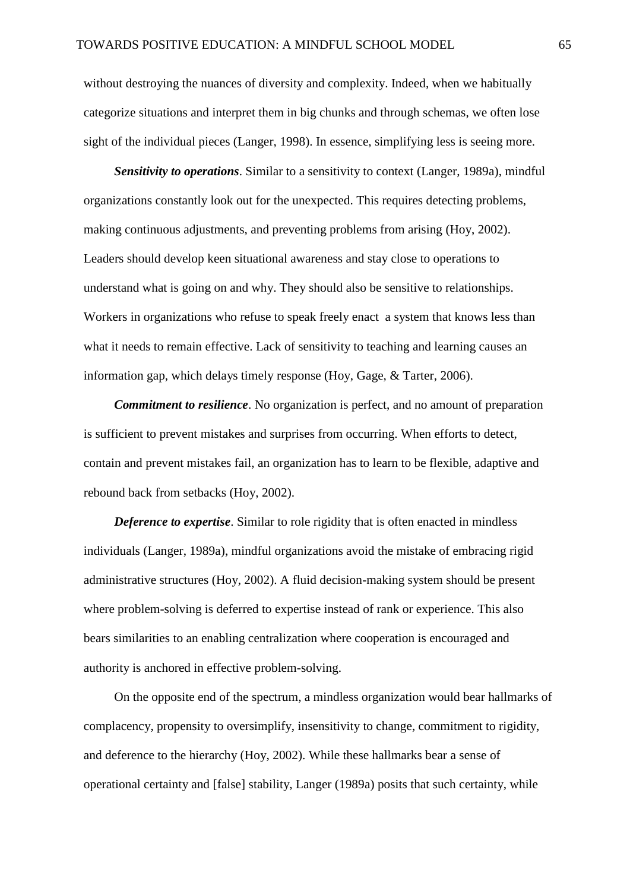without destroying the nuances of diversity and complexity. Indeed, when we habitually categorize situations and interpret them in big chunks and through schemas, we often lose sight of the individual pieces (Langer, 1998). In essence, simplifying less is seeing more.

*Sensitivity to operations*. Similar to a sensitivity to context (Langer, 1989a), mindful organizations constantly look out for the unexpected. This requires detecting problems, making continuous adjustments, and preventing problems from arising (Hoy, 2002). Leaders should develop keen situational awareness and stay close to operations to understand what is going on and why. They should also be sensitive to relationships. Workers in organizations who refuse to speak freely enact a system that knows less than what it needs to remain effective. Lack of sensitivity to teaching and learning causes an information gap, which delays timely response (Hoy, Gage, & Tarter, 2006).

*Commitment to resilience*. No organization is perfect, and no amount of preparation is sufficient to prevent mistakes and surprises from occurring. When efforts to detect, contain and prevent mistakes fail, an organization has to learn to be flexible, adaptive and rebound back from setbacks (Hoy, 2002).

*Deference to expertise*. Similar to role rigidity that is often enacted in mindless individuals (Langer, 1989a), mindful organizations avoid the mistake of embracing rigid administrative structures (Hoy, 2002). A fluid decision-making system should be present where problem-solving is deferred to expertise instead of rank or experience. This also bears similarities to an enabling centralization where cooperation is encouraged and authority is anchored in effective problem-solving.

On the opposite end of the spectrum, a mindless organization would bear hallmarks of complacency, propensity to oversimplify, insensitivity to change, commitment to rigidity, and deference to the hierarchy (Hoy, 2002). While these hallmarks bear a sense of operational certainty and [false] stability, Langer (1989a) posits that such certainty, while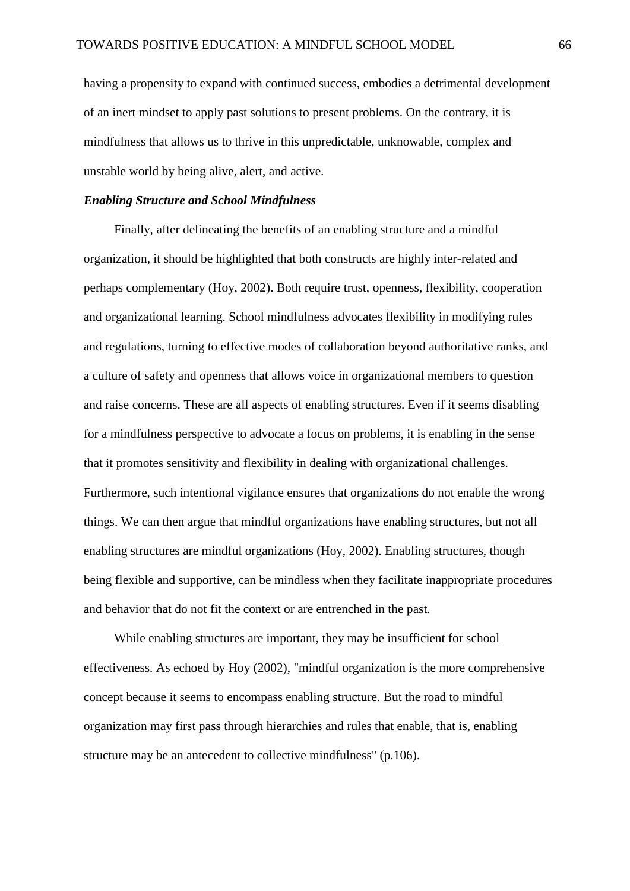having a propensity to expand with continued success, embodies a detrimental development of an inert mindset to apply past solutions to present problems. On the contrary, it is mindfulness that allows us to thrive in this unpredictable, unknowable, complex and unstable world by being alive, alert, and active.

### *Enabling Structure and School Mindfulness*

Finally, after delineating the benefits of an enabling structure and a mindful organization, it should be highlighted that both constructs are highly inter-related and perhaps complementary (Hoy, 2002). Both require trust, openness, flexibility, cooperation and organizational learning. School mindfulness advocates flexibility in modifying rules and regulations, turning to effective modes of collaboration beyond authoritative ranks, and a culture of safety and openness that allows voice in organizational members to question and raise concerns. These are all aspects of enabling structures. Even if it seems disabling for a mindfulness perspective to advocate a focus on problems, it is enabling in the sense that it promotes sensitivity and flexibility in dealing with organizational challenges. Furthermore, such intentional vigilance ensures that organizations do not enable the wrong things. We can then argue that mindful organizations have enabling structures, but not all enabling structures are mindful organizations (Hoy, 2002). Enabling structures, though being flexible and supportive, can be mindless when they facilitate inappropriate procedures and behavior that do not fit the context or are entrenched in the past.

While enabling structures are important, they may be insufficient for school effectiveness. As echoed by Hoy (2002), "mindful organization is the more comprehensive concept because it seems to encompass enabling structure. But the road to mindful organization may first pass through hierarchies and rules that enable, that is, enabling structure may be an antecedent to collective mindfulness" (p.106).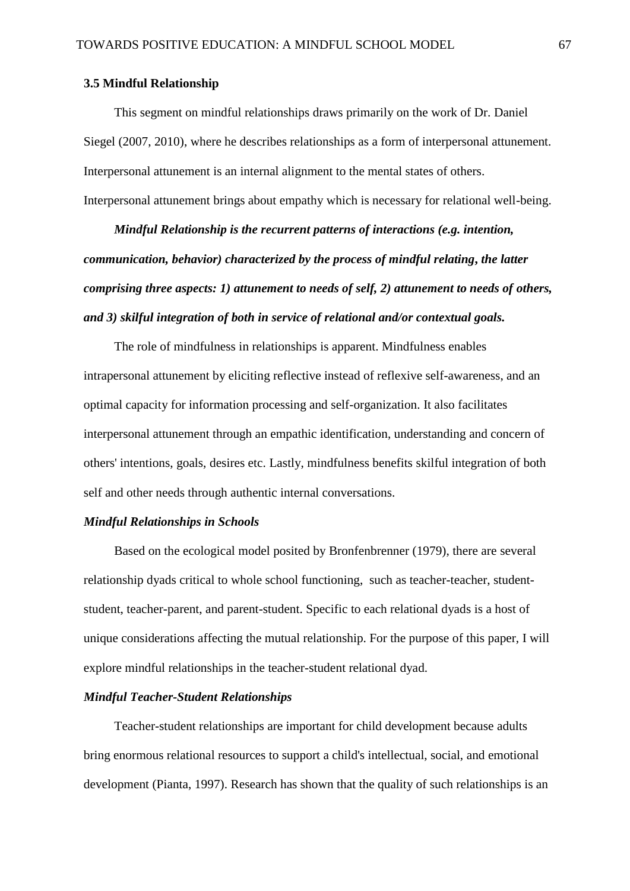## **3.5 Mindful Relationship**

This segment on mindful relationships draws primarily on the work of Dr. Daniel Siegel (2007, 2010), where he describes relationships as a form of interpersonal attunement. Interpersonal attunement is an internal alignment to the mental states of others. Interpersonal attunement brings about empathy which is necessary for relational well-being.

*Mindful Relationship is the recurrent patterns of interactions (e.g. intention, communication, behavior) characterized by the process of mindful relating***,** *the latter comprising three aspects: 1) attunement to needs of self, 2) attunement to needs of others, and 3) skilful integration of both in service of relational and/or contextual goals.*

The role of mindfulness in relationships is apparent. Mindfulness enables intrapersonal attunement by eliciting reflective instead of reflexive self-awareness, and an optimal capacity for information processing and self-organization. It also facilitates interpersonal attunement through an empathic identification, understanding and concern of others' intentions, goals, desires etc. Lastly, mindfulness benefits skilful integration of both self and other needs through authentic internal conversations.

### *Mindful Relationships in Schools*

Based on the ecological model posited by Bronfenbrenner (1979), there are several relationship dyads critical to whole school functioning, such as teacher-teacher, studentstudent, teacher-parent, and parent-student. Specific to each relational dyads is a host of unique considerations affecting the mutual relationship. For the purpose of this paper, I will explore mindful relationships in the teacher-student relational dyad.

## *Mindful Teacher-Student Relationships*

Teacher-student relationships are important for child development because adults bring enormous relational resources to support a child's intellectual, social, and emotional development (Pianta, 1997). Research has shown that the quality of such relationships is an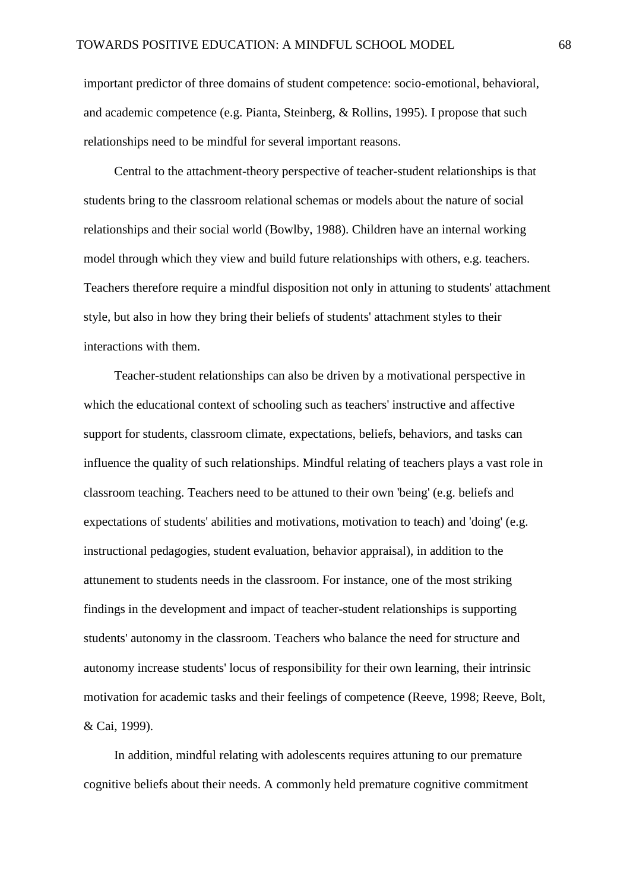important predictor of three domains of student competence: socio-emotional, behavioral, and academic competence (e.g. Pianta, Steinberg, & Rollins, 1995). I propose that such relationships need to be mindful for several important reasons.

Central to the attachment-theory perspective of teacher-student relationships is that students bring to the classroom relational schemas or models about the nature of social relationships and their social world (Bowlby, 1988). Children have an internal working model through which they view and build future relationships with others, e.g. teachers. Teachers therefore require a mindful disposition not only in attuning to students' attachment style, but also in how they bring their beliefs of students' attachment styles to their interactions with them.

Teacher-student relationships can also be driven by a motivational perspective in which the educational context of schooling such as teachers' instructive and affective support for students, classroom climate, expectations, beliefs, behaviors, and tasks can influence the quality of such relationships. Mindful relating of teachers plays a vast role in classroom teaching. Teachers need to be attuned to their own 'being' (e.g. beliefs and expectations of students' abilities and motivations, motivation to teach) and 'doing' (e.g. instructional pedagogies, student evaluation, behavior appraisal), in addition to the attunement to students needs in the classroom. For instance, one of the most striking findings in the development and impact of teacher-student relationships is supporting students' autonomy in the classroom. Teachers who balance the need for structure and autonomy increase students' locus of responsibility for their own learning, their intrinsic motivation for academic tasks and their feelings of competence (Reeve, 1998; Reeve, Bolt, & Cai, 1999).

In addition, mindful relating with adolescents requires attuning to our premature cognitive beliefs about their needs. A commonly held premature cognitive commitment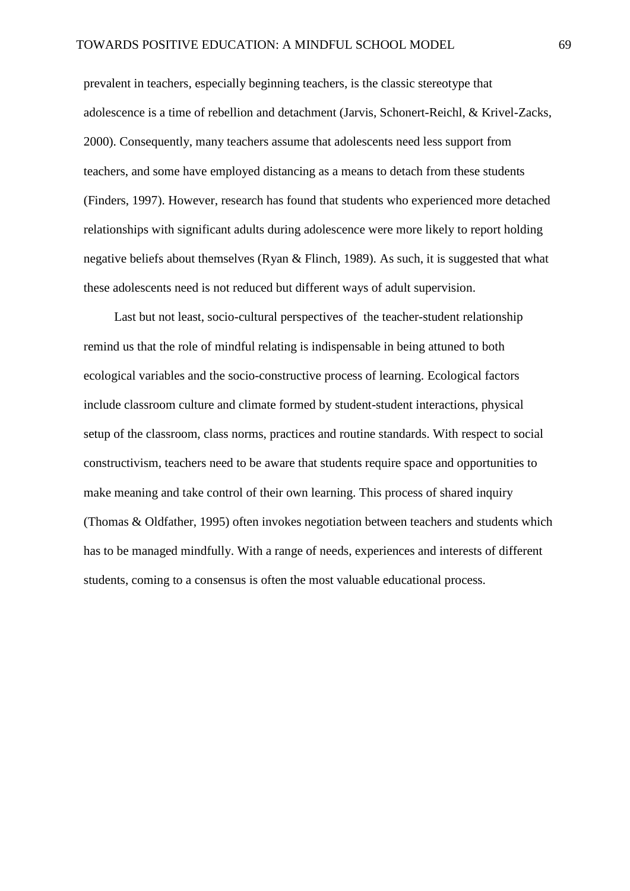prevalent in teachers, especially beginning teachers, is the classic stereotype that adolescence is a time of rebellion and detachment (Jarvis, Schonert-Reichl, & Krivel-Zacks, 2000). Consequently, many teachers assume that adolescents need less support from teachers, and some have employed distancing as a means to detach from these students (Finders, 1997). However, research has found that students who experienced more detached relationships with significant adults during adolescence were more likely to report holding negative beliefs about themselves (Ryan & Flinch, 1989). As such, it is suggested that what these adolescents need is not reduced but different ways of adult supervision.

Last but not least, socio-cultural perspectives of the teacher-student relationship remind us that the role of mindful relating is indispensable in being attuned to both ecological variables and the socio-constructive process of learning. Ecological factors include classroom culture and climate formed by student-student interactions, physical setup of the classroom, class norms, practices and routine standards. With respect to social constructivism, teachers need to be aware that students require space and opportunities to make meaning and take control of their own learning. This process of shared inquiry (Thomas & Oldfather, 1995) often invokes negotiation between teachers and students which has to be managed mindfully. With a range of needs, experiences and interests of different students, coming to a consensus is often the most valuable educational process.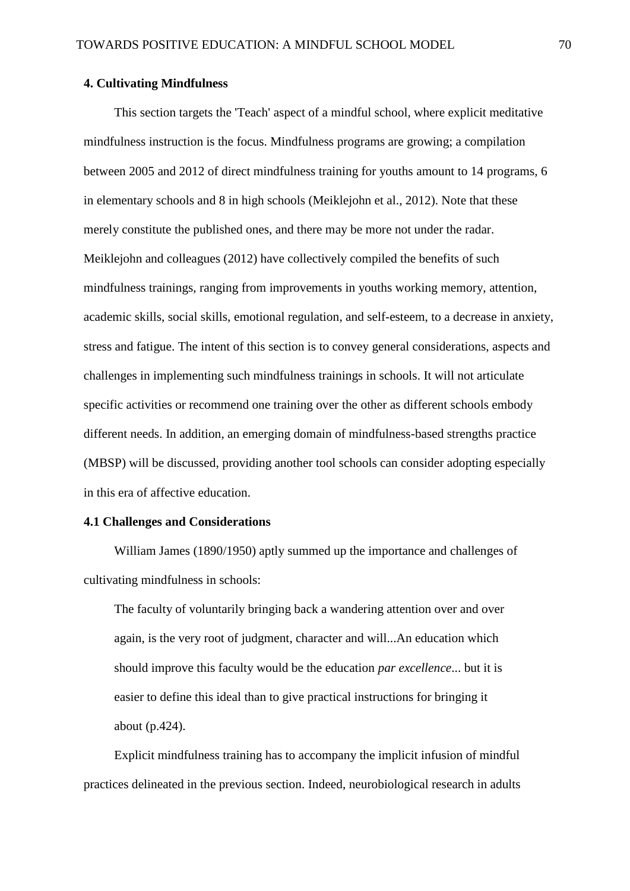## **4. Cultivating Mindfulness**

This section targets the 'Teach' aspect of a mindful school, where explicit meditative mindfulness instruction is the focus. Mindfulness programs are growing; a compilation between 2005 and 2012 of direct mindfulness training for youths amount to 14 programs, 6 in elementary schools and 8 in high schools (Meiklejohn et al., 2012). Note that these merely constitute the published ones, and there may be more not under the radar. Meiklejohn and colleagues (2012) have collectively compiled the benefits of such mindfulness trainings, ranging from improvements in youths working memory, attention, academic skills, social skills, emotional regulation, and self-esteem, to a decrease in anxiety, stress and fatigue. The intent of this section is to convey general considerations, aspects and challenges in implementing such mindfulness trainings in schools. It will not articulate specific activities or recommend one training over the other as different schools embody different needs. In addition, an emerging domain of mindfulness-based strengths practice (MBSP) will be discussed, providing another tool schools can consider adopting especially in this era of affective education.

### **4.1 Challenges and Considerations**

William James (1890/1950) aptly summed up the importance and challenges of cultivating mindfulness in schools:

The faculty of voluntarily bringing back a wandering attention over and over again, is the very root of judgment, character and will...An education which should improve this faculty would be the education *par excellence*... but it is easier to define this ideal than to give practical instructions for bringing it about (p.424).

Explicit mindfulness training has to accompany the implicit infusion of mindful practices delineated in the previous section. Indeed, neurobiological research in adults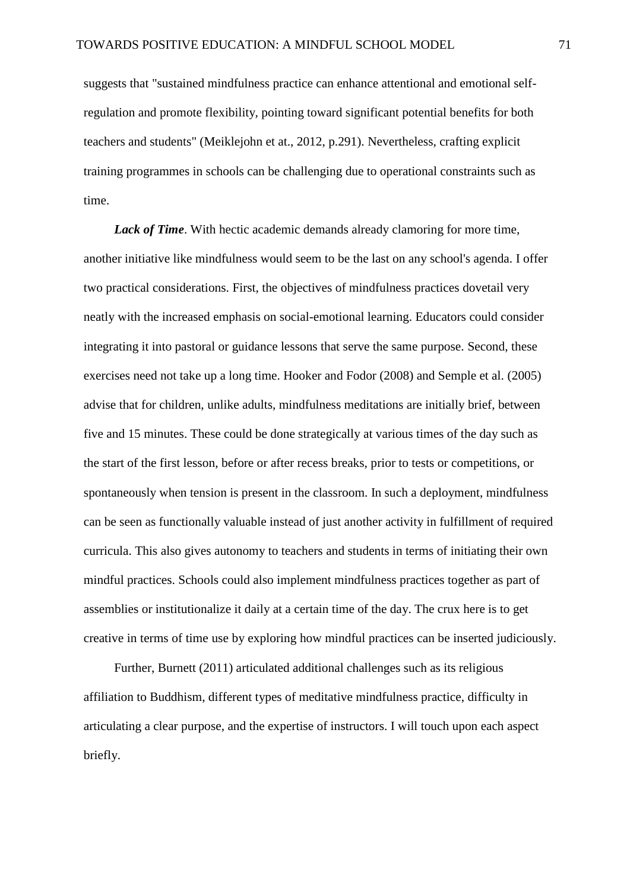suggests that "sustained mindfulness practice can enhance attentional and emotional selfregulation and promote flexibility, pointing toward significant potential benefits for both teachers and students" (Meiklejohn et at., 2012, p.291). Nevertheless, crafting explicit training programmes in schools can be challenging due to operational constraints such as time.

*Lack of Time*. With hectic academic demands already clamoring for more time, another initiative like mindfulness would seem to be the last on any school's agenda. I offer two practical considerations. First, the objectives of mindfulness practices dovetail very neatly with the increased emphasis on social-emotional learning. Educators could consider integrating it into pastoral or guidance lessons that serve the same purpose. Second, these exercises need not take up a long time. Hooker and Fodor (2008) and Semple et al. (2005) advise that for children, unlike adults, mindfulness meditations are initially brief, between five and 15 minutes. These could be done strategically at various times of the day such as the start of the first lesson, before or after recess breaks, prior to tests or competitions, or spontaneously when tension is present in the classroom. In such a deployment, mindfulness can be seen as functionally valuable instead of just another activity in fulfillment of required curricula. This also gives autonomy to teachers and students in terms of initiating their own mindful practices. Schools could also implement mindfulness practices together as part of assemblies or institutionalize it daily at a certain time of the day. The crux here is to get creative in terms of time use by exploring how mindful practices can be inserted judiciously.

Further, Burnett (2011) articulated additional challenges such as its religious affiliation to Buddhism, different types of meditative mindfulness practice, difficulty in articulating a clear purpose, and the expertise of instructors. I will touch upon each aspect briefly.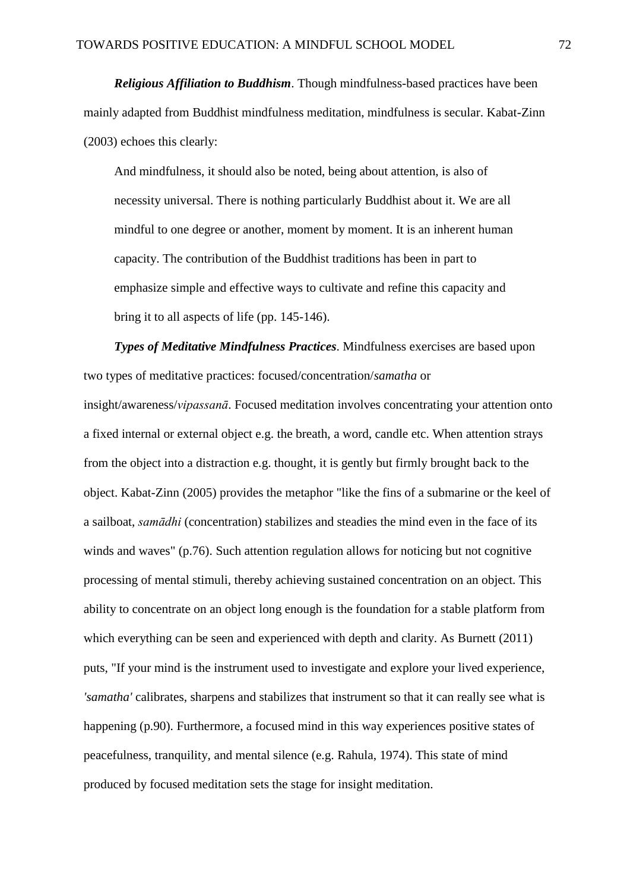*Religious Affiliation to Buddhism*. Though mindfulness-based practices have been mainly adapted from Buddhist mindfulness meditation, mindfulness is secular. Kabat-Zinn (2003) echoes this clearly:

And mindfulness, it should also be noted, being about attention, is also of necessity universal. There is nothing particularly Buddhist about it. We are all mindful to one degree or another, moment by moment. It is an inherent human capacity. The contribution of the Buddhist traditions has been in part to emphasize simple and effective ways to cultivate and refine this capacity and bring it to all aspects of life (pp. 145-146).

*Types of Meditative Mindfulness Practices*. Mindfulness exercises are based upon two types of meditative practices: focused/concentration/*samatha* or

insight/awareness/*vipassanā*. Focused meditation involves concentrating your attention onto a fixed internal or external object e.g. the breath, a word, candle etc. When attention strays from the object into a distraction e.g. thought, it is gently but firmly brought back to the object. Kabat-Zinn (2005) provides the metaphor "like the fins of a submarine or the keel of a sailboat, *samādhi* (concentration) stabilizes and steadies the mind even in the face of its winds and waves" (p.76). Such attention regulation allows for noticing but not cognitive processing of mental stimuli, thereby achieving sustained concentration on an object. This ability to concentrate on an object long enough is the foundation for a stable platform from which everything can be seen and experienced with depth and clarity. As Burnett (2011) puts, "If your mind is the instrument used to investigate and explore your lived experience, *'samatha'* calibrates, sharpens and stabilizes that instrument so that it can really see what is happening (p.90). Furthermore, a focused mind in this way experiences positive states of peacefulness, tranquility, and mental silence (e.g. Rahula, 1974). This state of mind produced by focused meditation sets the stage for insight meditation.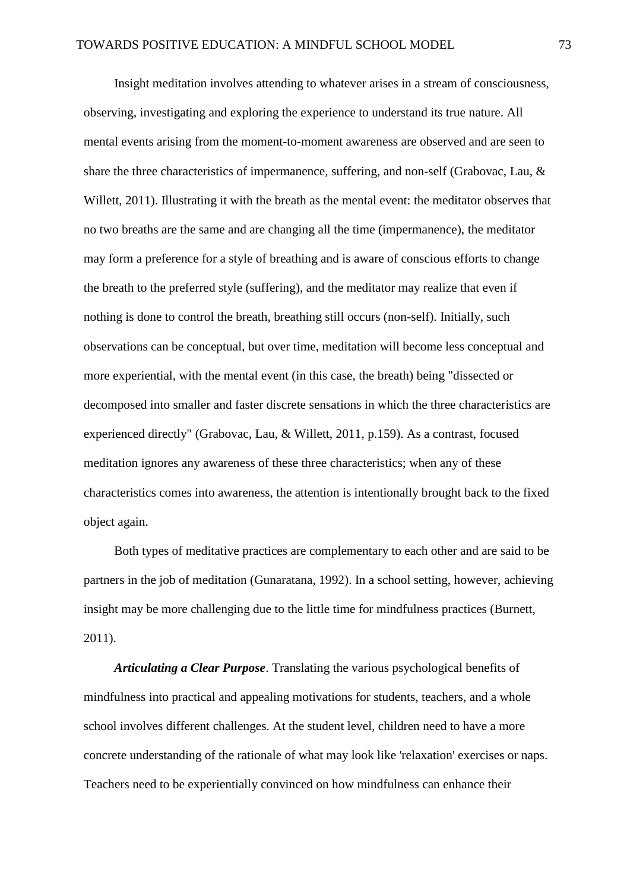Insight meditation involves attending to whatever arises in a stream of consciousness, observing, investigating and exploring the experience to understand its true nature. All mental events arising from the moment-to-moment awareness are observed and are seen to share the three characteristics of impermanence, suffering, and non-self (Grabovac, Lau, & Willett, 2011). Illustrating it with the breath as the mental event: the meditator observes that no two breaths are the same and are changing all the time (impermanence), the meditator may form a preference for a style of breathing and is aware of conscious efforts to change the breath to the preferred style (suffering), and the meditator may realize that even if nothing is done to control the breath, breathing still occurs (non-self). Initially, such observations can be conceptual, but over time, meditation will become less conceptual and more experiential, with the mental event (in this case, the breath) being "dissected or decomposed into smaller and faster discrete sensations in which the three characteristics are experienced directly" (Grabovac, Lau, & Willett, 2011, p.159). As a contrast, focused meditation ignores any awareness of these three characteristics; when any of these characteristics comes into awareness, the attention is intentionally brought back to the fixed object again.

Both types of meditative practices are complementary to each other and are said to be partners in the job of meditation (Gunaratana, 1992). In a school setting, however, achieving insight may be more challenging due to the little time for mindfulness practices (Burnett, 2011).

*Articulating a Clear Purpose*. Translating the various psychological benefits of mindfulness into practical and appealing motivations for students, teachers, and a whole school involves different challenges. At the student level, children need to have a more concrete understanding of the rationale of what may look like 'relaxation' exercises or naps. Teachers need to be experientially convinced on how mindfulness can enhance their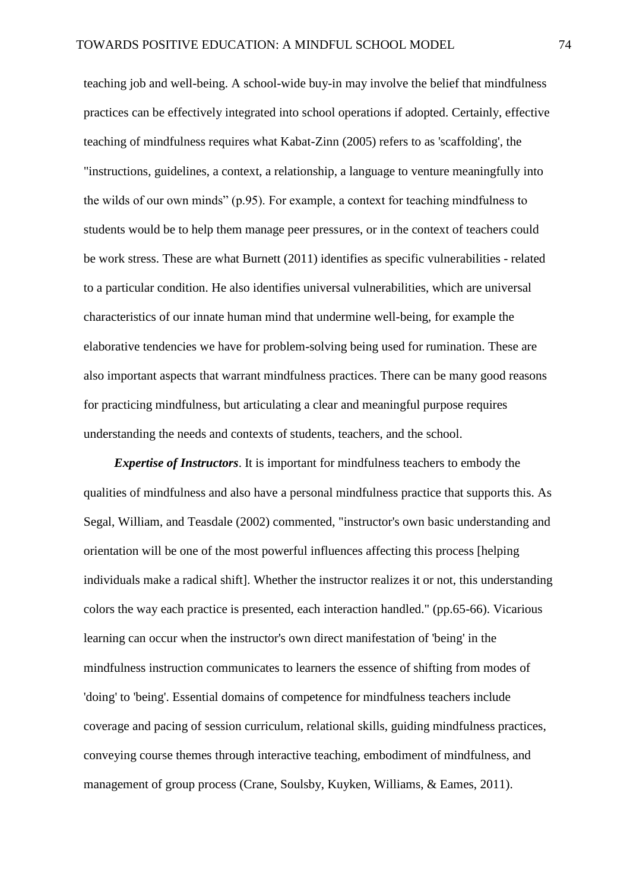teaching job and well-being. A school-wide buy-in may involve the belief that mindfulness practices can be effectively integrated into school operations if adopted. Certainly, effective teaching of mindfulness requires what Kabat-Zinn (2005) refers to as 'scaffolding', the "instructions, guidelines, a context, a relationship, a language to venture meaningfully into the wilds of our own minds" (p.95). For example, a context for teaching mindfulness to students would be to help them manage peer pressures, or in the context of teachers could be work stress. These are what Burnett (2011) identifies as specific vulnerabilities - related to a particular condition. He also identifies universal vulnerabilities, which are universal characteristics of our innate human mind that undermine well-being, for example the elaborative tendencies we have for problem-solving being used for rumination. These are also important aspects that warrant mindfulness practices. There can be many good reasons for practicing mindfulness, but articulating a clear and meaningful purpose requires understanding the needs and contexts of students, teachers, and the school.

*Expertise of Instructors*. It is important for mindfulness teachers to embody the qualities of mindfulness and also have a personal mindfulness practice that supports this. As Segal, William, and Teasdale (2002) commented, "instructor's own basic understanding and orientation will be one of the most powerful influences affecting this process [helping individuals make a radical shift]. Whether the instructor realizes it or not, this understanding colors the way each practice is presented, each interaction handled." (pp.65-66). Vicarious learning can occur when the instructor's own direct manifestation of 'being' in the mindfulness instruction communicates to learners the essence of shifting from modes of 'doing' to 'being'. Essential domains of competence for mindfulness teachers include coverage and pacing of session curriculum, relational skills, guiding mindfulness practices, conveying course themes through interactive teaching, embodiment of mindfulness, and management of group process (Crane, Soulsby, Kuyken, Williams, & Eames, 2011).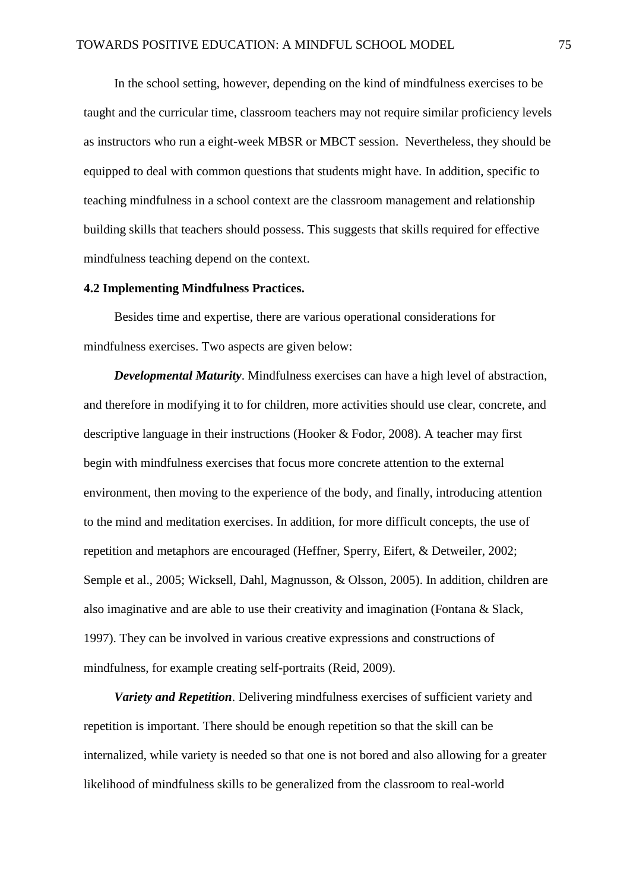In the school setting, however, depending on the kind of mindfulness exercises to be taught and the curricular time, classroom teachers may not require similar proficiency levels as instructors who run a eight-week MBSR or MBCT session. Nevertheless, they should be equipped to deal with common questions that students might have. In addition, specific to teaching mindfulness in a school context are the classroom management and relationship building skills that teachers should possess. This suggests that skills required for effective mindfulness teaching depend on the context.

### **4.2 Implementing Mindfulness Practices.**

Besides time and expertise, there are various operational considerations for mindfulness exercises. Two aspects are given below:

*Developmental Maturity*. Mindfulness exercises can have a high level of abstraction, and therefore in modifying it to for children, more activities should use clear, concrete, and descriptive language in their instructions (Hooker & Fodor, 2008). A teacher may first begin with mindfulness exercises that focus more concrete attention to the external environment, then moving to the experience of the body, and finally, introducing attention to the mind and meditation exercises. In addition, for more difficult concepts, the use of repetition and metaphors are encouraged (Heffner, Sperry, Eifert, & Detweiler, 2002; Semple et al., 2005; Wicksell, Dahl, Magnusson, & Olsson, 2005). In addition, children are also imaginative and are able to use their creativity and imagination (Fontana & Slack, 1997). They can be involved in various creative expressions and constructions of mindfulness, for example creating self-portraits (Reid, 2009).

*Variety and Repetition*. Delivering mindfulness exercises of sufficient variety and repetition is important. There should be enough repetition so that the skill can be internalized, while variety is needed so that one is not bored and also allowing for a greater likelihood of mindfulness skills to be generalized from the classroom to real-world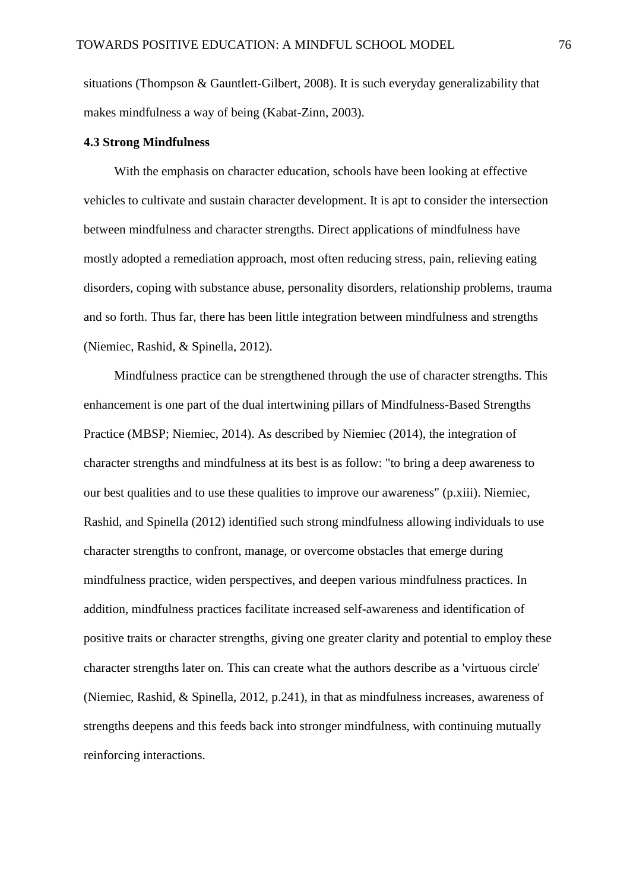situations (Thompson & Gauntlett-Gilbert, 2008). It is such everyday generalizability that makes mindfulness a way of being (Kabat-Zinn, 2003).

### **4.3 Strong Mindfulness**

With the emphasis on character education, schools have been looking at effective vehicles to cultivate and sustain character development. It is apt to consider the intersection between mindfulness and character strengths. Direct applications of mindfulness have mostly adopted a remediation approach, most often reducing stress, pain, relieving eating disorders, coping with substance abuse, personality disorders, relationship problems, trauma and so forth. Thus far, there has been little integration between mindfulness and strengths (Niemiec, Rashid, & Spinella, 2012).

Mindfulness practice can be strengthened through the use of character strengths. This enhancement is one part of the dual intertwining pillars of Mindfulness-Based Strengths Practice (MBSP; Niemiec, 2014). As described by Niemiec (2014), the integration of character strengths and mindfulness at its best is as follow: "to bring a deep awareness to our best qualities and to use these qualities to improve our awareness" (p.xiii). Niemiec, Rashid, and Spinella (2012) identified such strong mindfulness allowing individuals to use character strengths to confront, manage, or overcome obstacles that emerge during mindfulness practice, widen perspectives, and deepen various mindfulness practices. In addition, mindfulness practices facilitate increased self-awareness and identification of positive traits or character strengths, giving one greater clarity and potential to employ these character strengths later on. This can create what the authors describe as a 'virtuous circle' (Niemiec, Rashid, & Spinella, 2012, p.241), in that as mindfulness increases, awareness of strengths deepens and this feeds back into stronger mindfulness, with continuing mutually reinforcing interactions.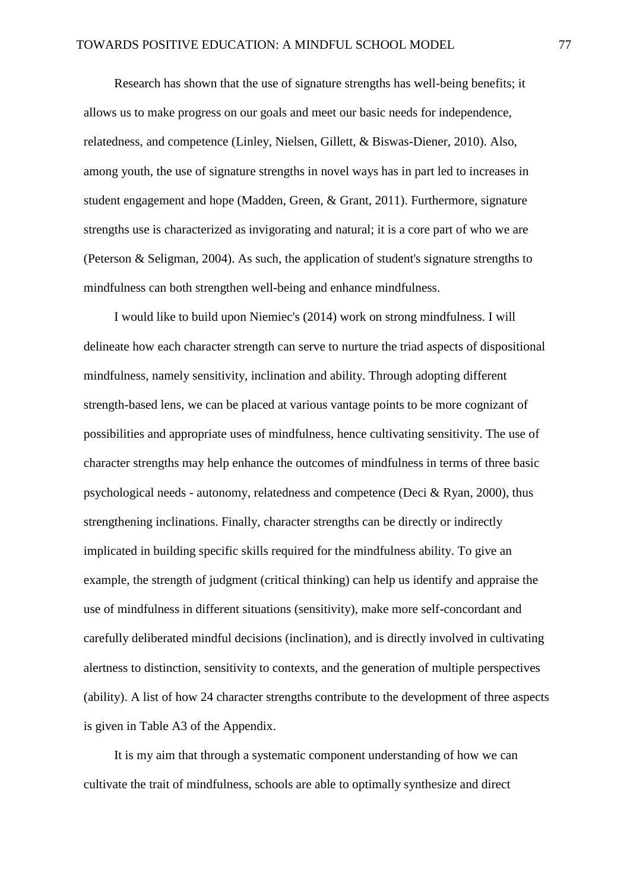Research has shown that the use of signature strengths has well-being benefits; it allows us to make progress on our goals and meet our basic needs for independence, relatedness, and competence (Linley, Nielsen, Gillett, & Biswas-Diener, 2010). Also, among youth, the use of signature strengths in novel ways has in part led to increases in student engagement and hope (Madden, Green, & Grant, 2011). Furthermore, signature strengths use is characterized as invigorating and natural; it is a core part of who we are (Peterson & Seligman, 2004). As such, the application of student's signature strengths to mindfulness can both strengthen well-being and enhance mindfulness.

I would like to build upon Niemiec's (2014) work on strong mindfulness. I will delineate how each character strength can serve to nurture the triad aspects of dispositional mindfulness, namely sensitivity, inclination and ability. Through adopting different strength-based lens, we can be placed at various vantage points to be more cognizant of possibilities and appropriate uses of mindfulness, hence cultivating sensitivity. The use of character strengths may help enhance the outcomes of mindfulness in terms of three basic psychological needs - autonomy, relatedness and competence (Deci  $& R$ yan, 2000), thus strengthening inclinations. Finally, character strengths can be directly or indirectly implicated in building specific skills required for the mindfulness ability. To give an example, the strength of judgment (critical thinking) can help us identify and appraise the use of mindfulness in different situations (sensitivity), make more self-concordant and carefully deliberated mindful decisions (inclination), and is directly involved in cultivating alertness to distinction, sensitivity to contexts, and the generation of multiple perspectives (ability). A list of how 24 character strengths contribute to the development of three aspects is given in Table A3 of the Appendix.

 It is my aim that through a systematic component understanding of how we can cultivate the trait of mindfulness, schools are able to optimally synthesize and direct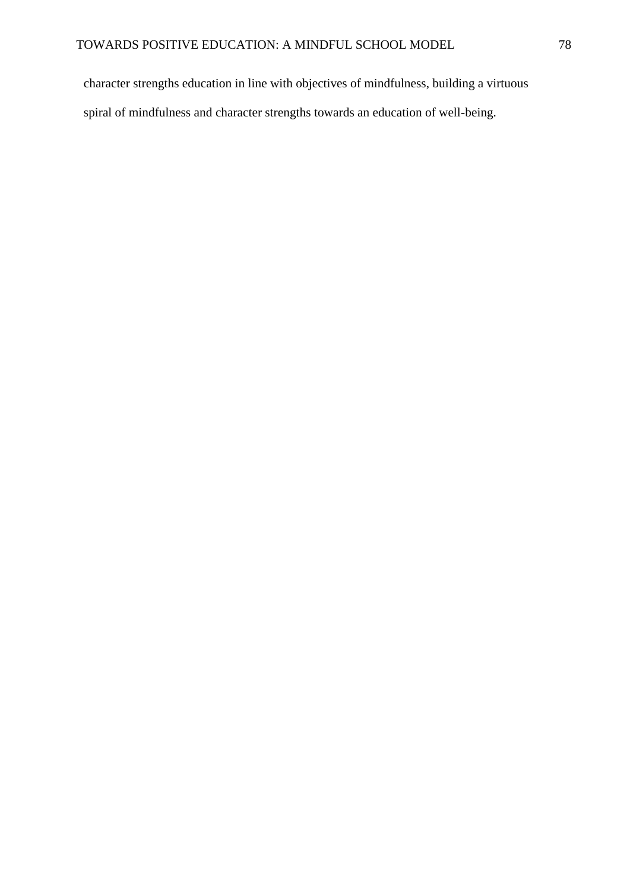character strengths education in line with objectives of mindfulness, building a virtuous spiral of mindfulness and character strengths towards an education of well-being.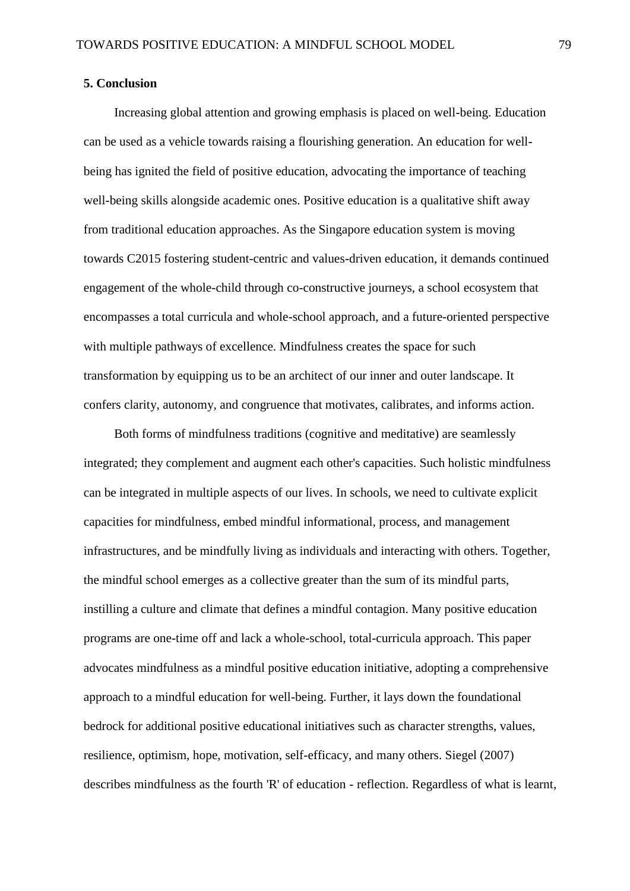## **5. Conclusion**

Increasing global attention and growing emphasis is placed on well-being. Education can be used as a vehicle towards raising a flourishing generation. An education for wellbeing has ignited the field of positive education, advocating the importance of teaching well-being skills alongside academic ones. Positive education is a qualitative shift away from traditional education approaches. As the Singapore education system is moving towards C2015 fostering student-centric and values-driven education, it demands continued engagement of the whole-child through co-constructive journeys, a school ecosystem that encompasses a total curricula and whole-school approach, and a future-oriented perspective with multiple pathways of excellence. Mindfulness creates the space for such transformation by equipping us to be an architect of our inner and outer landscape. It confers clarity, autonomy, and congruence that motivates, calibrates, and informs action.

Both forms of mindfulness traditions (cognitive and meditative) are seamlessly integrated; they complement and augment each other's capacities. Such holistic mindfulness can be integrated in multiple aspects of our lives. In schools, we need to cultivate explicit capacities for mindfulness, embed mindful informational, process, and management infrastructures, and be mindfully living as individuals and interacting with others. Together, the mindful school emerges as a collective greater than the sum of its mindful parts, instilling a culture and climate that defines a mindful contagion. Many positive education programs are one-time off and lack a whole-school, total-curricula approach. This paper advocates mindfulness as a mindful positive education initiative, adopting a comprehensive approach to a mindful education for well-being. Further, it lays down the foundational bedrock for additional positive educational initiatives such as character strengths, values, resilience, optimism, hope, motivation, self-efficacy, and many others. Siegel (2007) describes mindfulness as the fourth 'R' of education - reflection. Regardless of what is learnt,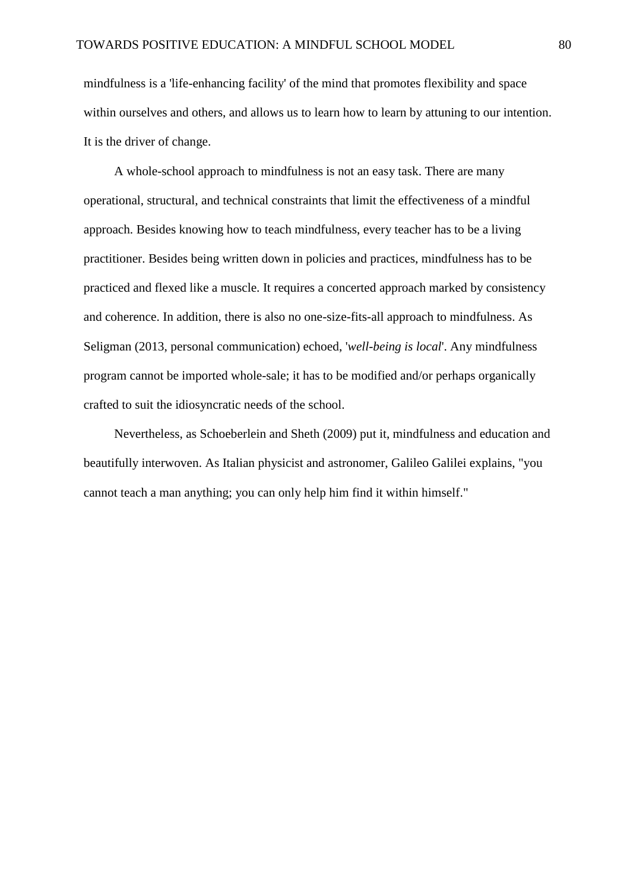mindfulness is a 'life-enhancing facility' of the mind that promotes flexibility and space within ourselves and others, and allows us to learn how to learn by attuning to our intention. It is the driver of change.

A whole-school approach to mindfulness is not an easy task. There are many operational, structural, and technical constraints that limit the effectiveness of a mindful approach. Besides knowing how to teach mindfulness, every teacher has to be a living practitioner. Besides being written down in policies and practices, mindfulness has to be practiced and flexed like a muscle. It requires a concerted approach marked by consistency and coherence. In addition, there is also no one-size-fits-all approach to mindfulness. As Seligman (2013, personal communication) echoed, '*well-being is local*'. Any mindfulness program cannot be imported whole-sale; it has to be modified and/or perhaps organically crafted to suit the idiosyncratic needs of the school.

Nevertheless, as Schoeberlein and Sheth (2009) put it, mindfulness and education and beautifully interwoven. As Italian physicist and astronomer, Galileo Galilei explains, "you cannot teach a man anything; you can only help him find it within himself."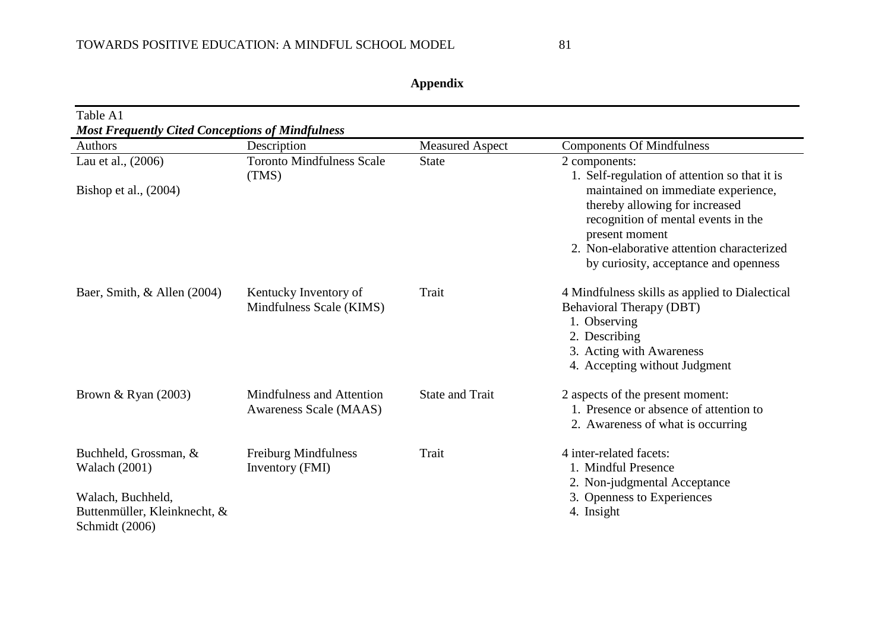| Table A1                                                                                                             |                                                     |                        |                                                                                                                                                                                                                       |  |  |  |
|----------------------------------------------------------------------------------------------------------------------|-----------------------------------------------------|------------------------|-----------------------------------------------------------------------------------------------------------------------------------------------------------------------------------------------------------------------|--|--|--|
| <b>Most Frequently Cited Conceptions of Mindfulness</b>                                                              |                                                     |                        |                                                                                                                                                                                                                       |  |  |  |
| Authors                                                                                                              | Description                                         | <b>Measured Aspect</b> | <b>Components Of Mindfulness</b>                                                                                                                                                                                      |  |  |  |
| Lau et al., (2006)                                                                                                   | <b>Toronto Mindfulness Scale</b><br>(TMS)           | <b>State</b>           | 2 components:<br>1. Self-regulation of attention so that it is                                                                                                                                                        |  |  |  |
| Bishop et al., $(2004)$                                                                                              |                                                     |                        | maintained on immediate experience,<br>thereby allowing for increased<br>recognition of mental events in the<br>present moment<br>2. Non-elaborative attention characterized<br>by curiosity, acceptance and openness |  |  |  |
| Baer, Smith, $\&$ Allen (2004)                                                                                       | Kentucky Inventory of<br>Mindfulness Scale (KIMS)   | Trait                  | 4 Mindfulness skills as applied to Dialectical<br><b>Behavioral Therapy (DBT)</b><br>1. Observing<br>2. Describing<br>3. Acting with Awareness<br>4. Accepting without Judgment                                       |  |  |  |
| Brown & Ryan $(2003)$                                                                                                | Mindfulness and Attention<br>Awareness Scale (MAAS) | <b>State and Trait</b> | 2 aspects of the present moment:<br>1. Presence or absence of attention to<br>2. Awareness of what is occurring                                                                                                       |  |  |  |
| Buchheld, Grossman, &<br><b>Walach</b> (2001)<br>Walach, Buchheld,<br>Buttenmüller, Kleinknecht, &<br>Schmidt (2006) | <b>Freiburg Mindfulness</b><br>Inventory (FMI)      | Trait                  | 4 inter-related facets:<br>1. Mindful Presence<br>2. Non-judgmental Acceptance<br>3. Openness to Experiences<br>4. Insight                                                                                            |  |  |  |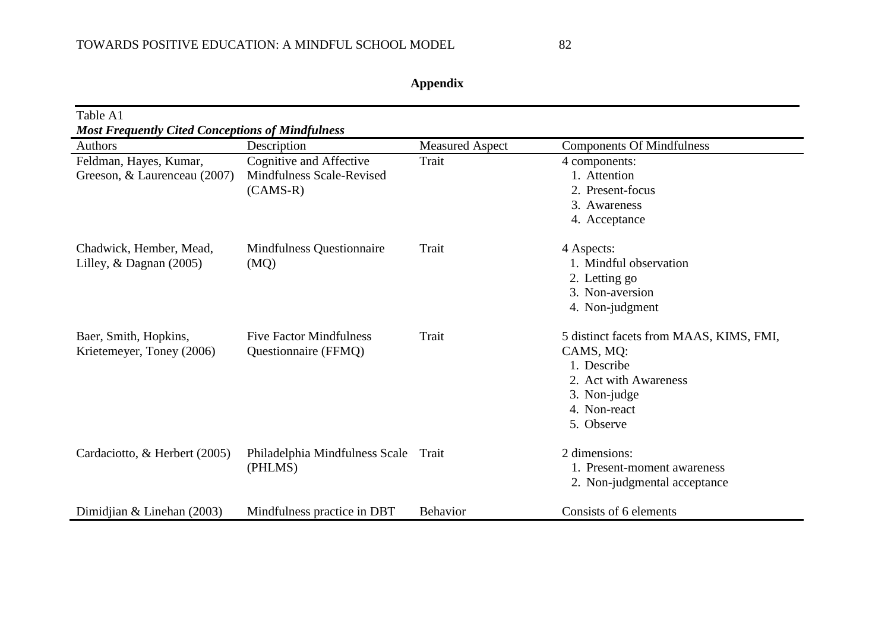| Appendix |
|----------|
|----------|

| Table A1                                                |                                      |                        |                                         |  |  |  |  |
|---------------------------------------------------------|--------------------------------------|------------------------|-----------------------------------------|--|--|--|--|
| <b>Most Frequently Cited Conceptions of Mindfulness</b> |                                      |                        |                                         |  |  |  |  |
| Authors                                                 | Description                          | <b>Measured Aspect</b> | <b>Components Of Mindfulness</b>        |  |  |  |  |
| Feldman, Hayes, Kumar,                                  | Cognitive and Affective              | Trait                  | 4 components:                           |  |  |  |  |
| Greeson, & Laurenceau (2007)                            | <b>Mindfulness Scale-Revised</b>     |                        | 1. Attention                            |  |  |  |  |
|                                                         | $(CAMS-R)$                           |                        | 2. Present-focus                        |  |  |  |  |
|                                                         |                                      |                        | 3. Awareness                            |  |  |  |  |
|                                                         |                                      |                        | 4. Acceptance                           |  |  |  |  |
| Chadwick, Hember, Mead,                                 | <b>Mindfulness Questionnaire</b>     | Trait                  | 4 Aspects:                              |  |  |  |  |
| Lilley, $&$ Dagnan (2005)                               | (MQ)                                 |                        | 1. Mindful observation                  |  |  |  |  |
|                                                         |                                      |                        | 2. Letting go                           |  |  |  |  |
|                                                         |                                      |                        | 3. Non-aversion                         |  |  |  |  |
|                                                         |                                      |                        | 4. Non-judgment                         |  |  |  |  |
| Baer, Smith, Hopkins,                                   | <b>Five Factor Mindfulness</b>       | Trait                  | 5 distinct facets from MAAS, KIMS, FMI, |  |  |  |  |
| Krietemeyer, Toney (2006)                               | Questionnaire (FFMQ)                 |                        | CAMS, MQ:                               |  |  |  |  |
|                                                         |                                      |                        | 1. Describe                             |  |  |  |  |
|                                                         |                                      |                        | 2. Act with Awareness                   |  |  |  |  |
|                                                         |                                      |                        | 3. Non-judge                            |  |  |  |  |
|                                                         |                                      |                        | 4. Non-react                            |  |  |  |  |
|                                                         |                                      |                        | 5. Observe                              |  |  |  |  |
| Cardaciotto, & Herbert (2005)                           | Philadelphia Mindfulness Scale Trait |                        | 2 dimensions:                           |  |  |  |  |
|                                                         | (PHLMS)                              |                        | 1. Present-moment awareness             |  |  |  |  |
|                                                         |                                      |                        | 2. Non-judgmental acceptance            |  |  |  |  |
| Dimidjian $&$ Linehan (2003)                            | Mindfulness practice in DBT          | <b>Behavior</b>        | Consists of 6 elements                  |  |  |  |  |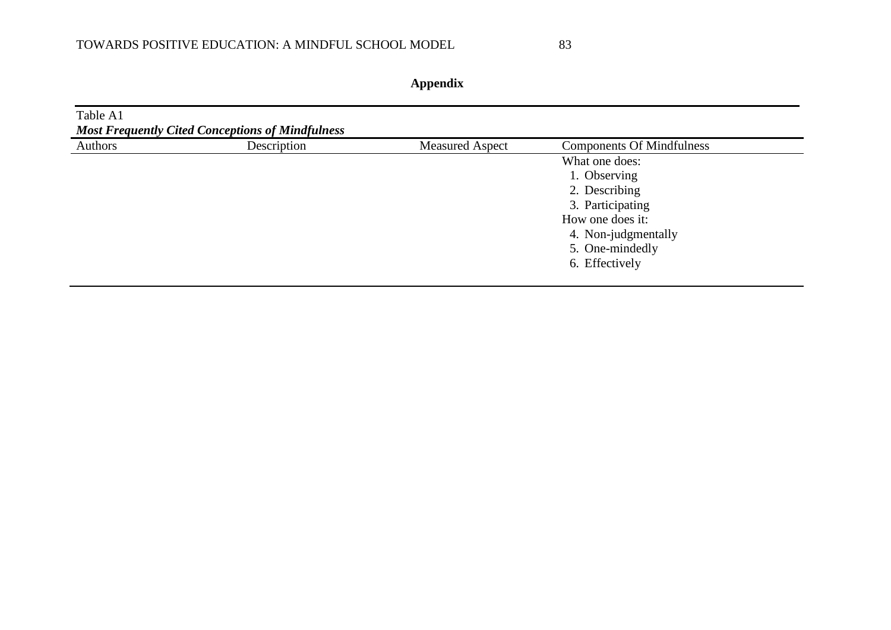|  | Appendix |  |
|--|----------|--|
|  |          |  |

| Table A1                                                |             |                        |                                  |  |  |  |  |
|---------------------------------------------------------|-------------|------------------------|----------------------------------|--|--|--|--|
| <b>Most Frequently Cited Conceptions of Mindfulness</b> |             |                        |                                  |  |  |  |  |
| Authors                                                 | Description | <b>Measured Aspect</b> | <b>Components Of Mindfulness</b> |  |  |  |  |
|                                                         |             |                        | What one does:                   |  |  |  |  |
|                                                         |             |                        | 1. Observing                     |  |  |  |  |
|                                                         |             |                        | 2. Describing                    |  |  |  |  |
|                                                         |             | 3. Participating       |                                  |  |  |  |  |
|                                                         |             | How one does it:       |                                  |  |  |  |  |
|                                                         |             |                        | 4. Non-judgmentally              |  |  |  |  |
|                                                         |             |                        | 5. One-mindedly                  |  |  |  |  |
|                                                         |             |                        | 6. Effectively                   |  |  |  |  |
|                                                         |             |                        |                                  |  |  |  |  |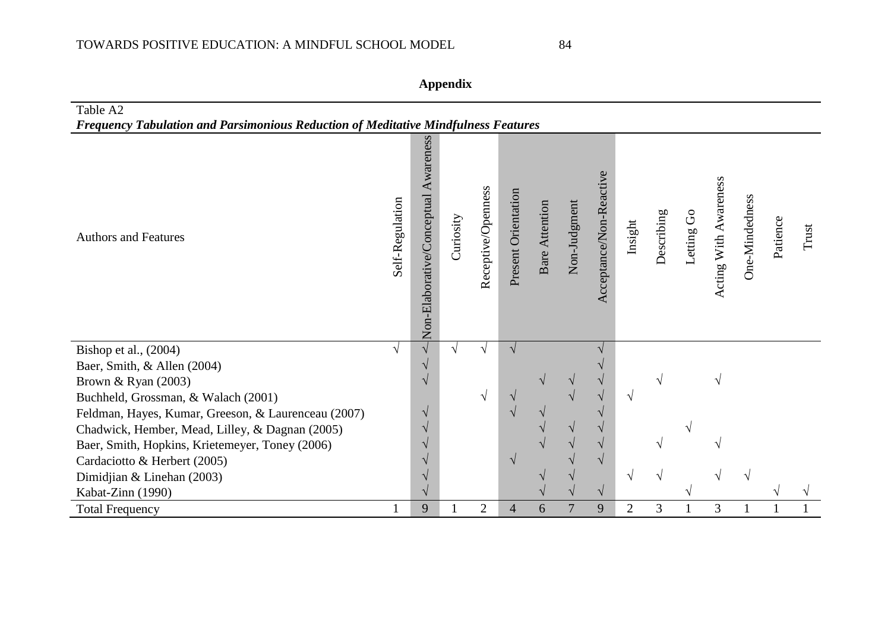| Table A2                                                                           |                 |                                         |           |                    |                     |                    |                |                         |                                 |            |            |                       |                |          |       |
|------------------------------------------------------------------------------------|-----------------|-----------------------------------------|-----------|--------------------|---------------------|--------------------|----------------|-------------------------|---------------------------------|------------|------------|-----------------------|----------------|----------|-------|
| Frequency Tabulation and Parsimonious Reduction of Meditative Mindfulness Features |                 |                                         |           |                    |                     |                    |                |                         |                                 |            |            |                       |                |          |       |
| <b>Authors and Features</b>                                                        | Self-Regulation | Awareness<br>Non-Elaborative/Conceptual | Curiosity | Receptive/Openness | Present Orientation | Attention<br>Bare. | Non-Judgment   | Acceptance/Non-Reactive | $\boldsymbol{\mathrm{Insight}}$ | Describing | Letting Go | Acting With Awareness | One-Mindedness | Patience | Trust |
| Bishop et al., (2004)                                                              |                 | $\sqrt{ }$                              | V         |                    |                     |                    |                |                         |                                 |            |            |                       |                |          |       |
| Baer, Smith, & Allen (2004)                                                        |                 | V                                       |           |                    |                     |                    |                |                         |                                 |            |            |                       |                |          |       |
| Brown & Ryan (2003)                                                                |                 | $\sqrt{ }$                              |           |                    |                     |                    |                | V                       |                                 |            |            |                       |                |          |       |
| Buchheld, Grossman, & Walach (2001)                                                |                 |                                         |           |                    |                     |                    |                | V                       | V                               |            |            |                       |                |          |       |
| Feldman, Hayes, Kumar, Greeson, & Laurenceau (2007)                                |                 | $\sqrt{ }$                              |           |                    |                     |                    |                |                         |                                 |            |            |                       |                |          |       |
| Chadwick, Hember, Mead, Lilley, & Dagnan (2005)                                    |                 |                                         |           |                    |                     |                    |                |                         |                                 |            |            |                       |                |          |       |
| Baer, Smith, Hopkins, Krietemeyer, Toney (2006)                                    |                 |                                         |           |                    |                     |                    |                | $\sqrt{ }$              |                                 |            |            |                       |                |          |       |
| Cardaciotto & Herbert (2005)                                                       |                 |                                         |           |                    |                     | $\mathcal{N}$      |                |                         |                                 |            |            |                       |                |          |       |
| Dimidjian & Linehan (2003)                                                         |                 | $\sqrt{ }$                              |           |                    |                     |                    | $\sqrt{}$      |                         | $\sqrt{}$                       |            |            |                       |                |          |       |
| Kabat-Zinn (1990)                                                                  |                 |                                         |           |                    |                     |                    |                | $\sqrt{ }$              |                                 |            |            |                       |                |          |       |
| <b>Total Frequency</b>                                                             |                 | 9                                       |           | $\overline{c}$     | $\overline{4}$      | 6                  | $\overline{7}$ | 9                       | $\overline{c}$                  | 3          |            | 3                     |                |          |       |

**Appendix**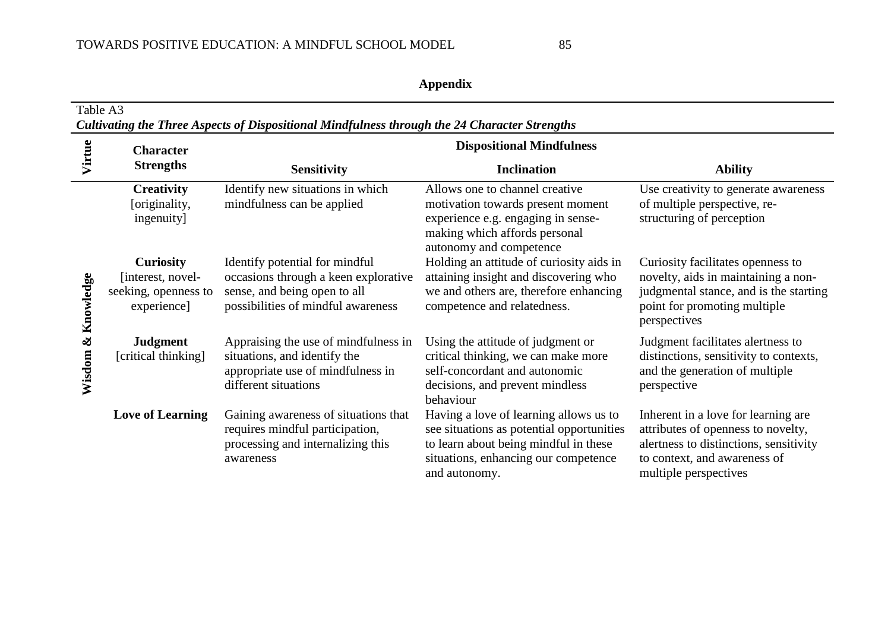| Appendix |
|----------|
|----------|

|                            | Table A3<br>Cultivating the Three Aspects of Dispositional Mindfulness through the 24 Character Strengths |                                                                                                                                              |                                                                                                                                                                                       |                                                                                                                                                                              |  |  |  |  |
|----------------------------|-----------------------------------------------------------------------------------------------------------|----------------------------------------------------------------------------------------------------------------------------------------------|---------------------------------------------------------------------------------------------------------------------------------------------------------------------------------------|------------------------------------------------------------------------------------------------------------------------------------------------------------------------------|--|--|--|--|
| Virtue<br><b>Character</b> |                                                                                                           | <b>Dispositional Mindfulness</b>                                                                                                             |                                                                                                                                                                                       |                                                                                                                                                                              |  |  |  |  |
|                            | <b>Strengths</b>                                                                                          | <b>Sensitivity</b>                                                                                                                           | <b>Inclination</b>                                                                                                                                                                    | <b>Ability</b>                                                                                                                                                               |  |  |  |  |
| Wisdom & Knowledge         | <b>Creativity</b><br>[originality,<br>ingenuity]                                                          | Identify new situations in which<br>mindfulness can be applied                                                                               | Allows one to channel creative<br>motivation towards present moment<br>experience e.g. engaging in sense-<br>making which affords personal<br>autonomy and competence                 | Use creativity to generate awareness<br>of multiple perspective, re-<br>structuring of perception                                                                            |  |  |  |  |
|                            | <b>Curiosity</b><br>[interest, novel-<br>seeking, openness to<br>experience]                              | Identify potential for mindful<br>occasions through a keen explorative<br>sense, and being open to all<br>possibilities of mindful awareness | Holding an attitude of curiosity aids in<br>attaining insight and discovering who<br>we and others are, therefore enhancing<br>competence and relatedness.                            | Curiosity facilitates openness to<br>novelty, aids in maintaining a non-<br>judgmental stance, and is the starting<br>point for promoting multiple<br>perspectives           |  |  |  |  |
|                            | <b>Judgment</b><br>[critical thinking]                                                                    | Appraising the use of mindfulness in<br>situations, and identify the<br>appropriate use of mindfulness in<br>different situations            | Using the attitude of judgment or<br>critical thinking, we can make more<br>self-concordant and autonomic<br>decisions, and prevent mindless<br>behaviour                             | Judgment facilitates alertness to<br>distinctions, sensitivity to contexts,<br>and the generation of multiple<br>perspective                                                 |  |  |  |  |
|                            | <b>Love of Learning</b>                                                                                   | Gaining awareness of situations that<br>requires mindful participation,<br>processing and internalizing this<br>awareness                    | Having a love of learning allows us to<br>see situations as potential opportunities<br>to learn about being mindful in these<br>situations, enhancing our competence<br>and autonomy. | Inherent in a love for learning are<br>attributes of openness to novelty,<br>alertness to distinctions, sensitivity<br>to context, and awareness of<br>multiple perspectives |  |  |  |  |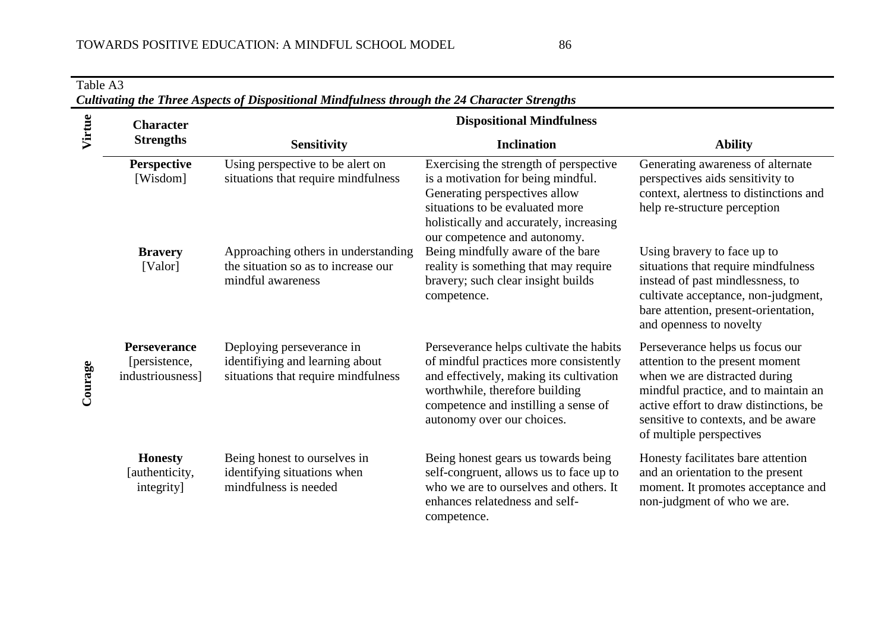| Virtue  | <b>Character</b>                                         | <b>Dispositional Mindfulness</b>                                                                    |                                                                                                                                                                                                                                      |                                                                                                                                                                                                                                                          |  |  |  |  |
|---------|----------------------------------------------------------|-----------------------------------------------------------------------------------------------------|--------------------------------------------------------------------------------------------------------------------------------------------------------------------------------------------------------------------------------------|----------------------------------------------------------------------------------------------------------------------------------------------------------------------------------------------------------------------------------------------------------|--|--|--|--|
|         | <b>Strengths</b>                                         | <b>Sensitivity</b>                                                                                  | <b>Inclination</b>                                                                                                                                                                                                                   | <b>Ability</b>                                                                                                                                                                                                                                           |  |  |  |  |
|         | <b>Perspective</b><br>[Wisdom]                           | Using perspective to be alert on<br>situations that require mindfulness                             | Exercising the strength of perspective<br>is a motivation for being mindful.<br>Generating perspectives allow<br>situations to be evaluated more<br>holistically and accurately, increasing<br>our competence and autonomy.          | Generating awareness of alternate<br>perspectives aids sensitivity to<br>context, alertness to distinctions and<br>help re-structure perception                                                                                                          |  |  |  |  |
|         | <b>Bravery</b><br>[Valor]                                | Approaching others in understanding<br>the situation so as to increase our<br>mindful awareness     | Being mindfully aware of the bare<br>reality is something that may require<br>bravery; such clear insight builds<br>competence.                                                                                                      | Using bravery to face up to<br>situations that require mindfulness<br>instead of past mindlessness, to<br>cultivate acceptance, non-judgment,<br>bare attention, present-orientation,<br>and openness to novelty                                         |  |  |  |  |
| Courage | <b>Perseverance</b><br>[persistence,<br>industriousness] | Deploying perseverance in<br>identifiying and learning about<br>situations that require mindfulness | Perseverance helps cultivate the habits<br>of mindful practices more consistently<br>and effectively, making its cultivation<br>worthwhile, therefore building<br>competence and instilling a sense of<br>autonomy over our choices. | Perseverance helps us focus our<br>attention to the present moment<br>when we are distracted during<br>mindful practice, and to maintain an<br>active effort to draw distinctions, be<br>sensitive to contexts, and be aware<br>of multiple perspectives |  |  |  |  |
|         | <b>Honesty</b><br>[authenticity,<br>integrity]           | Being honest to ourselves in<br>identifying situations when<br>mindfulness is needed                | Being honest gears us towards being<br>self-congruent, allows us to face up to<br>who we are to ourselves and others. It<br>enhances relatedness and self-<br>competence.                                                            | Honesty facilitates bare attention<br>and an orientation to the present<br>moment. It promotes acceptance and<br>non-judgment of who we are.                                                                                                             |  |  |  |  |

# *Cultivating the Three Aspects of Dispositional Mindfulness through the 24 Character Strengths*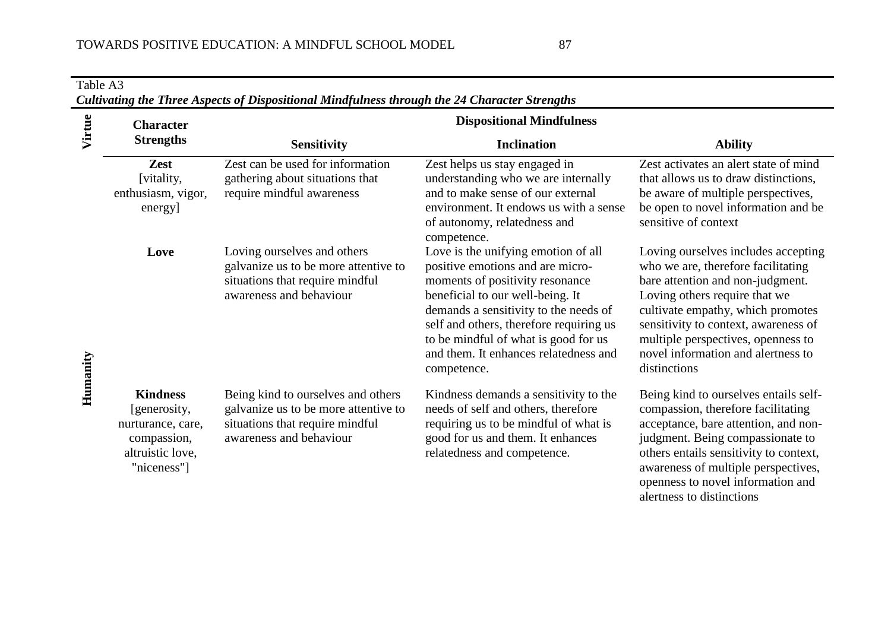|          | <b>Character</b>                                                                                       |                                                                                                                                          | <b>Dispositional Mindfulness</b>                                                                                                                                                                                                                                                                                                   |                                                                                                                                                                                                                                                                                                                         |  |  |  |
|----------|--------------------------------------------------------------------------------------------------------|------------------------------------------------------------------------------------------------------------------------------------------|------------------------------------------------------------------------------------------------------------------------------------------------------------------------------------------------------------------------------------------------------------------------------------------------------------------------------------|-------------------------------------------------------------------------------------------------------------------------------------------------------------------------------------------------------------------------------------------------------------------------------------------------------------------------|--|--|--|
| Virtue   | <b>Strengths</b>                                                                                       | <b>Sensitivity</b>                                                                                                                       | <b>Inclination</b>                                                                                                                                                                                                                                                                                                                 | <b>Ability</b>                                                                                                                                                                                                                                                                                                          |  |  |  |
|          | Zest<br>[vitality,<br>enthusiasm, vigor,<br>energy]                                                    | Zest can be used for information<br>gathering about situations that<br>require mindful awareness                                         | Zest helps us stay engaged in<br>understanding who we are internally<br>and to make sense of our external<br>environment. It endows us with a sense<br>of autonomy, relatedness and<br>competence.                                                                                                                                 | Zest activates an alert state of mind<br>that allows us to draw distinctions,<br>be aware of multiple perspectives,<br>be open to novel information and be<br>sensitive of context                                                                                                                                      |  |  |  |
|          | Love                                                                                                   | Loving ourselves and others<br>galvanize us to be more attentive to<br>situations that require mindful<br>awareness and behaviour        | Love is the unifying emotion of all<br>positive emotions and are micro-<br>moments of positivity resonance<br>beneficial to our well-being. It<br>demands a sensitivity to the needs of<br>self and others, therefore requiring us<br>to be mindful of what is good for us<br>and them. It enhances relatedness and<br>competence. | Loving ourselves includes accepting<br>who we are, therefore facilitating<br>bare attention and non-judgment.<br>Loving others require that we<br>cultivate empathy, which promotes<br>sensitivity to context, awareness of<br>multiple perspectives, openness to<br>novel information and alertness to<br>distinctions |  |  |  |
| Humanity | <b>Kindness</b><br>[generosity,<br>nurturance, care,<br>compassion,<br>altruistic love,<br>"niceness"] | Being kind to ourselves and others<br>galvanize us to be more attentive to<br>situations that require mindful<br>awareness and behaviour | Kindness demands a sensitivity to the<br>needs of self and others, therefore<br>requiring us to be mindful of what is<br>good for us and them. It enhances<br>relatedness and competence.                                                                                                                                          | Being kind to ourselves entails self-<br>compassion, therefore facilitating<br>acceptance, bare attention, and non-<br>judgment. Being compassionate to<br>others entails sensitivity to context,<br>awareness of multiple perspectives,<br>openness to novel information and                                           |  |  |  |

| Cultivating the Three Aspects of Dispositional Mindfulness through the 24 Character Strengths |  |  |  |  |  |
|-----------------------------------------------------------------------------------------------|--|--|--|--|--|
|-----------------------------------------------------------------------------------------------|--|--|--|--|--|

alertness to distinctions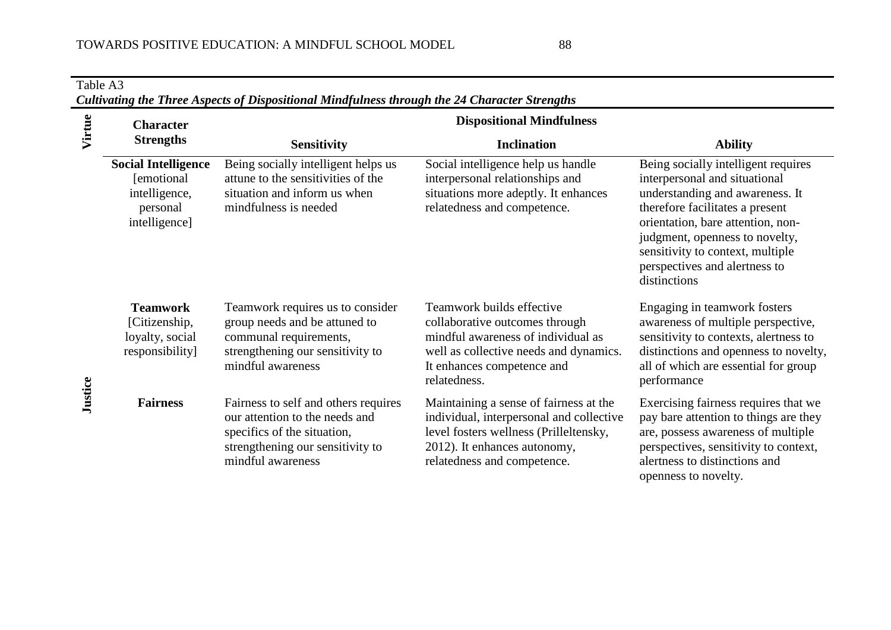| Virtue<br><b>Character</b> |                                                                                         | <b>Dispositional Mindfulness</b>                                                                                                                               |                                                                                                                                                                                             |                                                                                                                                                                                                                                                                                                        |  |
|----------------------------|-----------------------------------------------------------------------------------------|----------------------------------------------------------------------------------------------------------------------------------------------------------------|---------------------------------------------------------------------------------------------------------------------------------------------------------------------------------------------|--------------------------------------------------------------------------------------------------------------------------------------------------------------------------------------------------------------------------------------------------------------------------------------------------------|--|
|                            | <b>Strengths</b>                                                                        | <b>Sensitivity</b>                                                                                                                                             | <b>Inclination</b>                                                                                                                                                                          | <b>Ability</b>                                                                                                                                                                                                                                                                                         |  |
|                            | <b>Social Intelligence</b><br>[emotional]<br>intelligence,<br>personal<br>intelligence] | Being socially intelligent helps us<br>attune to the sensitivities of the<br>situation and inform us when<br>mindfulness is needed                             | Social intelligence help us handle<br>interpersonal relationships and<br>situations more adeptly. It enhances<br>relatedness and competence.                                                | Being socially intelligent requires<br>interpersonal and situational<br>understanding and awareness. It<br>therefore facilitates a present<br>orientation, bare attention, non-<br>judgment, openness to novelty,<br>sensitivity to context, multiple<br>perspectives and alertness to<br>distinctions |  |
|                            | <b>Teamwork</b><br>[Citizenship,<br>loyalty, social<br>responsibility]                  | Teamwork requires us to consider<br>group needs and be attuned to<br>communal requirements,<br>strengthening our sensitivity to<br>mindful awareness           | Teamwork builds effective<br>collaborative outcomes through<br>mindful awareness of individual as<br>well as collective needs and dynamics.<br>It enhances competence and<br>relatedness.   | Engaging in teamwork fosters<br>awareness of multiple perspective,<br>sensitivity to contexts, alertness to<br>distinctions and openness to novelty,<br>all of which are essential for group<br>performance                                                                                            |  |
| Justice                    | <b>Fairness</b>                                                                         | Fairness to self and others requires<br>our attention to the needs and<br>specifics of the situation,<br>strengthening our sensitivity to<br>mindful awareness | Maintaining a sense of fairness at the<br>individual, interpersonal and collective<br>level fosters wellness (Prilleltensky,<br>2012). It enhances autonomy,<br>relatedness and competence. | Exercising fairness requires that we<br>pay bare attention to things are they<br>are, possess awareness of multiple<br>perspectives, sensitivity to context,<br>alertness to distinctions and<br>openness to novelty.                                                                                  |  |

| Cultivating the Three Aspects of Dispositional Mindfulness through the 24 Character Strengths |  |  |  |  |  |  |
|-----------------------------------------------------------------------------------------------|--|--|--|--|--|--|
|-----------------------------------------------------------------------------------------------|--|--|--|--|--|--|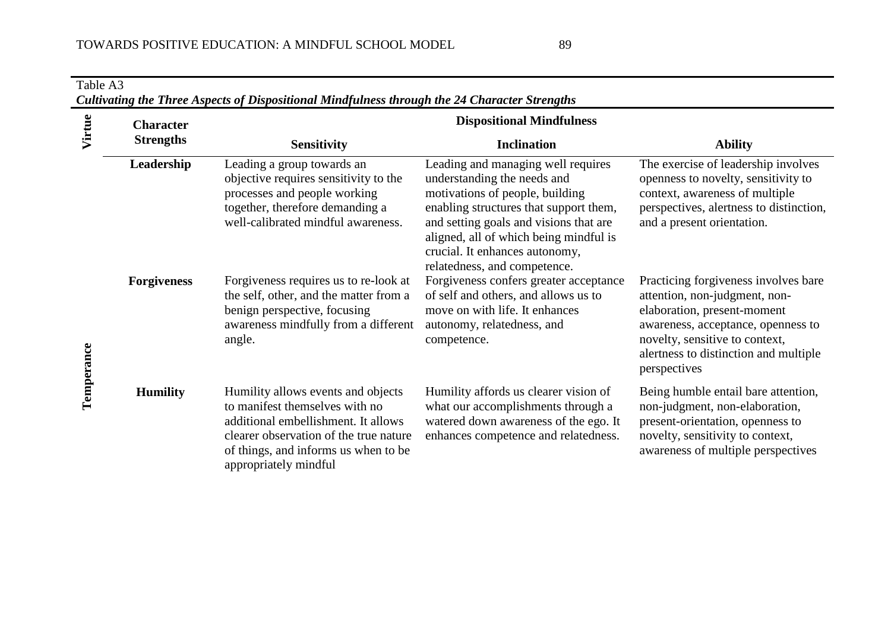| Virtue     | <b>Character</b>   | <b>Dispositional Mindfulness</b>                                                                                                                                                                                       |                                                                                                                                                                                                                                                                                                      |                                                                                                                                                                                                                                       |  |
|------------|--------------------|------------------------------------------------------------------------------------------------------------------------------------------------------------------------------------------------------------------------|------------------------------------------------------------------------------------------------------------------------------------------------------------------------------------------------------------------------------------------------------------------------------------------------------|---------------------------------------------------------------------------------------------------------------------------------------------------------------------------------------------------------------------------------------|--|
|            | <b>Strengths</b>   | <b>Sensitivity</b>                                                                                                                                                                                                     | <b>Inclination</b>                                                                                                                                                                                                                                                                                   | <b>Ability</b>                                                                                                                                                                                                                        |  |
|            | Leadership         | Leading a group towards an<br>objective requires sensitivity to the<br>processes and people working<br>together, therefore demanding a<br>well-calibrated mindful awareness.                                           | Leading and managing well requires<br>understanding the needs and<br>motivations of people, building<br>enabling structures that support them,<br>and setting goals and visions that are<br>aligned, all of which being mindful is<br>crucial. It enhances autonomy,<br>relatedness, and competence. | The exercise of leadership involves<br>openness to novelty, sensitivity to<br>context, awareness of multiple<br>perspectives, alertness to distinction,<br>and a present orientation.                                                 |  |
| Temperance | <b>Forgiveness</b> | Forgiveness requires us to re-look at<br>the self, other, and the matter from a<br>benign perspective, focusing<br>awareness mindfully from a different<br>angle.                                                      | Forgiveness confers greater acceptance<br>of self and others, and allows us to<br>move on with life. It enhances<br>autonomy, relatedness, and<br>competence.                                                                                                                                        | Practicing forgiveness involves bare<br>attention, non-judgment, non-<br>elaboration, present-moment<br>awareness, acceptance, openness to<br>novelty, sensitive to context,<br>alertness to distinction and multiple<br>perspectives |  |
|            | <b>Humility</b>    | Humility allows events and objects<br>to manifest themselves with no<br>additional embellishment. It allows<br>clearer observation of the true nature<br>of things, and informs us when to be<br>appropriately mindful | Humility affords us clearer vision of<br>what our accomplishments through a<br>watered down awareness of the ego. It<br>enhances competence and relatedness.                                                                                                                                         | Being humble entail bare attention,<br>non-judgment, non-elaboration,<br>present-orientation, openness to<br>novelty, sensitivity to context,<br>awareness of multiple perspectives                                                   |  |

# *Cultivating the Three Aspects of Dispositional Mindfulness through the 24 Character Strengths*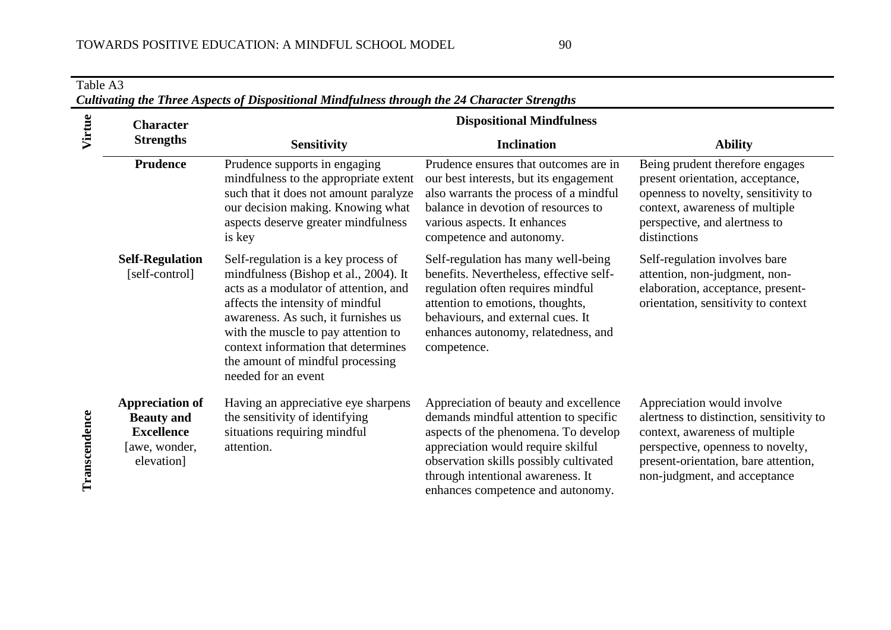| Virtue        | <b>Character</b>                                                                                | <b>Dispositional Mindfulness</b>                                                                                                                                                                                                                                                                                                          |                                                                                                                                                                                                                                                                                  |                                                                                                                                                                                                                       |  |
|---------------|-------------------------------------------------------------------------------------------------|-------------------------------------------------------------------------------------------------------------------------------------------------------------------------------------------------------------------------------------------------------------------------------------------------------------------------------------------|----------------------------------------------------------------------------------------------------------------------------------------------------------------------------------------------------------------------------------------------------------------------------------|-----------------------------------------------------------------------------------------------------------------------------------------------------------------------------------------------------------------------|--|
|               | <b>Strengths</b>                                                                                | <b>Sensitivity</b>                                                                                                                                                                                                                                                                                                                        | <b>Inclination</b>                                                                                                                                                                                                                                                               | <b>Ability</b>                                                                                                                                                                                                        |  |
|               | <b>Prudence</b>                                                                                 | Prudence supports in engaging<br>mindfulness to the appropriate extent<br>such that it does not amount paralyze<br>our decision making. Knowing what<br>aspects deserve greater mindfulness<br>is key                                                                                                                                     | Prudence ensures that outcomes are in<br>our best interests, but its engagement<br>also warrants the process of a mindful<br>balance in devotion of resources to<br>various aspects. It enhances<br>competence and autonomy.                                                     | Being prudent therefore engages<br>present orientation, acceptance,<br>openness to novelty, sensitivity to<br>context, awareness of multiple<br>perspective, and alertness to<br>distinctions                         |  |
|               | <b>Self-Regulation</b><br>[self-control]                                                        | Self-regulation is a key process of<br>mindfulness (Bishop et al., 2004). It<br>acts as a modulator of attention, and<br>affects the intensity of mindful<br>awareness. As such, it furnishes us<br>with the muscle to pay attention to<br>context information that determines<br>the amount of mindful processing<br>needed for an event | Self-regulation has many well-being<br>benefits. Nevertheless, effective self-<br>regulation often requires mindful<br>attention to emotions, thoughts,<br>behaviours, and external cues. It<br>enhances autonomy, relatedness, and<br>competence.                               | Self-regulation involves bare<br>attention, non-judgment, non-<br>elaboration, acceptance, present-<br>orientation, sensitivity to context                                                                            |  |
| Transcendence | <b>Appreciation of</b><br><b>Beauty and</b><br><b>Excellence</b><br>[awe, wonder,<br>elevation] | Having an appreciative eye sharpens<br>the sensitivity of identifying<br>situations requiring mindful<br>attention.                                                                                                                                                                                                                       | Appreciation of beauty and excellence<br>demands mindful attention to specific<br>aspects of the phenomena. To develop<br>appreciation would require skilful<br>observation skills possibly cultivated<br>through intentional awareness. It<br>enhances competence and autonomy. | Appreciation would involve<br>alertness to distinction, sensitivity to<br>context, awareness of multiple<br>perspective, openness to novelty,<br>present-orientation, bare attention,<br>non-judgment, and acceptance |  |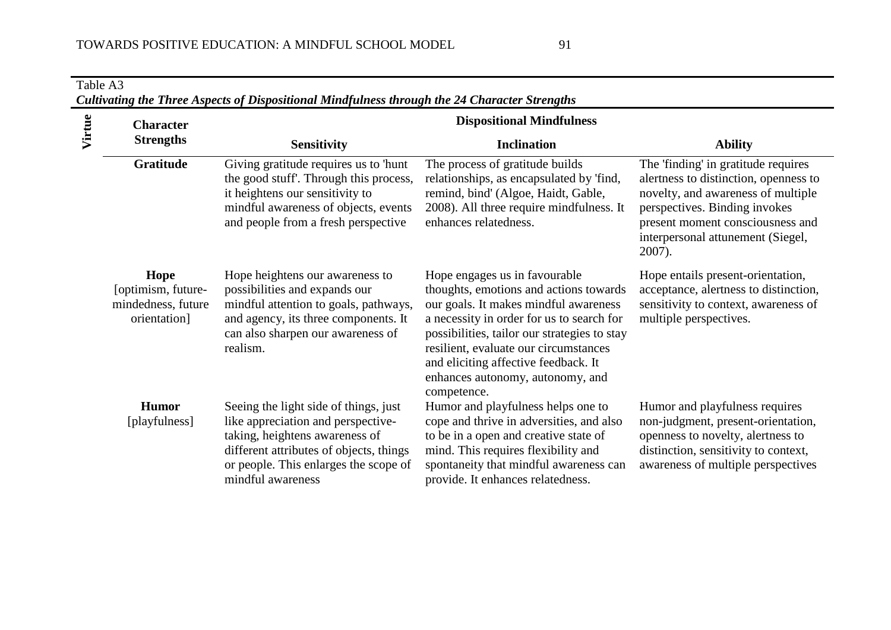| Virtue | <b>Character</b>                                                 |                                                                                                                                                                                                                        | <b>Dispositional Mindfulness</b>                                                                                                                                                                                                                                                                                                                  |                                                                                                                                                                                                                                           |
|--------|------------------------------------------------------------------|------------------------------------------------------------------------------------------------------------------------------------------------------------------------------------------------------------------------|---------------------------------------------------------------------------------------------------------------------------------------------------------------------------------------------------------------------------------------------------------------------------------------------------------------------------------------------------|-------------------------------------------------------------------------------------------------------------------------------------------------------------------------------------------------------------------------------------------|
|        | <b>Strengths</b>                                                 | <b>Sensitivity</b>                                                                                                                                                                                                     | <b>Inclination</b>                                                                                                                                                                                                                                                                                                                                | <b>Ability</b>                                                                                                                                                                                                                            |
|        | Gratitude                                                        | Giving gratitude requires us to 'hunt<br>the good stuff. Through this process,<br>it heightens our sensitivity to<br>mindful awareness of objects, events<br>and people from a fresh perspective                       | The process of gratitude builds<br>relationships, as encapsulated by 'find,<br>remind, bind' (Algoe, Haidt, Gable,<br>2008). All three require mindfulness. It<br>enhances relatedness.                                                                                                                                                           | The 'finding' in gratitude requires<br>alertness to distinction, openness to<br>novelty, and awareness of multiple<br>perspectives. Binding invokes<br>present moment consciousness and<br>interpersonal attunement (Siegel,<br>$2007$ ). |
|        | Hope<br>[optimism, future-<br>mindedness, future<br>orientation] | Hope heightens our awareness to<br>possibilities and expands our<br>mindful attention to goals, pathways,<br>and agency, its three components. It<br>can also sharpen our awareness of<br>realism.                     | Hope engages us in favourable<br>thoughts, emotions and actions towards<br>our goals. It makes mindful awareness<br>a necessity in order for us to search for<br>possibilities, tailor our strategies to stay<br>resilient, evaluate our circumstances<br>and eliciting affective feedback. It<br>enhances autonomy, autonomy, and<br>competence. | Hope entails present-orientation,<br>acceptance, alertness to distinction,<br>sensitivity to context, awareness of<br>multiple perspectives.                                                                                              |
|        | <b>Humor</b><br>[playfulness]                                    | Seeing the light side of things, just<br>like appreciation and perspective-<br>taking, heightens awareness of<br>different attributes of objects, things<br>or people. This enlarges the scope of<br>mindful awareness | Humor and playfulness helps one to<br>cope and thrive in adversities, and also<br>to be in a open and creative state of<br>mind. This requires flexibility and<br>spontaneity that mindful awareness can<br>provide. It enhances relatedness.                                                                                                     | Humor and playfulness requires<br>non-judgment, present-orientation,<br>openness to novelty, alertness to<br>distinction, sensitivity to context,<br>awareness of multiple perspectives                                                   |

## *Cultivating the Three Aspects of Dispositional Mindfulness through the 24 Character Strengths*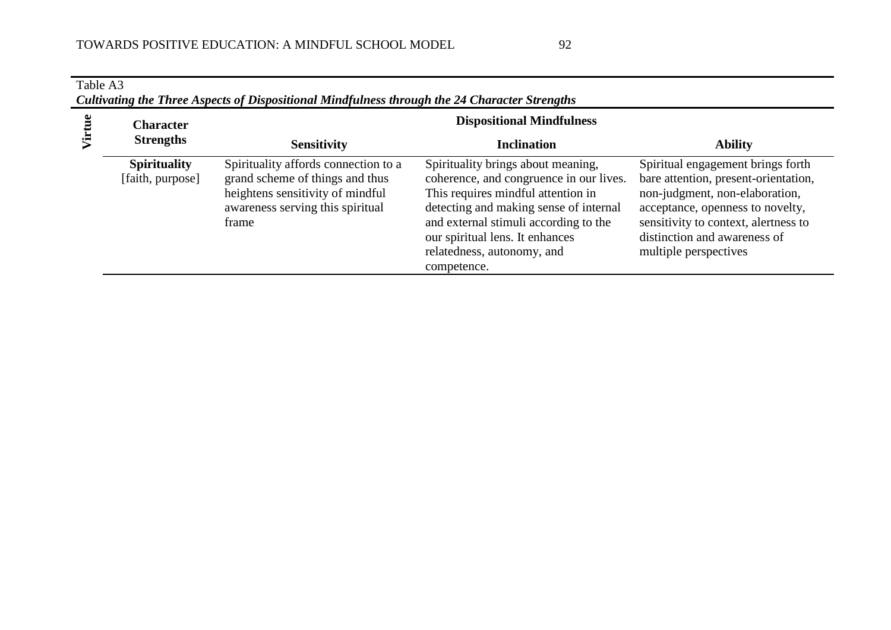| <b>Character</b>                        | <b>Dispositional Mindfulness</b>                                                                                                                         |                                                                                                                                                                                                                                                                                        |                                                                                                                                                                                                                                                  |  |
|-----------------------------------------|----------------------------------------------------------------------------------------------------------------------------------------------------------|----------------------------------------------------------------------------------------------------------------------------------------------------------------------------------------------------------------------------------------------------------------------------------------|--------------------------------------------------------------------------------------------------------------------------------------------------------------------------------------------------------------------------------------------------|--|
| <b>Strengths</b>                        | <b>Sensitivity</b>                                                                                                                                       | <b>Inclination</b>                                                                                                                                                                                                                                                                     | <b>Ability</b>                                                                                                                                                                                                                                   |  |
| <b>Spirituality</b><br>[faith, purpose] | Spirituality affords connection to a<br>grand scheme of things and thus<br>heightens sensitivity of mindful<br>awareness serving this spiritual<br>frame | Spirituality brings about meaning,<br>coherence, and congruence in our lives.<br>This requires mindful attention in<br>detecting and making sense of internal<br>and external stimuli according to the<br>our spiritual lens. It enhances<br>relatedness, autonomy, and<br>competence. | Spiritual engagement brings forth<br>bare attention, present-orientation,<br>non-judgment, non-elaboration,<br>acceptance, openness to novelty,<br>sensitivity to context, alertness to<br>distinction and awareness of<br>multiple perspectives |  |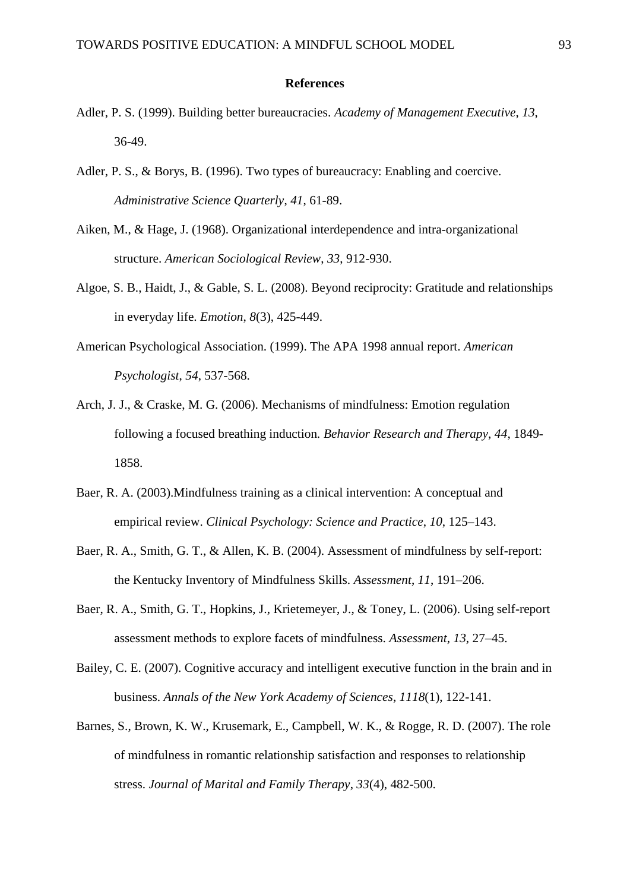#### **References**

- Adler, P. S. (1999). Building better bureaucracies. *Academy of Management Executive*, *13*, 36-49.
- Adler, P. S., & Borys, B. (1996). Two types of bureaucracy: Enabling and coercive. *Administrative Science Quarterly*, *41*, 61-89.
- Aiken, M., & Hage, J. (1968). Organizational interdependence and intra-organizational structure. *American Sociological Review*, *33*, 912-930.
- Algoe, S. B., Haidt, J., & Gable, S. L. (2008). Beyond reciprocity: Gratitude and relationships in everyday life. *Emotion*, *8*(3), 425-449.
- American Psychological Association. (1999). The APA 1998 annual report. *American Psychologist*, *54*, 537-568.
- Arch, J. J., & Craske, M. G. (2006). Mechanisms of mindfulness: Emotion regulation following a focused breathing induction*. Behavior Research and Therapy*, *44*, 1849- 1858.
- Baer, R. A. (2003).Mindfulness training as a clinical intervention: A conceptual and empirical review. *Clinical Psychology: Science and Practice*, *10*, 125–143.
- Baer, R. A., Smith, G. T., & Allen, K. B. (2004). Assessment of mindfulness by self-report: the Kentucky Inventory of Mindfulness Skills. *Assessment*, *11*, 191–206.
- Baer, R. A., Smith, G. T., Hopkins, J., Krietemeyer, J., & Toney, L. (2006). Using self-report assessment methods to explore facets of mindfulness. *Assessment*, *13*, 27–45.
- Bailey, C. E. (2007). Cognitive accuracy and intelligent executive function in the brain and in business. *Annals of the New York Academy of Sciences*, *1118*(1), 122-141.
- Barnes, S., Brown, K. W., Krusemark, E., Campbell, W. K., & Rogge, R. D. (2007). The role of mindfulness in romantic relationship satisfaction and responses to relationship stress. *Journal of Marital and Family Therapy*, *33*(4), 482-500.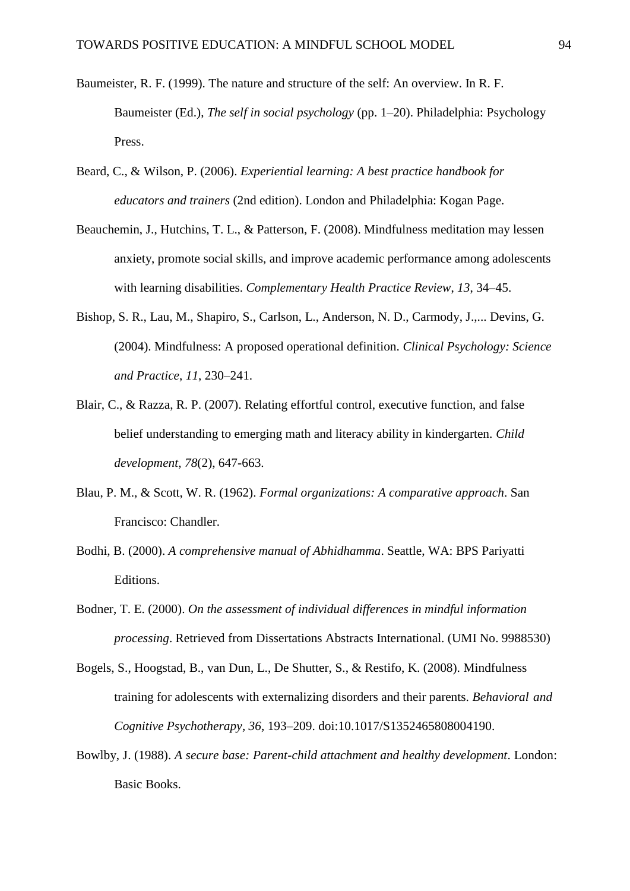- Baumeister, R. F. (1999). The nature and structure of the self: An overview. In R. F. Baumeister (Ed.), *The self in social psychology* (pp. 1–20). Philadelphia: Psychology Press.
- Beard, C., & Wilson, P. (2006). *Experiential learning: A best practice handbook for educators and trainers* (2nd edition). London and Philadelphia: Kogan Page.
- Beauchemin, J., Hutchins, T. L., & Patterson, F. (2008). Mindfulness meditation may lessen anxiety, promote social skills, and improve academic performance among adolescents with learning disabilities. *Complementary Health Practice Review*, *13*, 34–45.
- Bishop, S. R., Lau, M., Shapiro, S., Carlson, L., Anderson, N. D., Carmody, J.,... Devins, G. (2004). Mindfulness: A proposed operational definition. *Clinical Psychology: Science and Practice*, *11*, 230–241.
- Blair, C., & Razza, R. P. (2007). Relating effortful control, executive function, and false belief understanding to emerging math and literacy ability in kindergarten. *Child development*, *78*(2), 647-663.
- Blau, P. M., & Scott, W. R. (1962). *Formal organizations: A comparative approach*. San Francisco: Chandler.
- Bodhi, B. (2000). *A comprehensive manual of Abhidhamma*. Seattle, WA: BPS Pariyatti Editions.
- Bodner, T. E. (2000). *On the assessment of individual differences in mindful information processing*. Retrieved from Dissertations Abstracts International. (UMI No. 9988530)
- Bogels, S., Hoogstad, B., van Dun, L., De Shutter, S., & Restifo, K. (2008). Mindfulness training for adolescents with externalizing disorders and their parents. *Behavioral and Cognitive Psychotherapy*, *36*, 193–209. doi:10.1017/S1352465808004190.
- Bowlby, J. (1988). *A secure base: Parent-child attachment and healthy development*. London: Basic Books.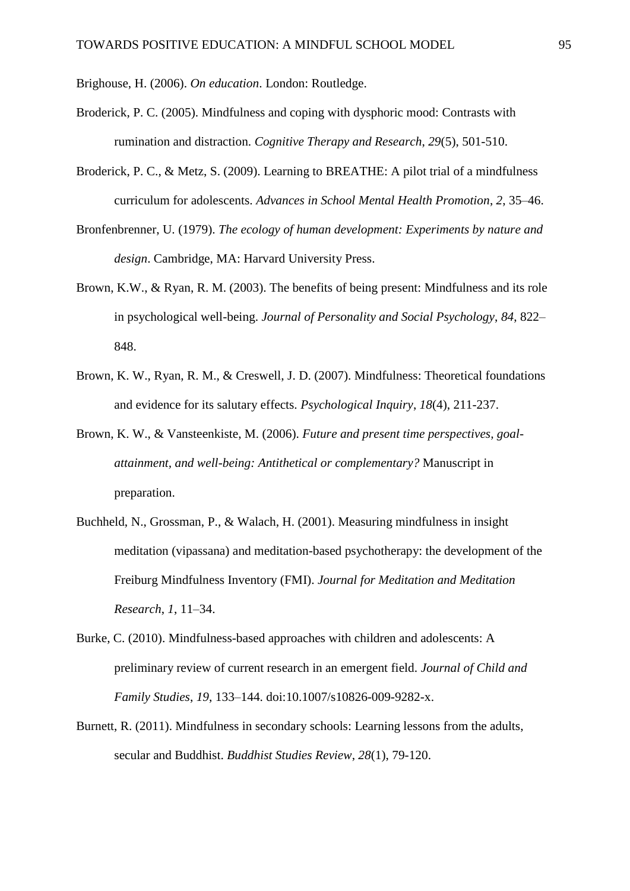Brighouse, H. (2006). *On education*. London: Routledge.

- Broderick, P. C. (2005). Mindfulness and coping with dysphoric mood: Contrasts with rumination and distraction. *Cognitive Therapy and Research*, *29*(5), 501-510.
- Broderick, P. C., & Metz, S. (2009). Learning to BREATHE: A pilot trial of a mindfulness curriculum for adolescents. *Advances in School Mental Health Promotion*, *2*, 35–46.
- Bronfenbrenner, U. (1979). *The ecology of human development: Experiments by nature and design*. Cambridge, MA: Harvard University Press.
- Brown, K.W., & Ryan, R. M. (2003). The benefits of being present: Mindfulness and its role in psychological well-being. *Journal of Personality and Social Psychology*, *84*, 822– 848.
- Brown, K. W., Ryan, R. M., & Creswell, J. D. (2007). Mindfulness: Theoretical foundations and evidence for its salutary effects. *Psychological Inquiry*, *18*(4), 211-237.
- Brown, K. W., & Vansteenkiste, M. (2006). *Future and present time perspectives, goalattainment, and well-being: Antithetical or complementary?* Manuscript in preparation.
- Buchheld, N., Grossman, P., & Walach, H. (2001). Measuring mindfulness in insight meditation (vipassana) and meditation-based psychotherapy: the development of the Freiburg Mindfulness Inventory (FMI). *Journal for Meditation and Meditation Research*, *1*, 11–34.
- Burke, C. (2010). Mindfulness-based approaches with children and adolescents: A preliminary review of current research in an emergent field. *Journal of Child and Family Studies*, *19*, 133–144. doi:10.1007/s10826-009-9282-x.
- Burnett, R. (2011). Mindfulness in secondary schools: Learning lessons from the adults, secular and Buddhist. *Buddhist Studies Review*, *28*(1), 79-120.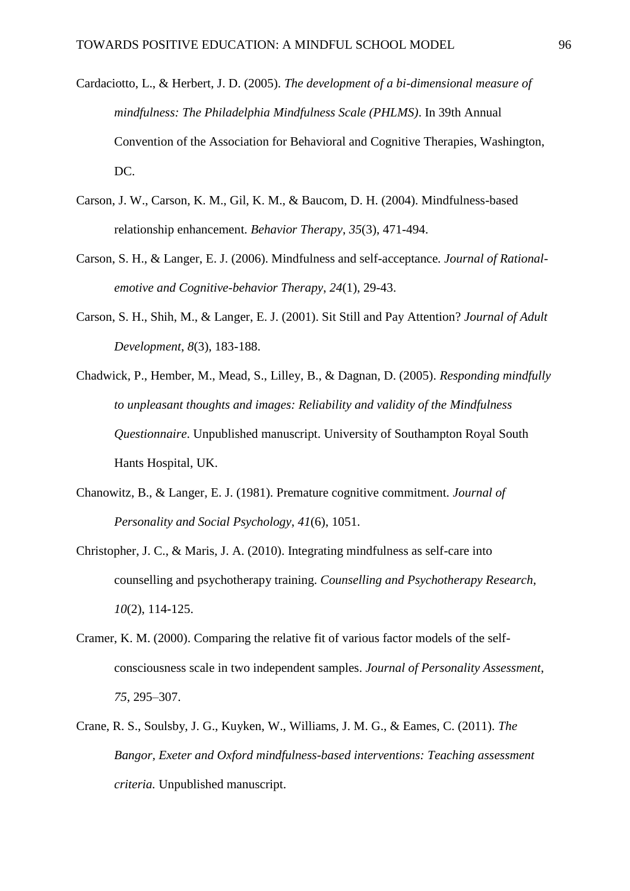- Cardaciotto, L., & Herbert, J. D. (2005). *The development of a bi-dimensional measure of mindfulness: The Philadelphia Mindfulness Scale (PHLMS)*. In 39th Annual Convention of the Association for Behavioral and Cognitive Therapies, Washington, DC.
- Carson, J. W., Carson, K. M., Gil, K. M., & Baucom, D. H. (2004). Mindfulness-based relationship enhancement. *Behavior Therapy*, *35*(3), 471-494.
- Carson, S. H., & Langer, E. J. (2006). Mindfulness and self-acceptance*. Journal of Rationalemotive and Cognitive-behavior Therapy*, *24*(1), 29-43.
- Carson, S. H., Shih, M., & Langer, E. J. (2001). Sit Still and Pay Attention? *Journal of Adult Development*, *8*(3), 183-188.
- Chadwick, P., Hember, M., Mead, S., Lilley, B., & Dagnan, D. (2005). *Responding mindfully to unpleasant thoughts and images: Reliability and validity of the Mindfulness Questionnaire*. Unpublished manuscript. University of Southampton Royal South Hants Hospital, UK.
- Chanowitz, B., & Langer, E. J. (1981). Premature cognitive commitment. *Journal of Personality and Social Psychology*, *41*(6), 1051.
- Christopher, J. C., & Maris, J. A. (2010). Integrating mindfulness as self-care into counselling and psychotherapy training. *Counselling and Psychotherapy Research*, *10*(2), 114-125.
- Cramer, K. M. (2000). Comparing the relative fit of various factor models of the selfconsciousness scale in two independent samples. *Journal of Personality Assessment*, *75*, 295–307.
- Crane, R. S., Soulsby, J. G., Kuyken, W., Williams, J. M. G., & Eames, C. (2011). *The Bangor, Exeter and Oxford mindfulness-based interventions: Teaching assessment criteria.* Unpublished manuscript.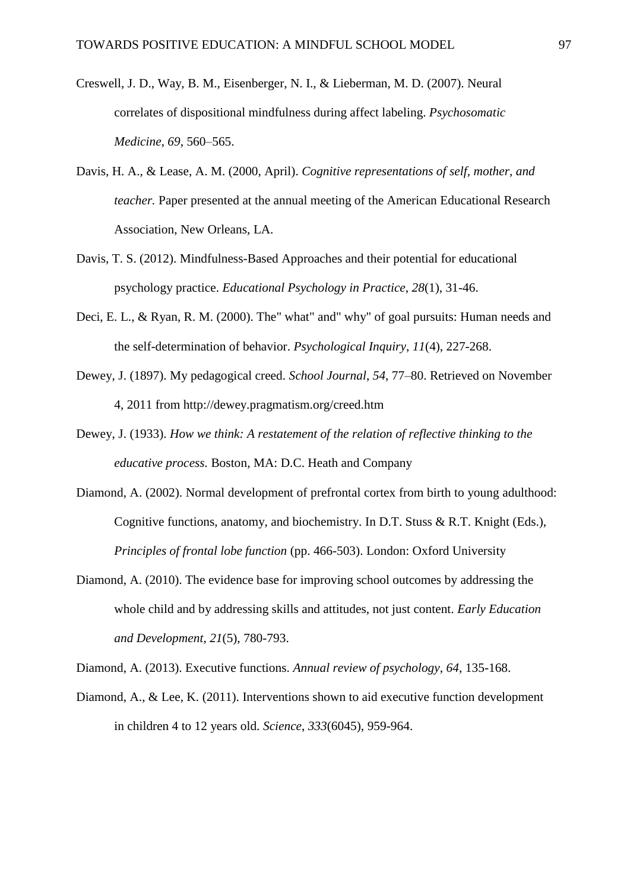- Creswell, J. D., Way, B. M., Eisenberger, N. I., & Lieberman, M. D. (2007). Neural correlates of dispositional mindfulness during affect labeling. *Psychosomatic Medicine*, *69*, 560–565.
- Davis, H. A., & Lease, A. M. (2000, April). *Cognitive representations of self, mother, and teacher.* Paper presented at the annual meeting of the American Educational Research Association, New Orleans, LA.
- Davis, T. S. (2012). Mindfulness-Based Approaches and their potential for educational psychology practice. *Educational Psychology in Practice*, *28*(1), 31-46.
- Deci, E. L., & Ryan, R. M. (2000). The" what" and" why" of goal pursuits: Human needs and the self-determination of behavior. *Psychological Inquiry*, *11*(4), 227-268.
- Dewey, J. (1897). My pedagogical creed. *School Journal*, *54*, 77–80. Retrieved on November 4, 2011 from http://dewey.pragmatism.org/creed.htm
- Dewey, J. (1933). *How we think: A restatement of the relation of reflective thinking to the educative process.* Boston, MA: D.C. Heath and Company
- Diamond, A. (2002). Normal development of prefrontal cortex from birth to young adulthood: Cognitive functions, anatomy, and biochemistry. In D.T. Stuss & R.T. Knight (Eds.), *Principles of frontal lobe function* (pp. 466-503). London: Oxford University
- Diamond, A. (2010). The evidence base for improving school outcomes by addressing the whole child and by addressing skills and attitudes, not just content. *Early Education and Development*, *21*(5), 780-793.
- Diamond, A. (2013). Executive functions. *Annual review of psychology*, *64*, 135-168.
- Diamond, A., & Lee, K. (2011). Interventions shown to aid executive function development in children 4 to 12 years old. *Science*, *333*(6045), 959-964.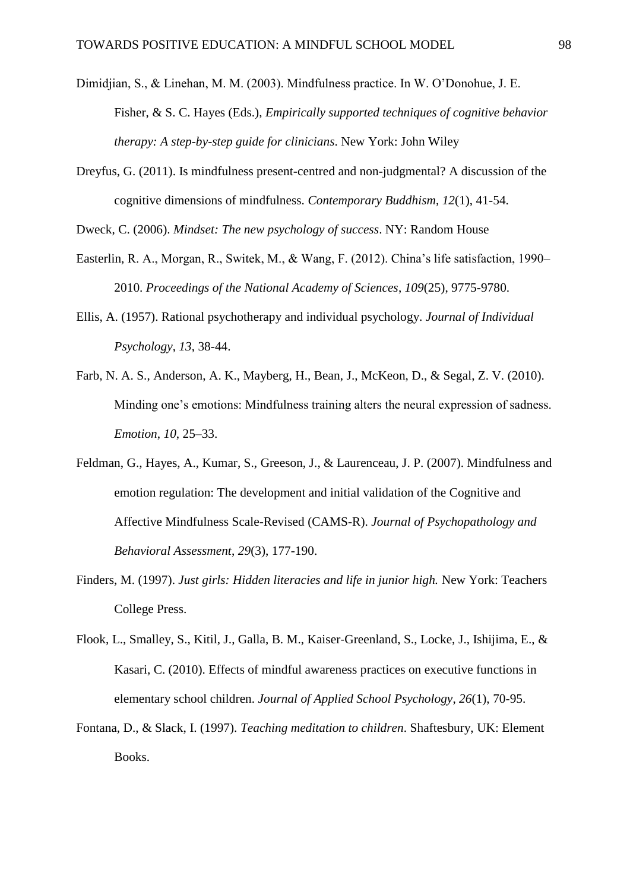- Dimidjian, S., & Linehan, M. M. (2003). Mindfulness practice. In W. O'Donohue, J. E. Fisher, & S. C. Hayes (Eds.), *Empirically supported techniques of cognitive behavior therapy: A step-by-step guide for clinicians*. New York: John Wiley
- Dreyfus, G. (2011). Is mindfulness present-centred and non-judgmental? A discussion of the cognitive dimensions of mindfulness. *Contemporary Buddhism*, *12*(1), 41-54.
- Dweck, C. (2006). *Mindset: The new psychology of success*. NY: Random House
- Easterlin, R. A., Morgan, R., Switek, M., & Wang, F. (2012). China's life satisfaction, 1990– 2010. *Proceedings of the National Academy of Sciences*, *109*(25), 9775-9780.
- Ellis, A. (1957). Rational psychotherapy and individual psychology. *Journal of Individual Psychology*, *13*, 38-44.
- Farb, N. A. S., Anderson, A. K., Mayberg, H., Bean, J., McKeon, D., & Segal, Z. V. (2010). Minding one's emotions: Mindfulness training alters the neural expression of sadness. *Emotion*, *10*, 25–33.
- Feldman, G., Hayes, A., Kumar, S., Greeson, J., & Laurenceau, J. P. (2007). Mindfulness and emotion regulation: The development and initial validation of the Cognitive and Affective Mindfulness Scale-Revised (CAMS-R). *Journal of Psychopathology and Behavioral Assessment*, *29*(3), 177-190.
- Finders, M. (1997). *Just girls: Hidden literacies and life in junior high.* New York: Teachers College Press.
- Flook, L., Smalley, S., Kitil, J., Galla, B. M., Kaiser‐Greenland, S., Locke, J., Ishijima, E., & Kasari, C. (2010). Effects of mindful awareness practices on executive functions in elementary school children. *Journal of Applied School Psychology*, *26*(1), 70-95.
- Fontana, D., & Slack, I. (1997). *Teaching meditation to children*. Shaftesbury, UK: Element Books.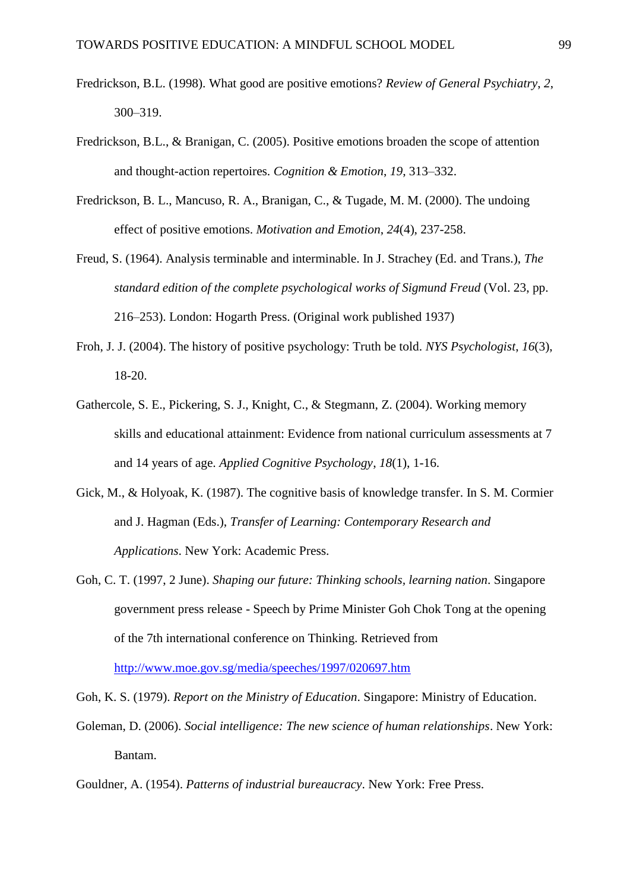- Fredrickson, B.L. (1998). What good are positive emotions? *Review of General Psychiatry*, *2*, 300–319.
- Fredrickson, B.L., & Branigan, C. (2005). Positive emotions broaden the scope of attention and thought-action repertoires. *Cognition & Emotion*, *19*, 313–332.
- Fredrickson, B. L., Mancuso, R. A., Branigan, C., & Tugade, M. M. (2000). The undoing effect of positive emotions. *Motivation and Emotion*, *24*(4), 237-258.
- Freud, S. (1964). Analysis terminable and interminable. In J. Strachey (Ed. and Trans.), *The standard edition of the complete psychological works of Sigmund Freud* (Vol. 23, pp. 216–253). London: Hogarth Press. (Original work published 1937)
- Froh, J. J. (2004). The history of positive psychology: Truth be told. *NYS Psychologist*, *16*(3), 18-20.
- Gathercole, S. E., Pickering, S. J., Knight, C., & Stegmann, Z. (2004). Working memory skills and educational attainment: Evidence from national curriculum assessments at 7 and 14 years of age. *Applied Cognitive Psychology*, *18*(1), 1-16.
- Gick, M., & Holyoak, K. (1987). The cognitive basis of knowledge transfer. In S. M. Cormier and J. Hagman (Eds.), *Transfer of Learning: Contemporary Research and Applications*. New York: Academic Press.
- Goh, C. T. (1997, 2 June). *Shaping our future: Thinking schools, learning nation*. Singapore government press release - Speech by Prime Minister Goh Chok Tong at the opening of the 7th international conference on Thinking. Retrieved from

<http://www.moe.gov.sg/media/speeches/1997/020697.htm>

Goh, K. S. (1979). *Report on the Ministry of Education*. Singapore: Ministry of Education.

- Goleman, D. (2006). *Social intelligence: The new science of human relationships*. New York: Bantam.
- Gouldner, A. (1954). *Patterns of industrial bureaucracy*. New York: Free Press.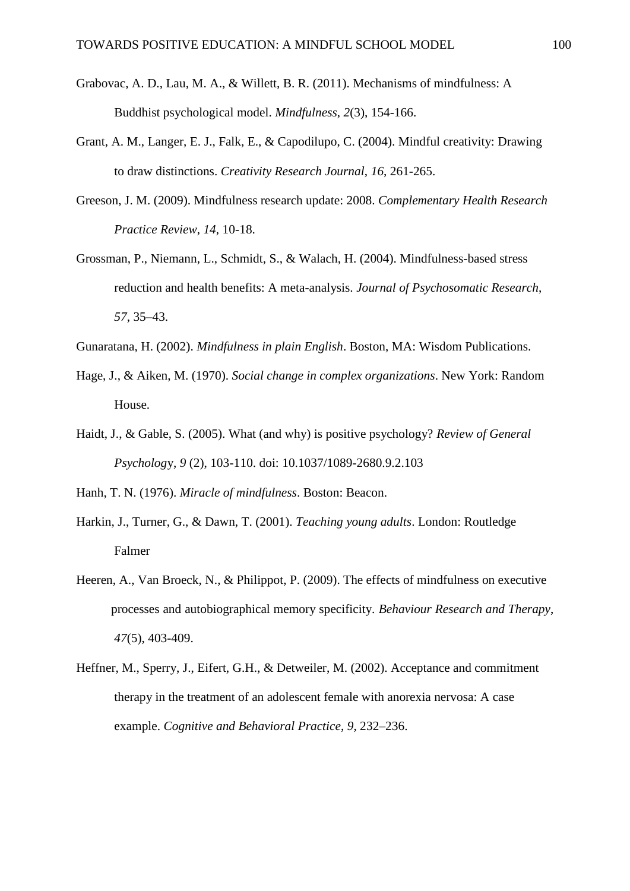- Grabovac, A. D., Lau, M. A., & Willett, B. R. (2011). Mechanisms of mindfulness: A Buddhist psychological model. *Mindfulness*, *2*(3), 154-166.
- Grant, A. M., Langer, E. J., Falk, E., & Capodilupo, C. (2004). Mindful creativity: Drawing to draw distinctions. *Creativity Research Journal*, *16*, 261-265.
- Greeson, J. M. (2009). Mindfulness research update: 2008. *Complementary Health Research Practice Review*, *14*, 10-18.
- Grossman, P., Niemann, L., Schmidt, S., & Walach, H. (2004). Mindfulness-based stress reduction and health benefits: A meta-analysis. *Journal of Psychosomatic Research*, *57*, 35–43.
- Gunaratana, H. (2002). *Mindfulness in plain English*. Boston, MA: Wisdom Publications.
- Hage, J., & Aiken, M. (1970). *Social change in complex organizations*. New York: Random House.
- Haidt, J., & Gable, S. (2005). What (and why) is positive psychology? *Review of General Psycholog*y, *9* (2), 103-110. doi: 10.1037/1089-2680.9.2.103

Hanh, T. N. (1976). *Miracle of mindfulness*. Boston: Beacon.

- Harkin, J., Turner, G., & Dawn, T. (2001). *Teaching young adults*. London: Routledge Falmer
- Heeren, A., Van Broeck, N., & Philippot, P. (2009). The effects of mindfulness on executive processes and autobiographical memory specificity. *Behaviour Research and Therapy*, *47*(5), 403-409.
- Heffner, M., Sperry, J., Eifert, G.H., & Detweiler, M. (2002). Acceptance and commitment therapy in the treatment of an adolescent female with anorexia nervosa: A case example. *Cognitive and Behavioral Practice*, *9*, 232–236.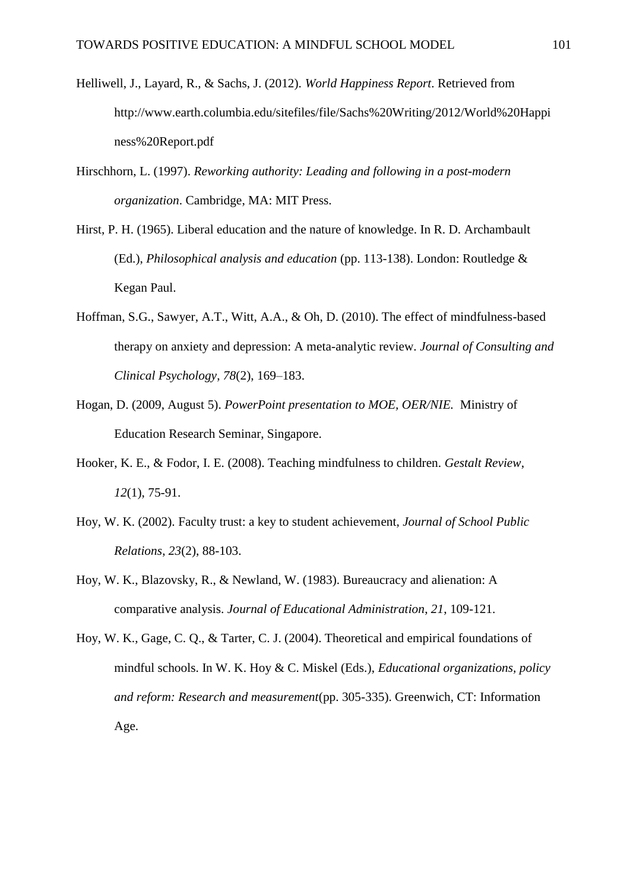- Helliwell, J., Layard, R., & Sachs, J. (2012). *World Happiness Report*. Retrieved from http://www.earth.columbia.edu/sitefiles/file/Sachs%20Writing/2012/World%20Happi ness%20Report.pdf
- Hirschhorn, L. (1997). *Reworking authority: Leading and following in a post-modern organization*. Cambridge, MA: MIT Press.
- Hirst, P. H. (1965). Liberal education and the nature of knowledge. In R. D. Archambault (Ed.), *Philosophical analysis and education* (pp. 113-138). London: Routledge & Kegan Paul.
- Hoffman, S.G., Sawyer, A.T., Witt, A.A., & Oh, D. (2010). The effect of mindfulness-based therapy on anxiety and depression: A meta-analytic review. *Journal of Consulting and Clinical Psychology*, *78*(2), 169–183.
- Hogan, D. (2009, August 5). *PowerPoint presentation to MOE, OER/NIE.* Ministry of Education Research Seminar, Singapore.
- Hooker, K. E., & Fodor, I. E. (2008). Teaching mindfulness to children. *Gestalt Review*, *12*(1), 75-91.
- Hoy, W. K. (2002). Faculty trust: a key to student achievement, *Journal of School Public Relations*, *23*(2), 88-103.
- Hoy, W. K., Blazovsky, R., & Newland, W. (1983). Bureaucracy and alienation: A comparative analysis. *Journal of Educational Administration*, *21*, 109-121.
- Hoy, W. K., Gage, C. Q., & Tarter, C. J. (2004). Theoretical and empirical foundations of mindful schools. In W. K. Hoy & C. Miskel (Eds.), *Educational organizations, policy and reform: Research and measurement*(pp. 305-335). Greenwich, CT: Information Age.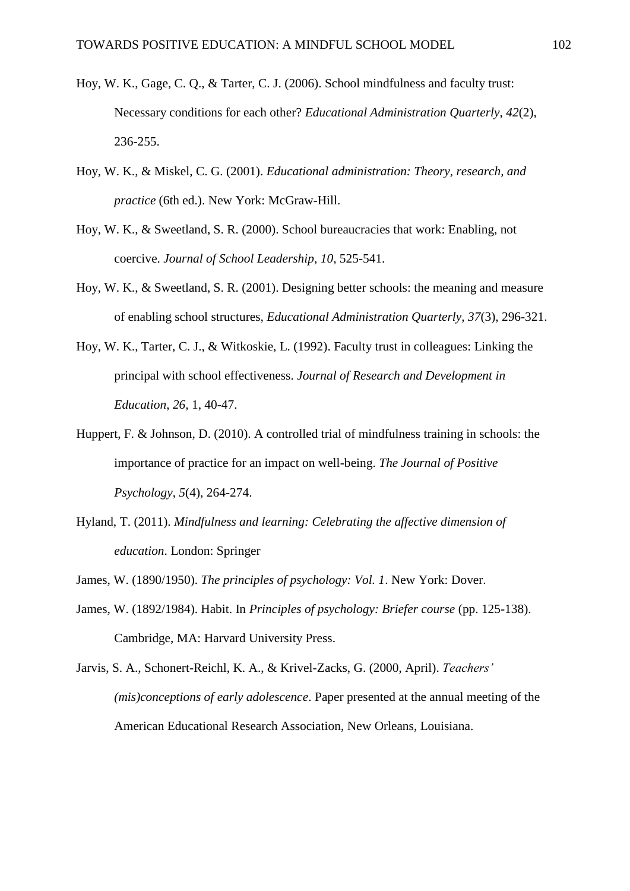- Hoy, W. K., Gage, C. Q., & Tarter, C. J. (2006). School mindfulness and faculty trust: Necessary conditions for each other? *Educational Administration Quarterly*, *42*(2), 236-255.
- Hoy, W. K., & Miskel, C. G. (2001). *Educational administration: Theory, research, and practice* (6th ed.). New York: McGraw-Hill.
- Hoy, W. K., & Sweetland, S. R. (2000). School bureaucracies that work: Enabling, not coercive. *Journal of School Leadership*, *10*, 525-541.
- Hoy, W. K., & Sweetland, S. R. (2001). Designing better schools: the meaning and measure of enabling school structures, *Educational Administration Quarterly*, *37*(3), 296-321.
- Hoy, W. K., Tarter, C. J., & Witkoskie, L. (1992). Faculty trust in colleagues: Linking the principal with school effectiveness. *Journal of Research and Development in Education*, *26*, 1, 40-47.
- Huppert, F. & Johnson, D. (2010). A controlled trial of mindfulness training in schools: the importance of practice for an impact on well-being. *The Journal of Positive Psychology*, *5*(4), 264-274.
- Hyland, T. (2011). *Mindfulness and learning: Celebrating the affective dimension of education*. London: Springer

James, W. (1890/1950). *The principles of psychology: Vol. 1*. New York: Dover.

- James, W. (1892/1984). Habit. In *Principles of psychology: Briefer course* (pp. 125-138). Cambridge, MA: Harvard University Press.
- Jarvis, S. A., Schonert-Reichl, K. A., & Krivel-Zacks, G. (2000, April). *Teachers' (mis)conceptions of early adolescence*. Paper presented at the annual meeting of the American Educational Research Association, New Orleans, Louisiana.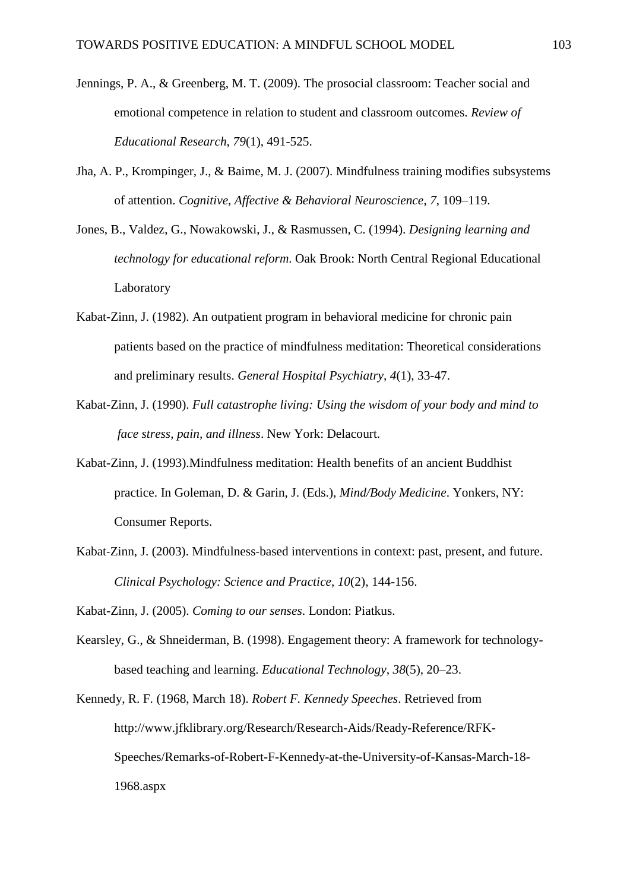- Jennings, P. A., & Greenberg, M. T. (2009). The prosocial classroom: Teacher social and emotional competence in relation to student and classroom outcomes. *Review of Educational Research*, *79*(1), 491-525.
- Jha, A. P., Krompinger, J., & Baime, M. J. (2007). Mindfulness training modifies subsystems of attention. *Cognitive, Affective & Behavioral Neuroscience*, *7*, 109–119.
- Jones, B., Valdez, G., Nowakowski, J., & Rasmussen, C. (1994). *Designing learning and technology for educational reform*. Oak Brook: North Central Regional Educational Laboratory
- Kabat-Zinn, J. (1982). An outpatient program in behavioral medicine for chronic pain patients based on the practice of mindfulness meditation: Theoretical considerations and preliminary results. *General Hospital Psychiatry*, *4*(1), 33-47.
- Kabat-Zinn, J. (1990). *Full catastrophe living: Using the wisdom of your body and mind to face stress, pain, and illness*. New York: Delacourt.
- Kabat-Zinn, J. (1993).Mindfulness meditation: Health benefits of an ancient Buddhist practice. In Goleman, D. & Garin, J. (Eds.), *Mind/Body Medicine*. Yonkers, NY: Consumer Reports.
- Kabat-Zinn, J. (2003). Mindfulness-based interventions in context: past, present, and future. *Clinical Psychology: Science and Practice*, *10*(2), 144-156.

Kabat-Zinn, J. (2005). *Coming to our senses*. London: Piatkus.

Kearsley, G., & Shneiderman, B. (1998). Engagement theory: A framework for technologybased teaching and learning. *Educational Technology*, *38*(5), 20–23.

Kennedy, R. F. (1968, March 18). *Robert F. Kennedy Speeches*. Retrieved from http://www.jfklibrary.org/Research/Research-Aids/Ready-Reference/RFK-Speeches/Remarks-of-Robert-F-Kennedy-at-the-University-of-Kansas-March-18- 1968.aspx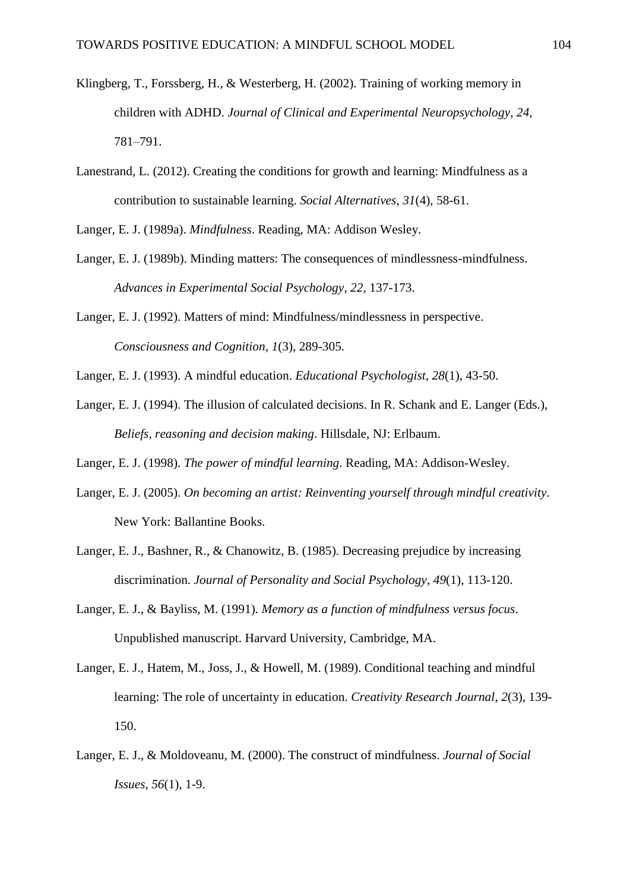- Klingberg, T., Forssberg, H., & Westerberg, H. (2002). Training of working memory in children with ADHD. *Journal of Clinical and Experimental Neuropsychology*, *24*, 781–791.
- Lanestrand, L. (2012). Creating the conditions for growth and learning: Mindfulness as a contribution to sustainable learning. *Social Alternatives*, *31*(4), 58-61.

Langer, E. J. (1989a). *Mindfulness*. Reading, MA: Addison Wesley.

- Langer, E. J. (1989b). Minding matters: The consequences of mindlessness-mindfulness. *Advances in Experimental Social Psychology*, *22*, 137-173.
- Langer, E. J. (1992). Matters of mind: Mindfulness/mindlessness in perspective. *Consciousness and Cognition*, *1*(3), 289-305.
- Langer, E. J. (1993). A mindful education. *Educational Psychologist*, *28*(1), 43-50.
- Langer, E. J. (1994). The illusion of calculated decisions. In R. Schank and E. Langer (Eds.), *Beliefs, reasoning and decision making*. Hillsdale, NJ: Erlbaum.
- Langer, E. J. (1998). *The power of mindful learning*. Reading, MA: Addison-Wesley.
- Langer, E. J. (2005). *On becoming an artist: Reinventing yourself through mindful creativity*. New York: Ballantine Books.
- Langer, E. J., Bashner, R., & Chanowitz, B. (1985). Decreasing prejudice by increasing discrimination. *Journal of Personality and Social Psychology*, *49*(1), 113-120.
- Langer, E. J., & Bayliss, M. (1991). *Memory as a function of mindfulness versus focus*. Unpublished manuscript. Harvard University, Cambridge, MA.
- Langer, E. J., Hatem, M., Joss, J., & Howell, M. (1989). Conditional teaching and mindful learning: The role of uncertainty in education. *Creativity Research Journal*, *2*(3), 139- 150.
- Langer, E. J., & Moldoveanu, M. (2000). The construct of mindfulness. *Journal of Social Issues*, *56*(1), 1-9.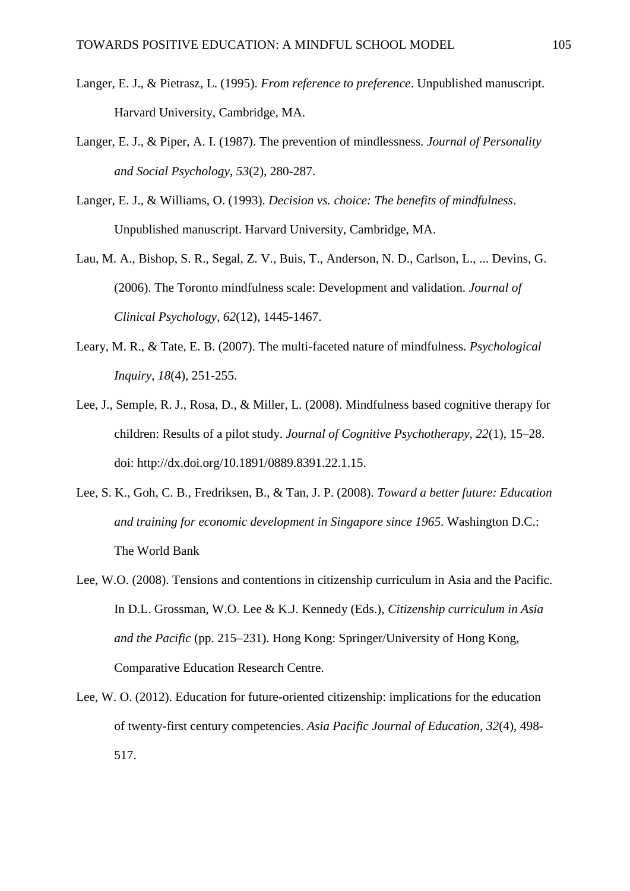- Langer, E. J., & Pietrasz, L. (1995). *From reference to preference*. Unpublished manuscript. Harvard University, Cambridge, MA.
- Langer, E. J., & Piper, A. I. (1987). The prevention of mindlessness. *Journal of Personality and Social Psychology*, *53*(2), 280-287.
- Langer, E. J., & Williams, O. (1993). *Decision vs. choice: The benefits of mindfulness*. Unpublished manuscript. Harvard University, Cambridge, MA.
- Lau, M. A., Bishop, S. R., Segal, Z. V., Buis, T., Anderson, N. D., Carlson, L., ... Devins, G. (2006). The Toronto mindfulness scale: Development and validation. *Journal of Clinical Psychology*, *62*(12), 1445-1467.
- Leary, M. R., & Tate, E. B. (2007). The multi-faceted nature of mindfulness. *Psychological Inquiry*, *18*(4), 251-255.
- Lee, J., Semple, R. J., Rosa, D., & Miller, L. (2008). Mindfulness based cognitive therapy for children: Results of a pilot study. *Journal of Cognitive Psychotherapy*, *22*(1), 15–28. doi: http://dx.doi.org/10.1891/0889.8391.22.1.15.
- Lee, S. K., Goh, C. B., Fredriksen, B., & Tan, J. P. (2008). *Toward a better future: Education and training for economic development in Singapore since 1965*. Washington D.C.: The World Bank
- Lee, W.O. (2008). Tensions and contentions in citizenship curriculum in Asia and the Pacific. In D.L. Grossman, W.O. Lee & K.J. Kennedy (Eds.), *Citizenship curriculum in Asia and the Pacific* (pp. 215–231). Hong Kong: Springer/University of Hong Kong, Comparative Education Research Centre.
- Lee, W. O. (2012). Education for future-oriented citizenship: implications for the education of twenty-first century competencies. *Asia Pacific Journal of Education*, *32*(4), 498- 517.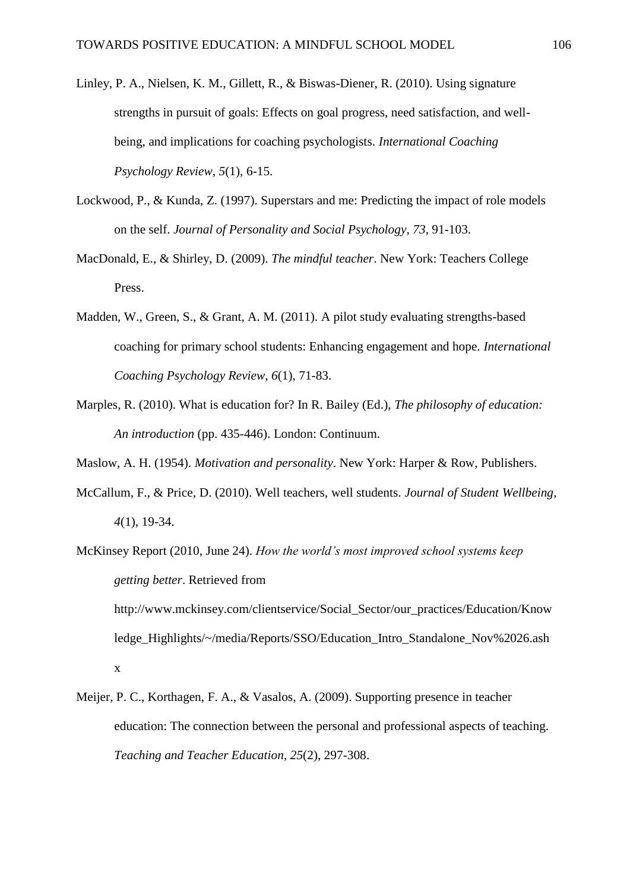- Linley, P. A., Nielsen, K. M., Gillett, R., & Biswas-Diener, R. (2010). Using signature strengths in pursuit of goals: Effects on goal progress, need satisfaction, and wellbeing, and implications for coaching psychologists. *International Coaching Psychology Review*, *5*(1), 6-15.
- Lockwood, P., & Kunda, Z. (1997). Superstars and me: Predicting the impact of role models on the self. *Journal of Personality and Social Psychology*, *73*, 91-103.
- MacDonald, E., & Shirley, D. (2009). *The mindful teacher*. New York: Teachers College Press.
- Madden, W., Green, S., & Grant, A. M. (2011). A pilot study evaluating strengths-based coaching for primary school students: Enhancing engagement and hope. *International Coaching Psychology Review*, *6*(1), 71-83.
- Marples, R. (2010). What is education for? In R. Bailey (Ed.), *The philosophy of education: An introduction* (pp. 435-446). London: Continuum.

Maslow, A. H. (1954). *Motivation and personality*. New York: Harper & Row, Publishers.

- McCallum, F., & Price, D. (2010). Well teachers, well students. *Journal of Student Wellbeing*, *4*(1), 19-34.
- McKinsey Report (2010, June 24). *How the world's most improved school systems keep getting better*. Retrieved from http://www.mckinsey.com/clientservice/Social\_Sector/our\_practices/Education/Know ledge Highlights/~/media/Reports/SSO/Education Intro Standalone Nov%2026.ash x
- Meijer, P. C., Korthagen, F. A., & Vasalos, A. (2009). Supporting presence in teacher education: The connection between the personal and professional aspects of teaching. *Teaching and Teacher Education*, *25*(2), 297-308.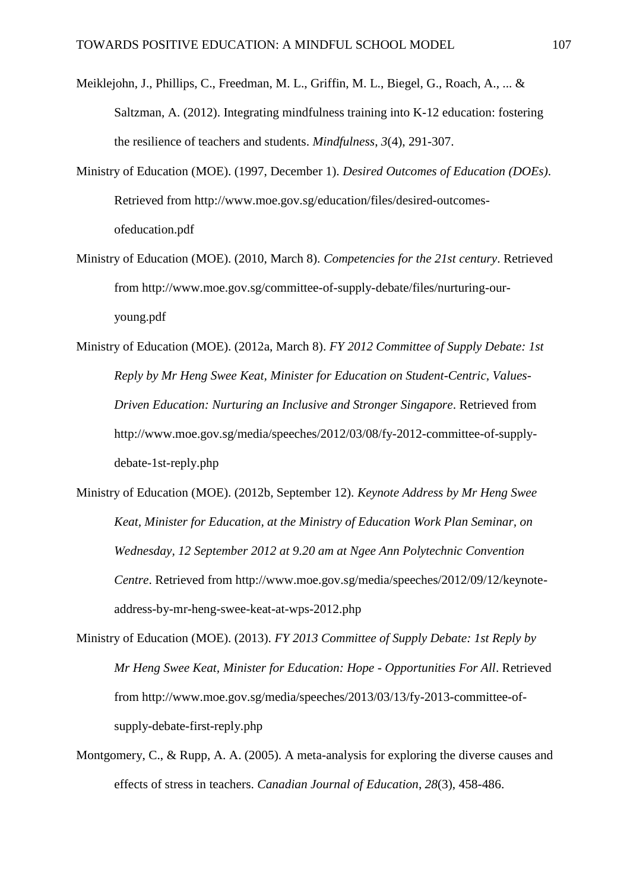- Meiklejohn, J., Phillips, C., Freedman, M. L., Griffin, M. L., Biegel, G., Roach, A., ... & Saltzman, A. (2012). Integrating mindfulness training into K-12 education: fostering the resilience of teachers and students. *Mindfulness*, *3*(4), 291-307.
- Ministry of Education (MOE). (1997, December 1). *Desired Outcomes of Education (DOEs)*. Retrieved from http://www.moe.gov.sg/education/files/desired-outcomesofeducation.pdf
- Ministry of Education (MOE). (2010, March 8). *Competencies for the 21st century*. Retrieved from http://www.moe.gov.sg/committee-of-supply-debate/files/nurturing-ouryoung.pdf
- Ministry of Education (MOE). (2012a, March 8). *FY 2012 Committee of Supply Debate: 1st Reply by Mr Heng Swee Keat, Minister for Education on Student-Centric, Values-Driven Education: Nurturing an Inclusive and Stronger Singapore*. Retrieved from http://www.moe.gov.sg/media/speeches/2012/03/08/fy-2012-committee-of-supplydebate-1st-reply.php
- Ministry of Education (MOE). (2012b, September 12). *Keynote Address by Mr Heng Swee Keat, Minister for Education, at the Ministry of Education Work Plan Seminar, on Wednesday, 12 September 2012 at 9.20 am at Ngee Ann Polytechnic Convention Centre*. Retrieved from http://www.moe.gov.sg/media/speeches/2012/09/12/keynoteaddress-by-mr-heng-swee-keat-at-wps-2012.php
- Ministry of Education (MOE). (2013). *FY 2013 Committee of Supply Debate: 1st Reply by Mr Heng Swee Keat, Minister for Education: Hope - Opportunities For All*. Retrieved from http://www.moe.gov.sg/media/speeches/2013/03/13/fy-2013-committee-ofsupply-debate-first-reply.php
- Montgomery, C., & Rupp, A. A. (2005). A meta-analysis for exploring the diverse causes and effects of stress in teachers. *Canadian Journal of Education*, *28*(3), 458-486.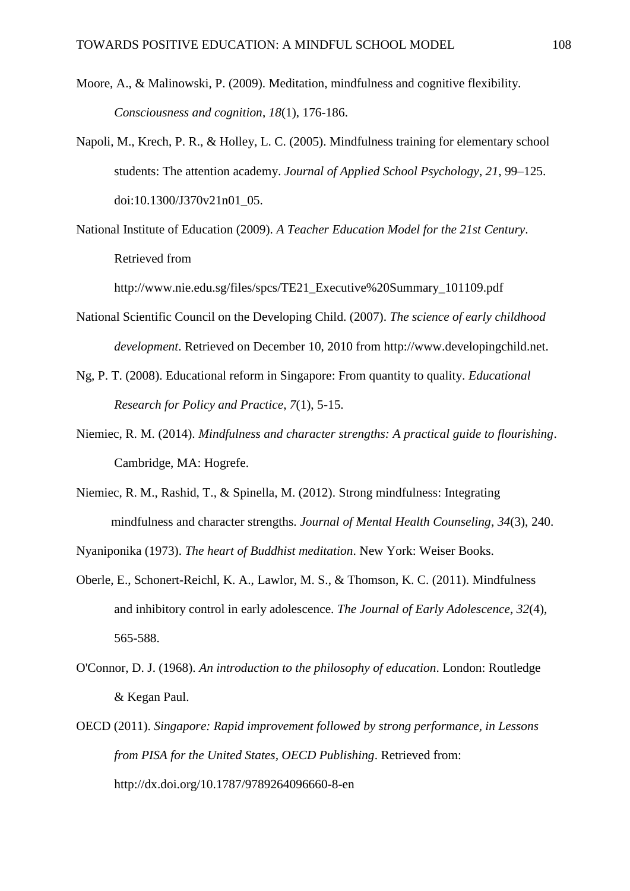- Moore, A., & Malinowski, P. (2009). Meditation, mindfulness and cognitive flexibility. *Consciousness and cognition*, *18*(1), 176-186.
- Napoli, M., Krech, P. R., & Holley, L. C. (2005). Mindfulness training for elementary school students: The attention academy. *Journal of Applied School Psychology*, *21*, 99–125. doi:10.1300/J370v21n01\_05.
- National Institute of Education (2009). *A Teacher Education Model for the 21st Century*. Retrieved from

http://www.nie.edu.sg/files/spcs/TE21\_Executive%20Summary\_101109.pdf

- National Scientific Council on the Developing Child. (2007). *The science of early childhood development*. Retrieved on December 10, 2010 from http://www.developingchild.net.
- Ng, P. T. (2008). Educational reform in Singapore: From quantity to quality. *Educational Research for Policy and Practice*, *7*(1), 5-15.
- Niemiec, R. M. (2014). *Mindfulness and character strengths: A practical guide to flourishing*. Cambridge, MA: Hogrefe.
- Niemiec, R. M., Rashid, T., & Spinella, M. (2012). Strong mindfulness: Integrating mindfulness and character strengths. *Journal of Mental Health Counseling*, *34*(3), 240.
- Nyaniponika (1973). *The heart of Buddhist meditation*. New York: Weiser Books.
- Oberle, E., Schonert-Reichl, K. A., Lawlor, M. S., & Thomson, K. C. (2011). Mindfulness and inhibitory control in early adolescence. *The Journal of Early Adolescence*, *32*(4), 565-588.
- O'Connor, D. J. (1968). *An introduction to the philosophy of education*. London: Routledge & Kegan Paul.
- OECD (2011). *Singapore: Rapid improvement followed by strong performance, in Lessons from PISA for the United States, OECD Publishing*. Retrieved from: http://dx.doi.org/10.1787/9789264096660-8-en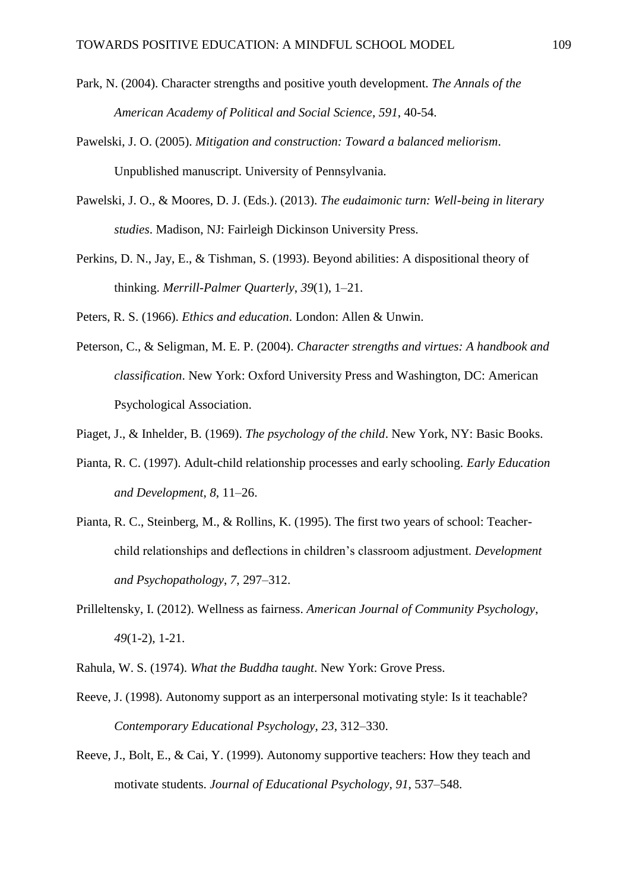- Park, N. (2004). Character strengths and positive youth development. *The Annals of the American Academy of Political and Social Science*, *591*, 40-54.
- Pawelski, J. O. (2005). *Mitigation and construction: Toward a balanced meliorism*. Unpublished manuscript. University of Pennsylvania.
- Pawelski, J. O., & Moores, D. J. (Eds.). (2013). *The eudaimonic turn: Well-being in literary studies*. Madison, NJ: Fairleigh Dickinson University Press.
- Perkins, D. N., Jay, E., & Tishman, S. (1993). Beyond abilities: A dispositional theory of thinking. *Merrill-Palmer Quarterly*, *39*(1), 1–21.
- Peters, R. S. (1966). *Ethics and education*. London: Allen & Unwin.
- Peterson, C., & Seligman, M. E. P. (2004). *Character strengths and virtues: A handbook and classification*. New York: Oxford University Press and Washington, DC: American Psychological Association.
- Piaget, J., & Inhelder, B. (1969). *The psychology of the child*. New York, NY: Basic Books.
- Pianta, R. C. (1997). Adult-child relationship processes and early schooling. *Early Education and Development*, *8*, 11–26.
- Pianta, R. C., Steinberg, M., & Rollins, K. (1995). The first two years of school: Teacherchild relationships and deflections in children's classroom adjustment. *Development and Psychopathology*, *7*, 297–312.
- Prilleltensky, I. (2012). Wellness as fairness. *American Journal of Community Psychology*, *49*(1-2), 1-21.
- Rahula, W. S. (1974). *What the Buddha taught*. New York: Grove Press.
- Reeve, J. (1998). Autonomy support as an interpersonal motivating style: Is it teachable? *Contemporary Educational Psychology*, *23*, 312–330.
- Reeve, J., Bolt, E., & Cai, Y. (1999). Autonomy supportive teachers: How they teach and motivate students. *Journal of Educational Psychology*, *91*, 537–548.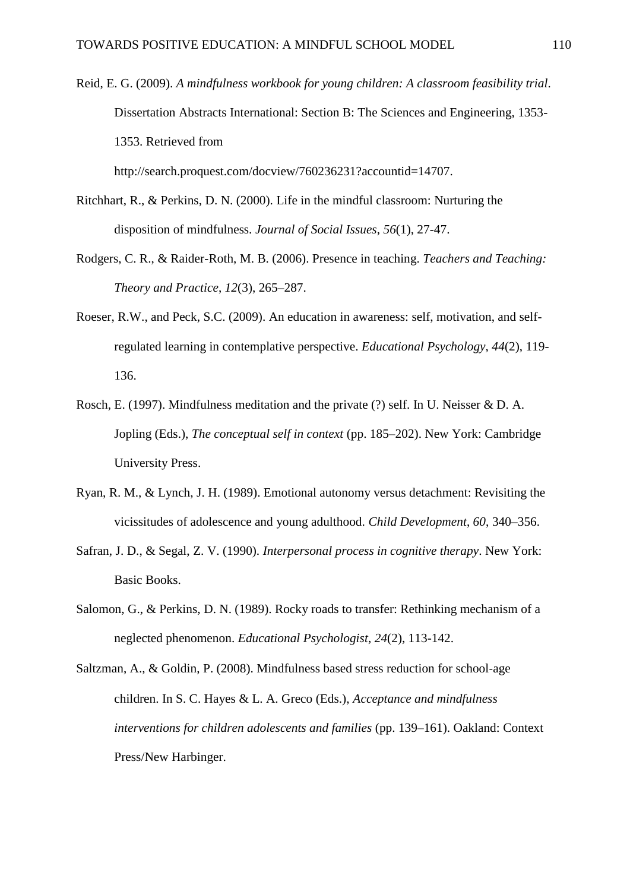- Reid, E. G. (2009). *A mindfulness workbook for young children: A classroom feasibility trial*. Dissertation Abstracts International: Section B: The Sciences and Engineering, 1353- 1353. Retrieved from http://search.proquest.com/docview/760236231?accountid=14707.
- Ritchhart, R., & Perkins, D. N. (2000). Life in the mindful classroom: Nurturing the disposition of mindfulness. *Journal of Social Issues*, *56*(1), 27-47.
- Rodgers, C. R., & Raider-Roth, M. B. (2006). Presence in teaching. *Teachers and Teaching: Theory and Practice*, *12*(3), 265–287.
- Roeser, R.W., and Peck, S.C. (2009). An education in awareness: self, motivation, and selfregulated learning in contemplative perspective. *Educational Psychology*, *44*(2), 119- 136.
- Rosch, E. (1997). Mindfulness meditation and the private (?) self. In U. Neisser & D. A. Jopling (Eds.), *The conceptual self in context* (pp. 185–202). New York: Cambridge University Press.
- Ryan, R. M., & Lynch, J. H. (1989). Emotional autonomy versus detachment: Revisiting the vicissitudes of adolescence and young adulthood. *Child Development*, *60*, 340–356.
- Safran, J. D., & Segal, Z. V. (1990). *Interpersonal process in cognitive therapy*. New York: Basic Books.
- Salomon, G., & Perkins, D. N. (1989). Rocky roads to transfer: Rethinking mechanism of a neglected phenomenon. *Educational Psychologist*, *24*(2), 113-142.
- Saltzman, A., & Goldin, P. (2008). Mindfulness based stress reduction for school‐age children. In S. C. Hayes & L. A. Greco (Eds.), *Acceptance and mindfulness interventions for children adolescents and families* (pp. 139–161). Oakland: Context Press/New Harbinger.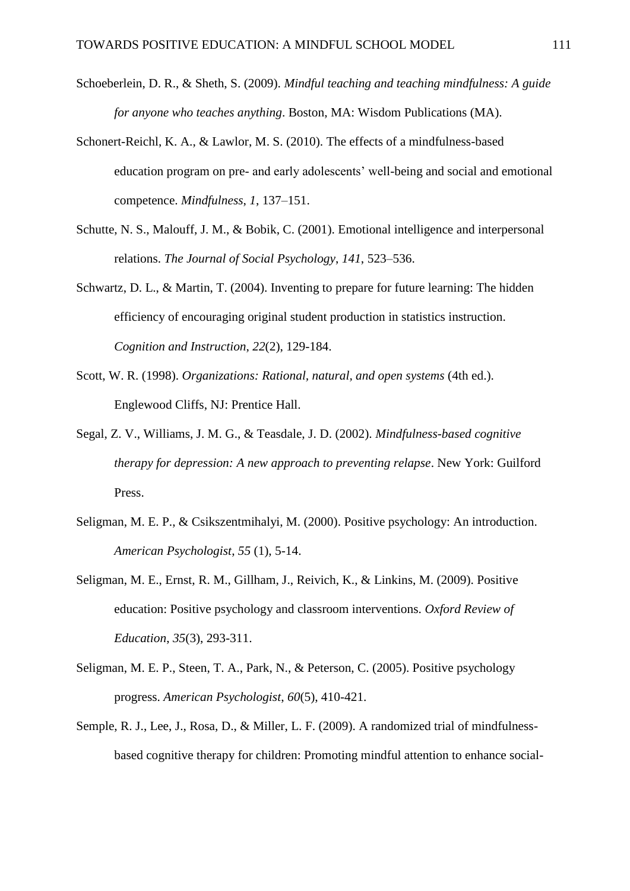- Schoeberlein, D. R., & Sheth, S. (2009). *Mindful teaching and teaching mindfulness: A guide for anyone who teaches anything*. Boston, MA: Wisdom Publications (MA).
- Schonert-Reichl, K. A., & Lawlor, M. S. (2010). The effects of a mindfulness-based education program on pre- and early adolescents' well-being and social and emotional competence. *Mindfulness*, *1*, 137–151.
- Schutte, N. S., Malouff, J. M., & Bobik, C. (2001). Emotional intelligence and interpersonal relations. *The Journal of Social Psychology*, *141*, 523–536.
- Schwartz, D. L., & Martin, T. (2004). Inventing to prepare for future learning: The hidden efficiency of encouraging original student production in statistics instruction. *Cognition and Instruction*, *22*(2), 129-184.
- Scott, W. R. (1998). *Organizations: Rational, natural, and open systems* (4th ed.). Englewood Cliffs, NJ: Prentice Hall.
- Segal, Z. V., Williams, J. M. G., & Teasdale, J. D. (2002). *Mindfulness-based cognitive therapy for depression: A new approach to preventing relapse*. New York: Guilford Press.
- Seligman, M. E. P., & Csikszentmihalyi, M. (2000). Positive psychology: An introduction. *American Psychologist*, *55* (1), 5-14.
- Seligman, M. E., Ernst, R. M., Gillham, J., Reivich, K., & Linkins, M. (2009). Positive education: Positive psychology and classroom interventions. *Oxford Review of Education*, *35*(3), 293-311.
- Seligman, M. E. P., Steen, T. A., Park, N., & Peterson, C. (2005). Positive psychology progress. *American Psychologist*, *60*(5), 410-421.
- Semple, R. J., Lee, J., Rosa, D., & Miller, L. F. (2009). A randomized trial of mindfulnessbased cognitive therapy for children: Promoting mindful attention to enhance social-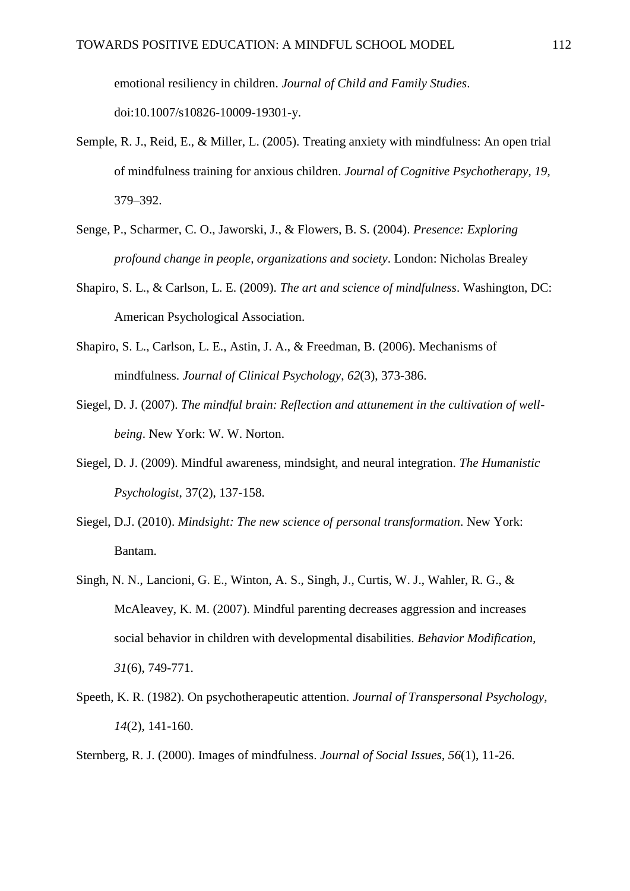emotional resiliency in children. *Journal of Child and Family Studies*. doi:10.1007/s10826-10009-19301-y.

- Semple, R. J., Reid, E., & Miller, L. (2005). Treating anxiety with mindfulness: An open trial of mindfulness training for anxious children. *Journal of Cognitive Psychotherapy*, *19*, 379–392.
- Senge, P., Scharmer, C. O., Jaworski, J., & Flowers, B. S. (2004). *Presence: Exploring profound change in people, organizations and society*. London: Nicholas Brealey
- Shapiro, S. L., & Carlson, L. E. (2009). *The art and science of mindfulness*. Washington, DC: American Psychological Association.
- Shapiro, S. L., Carlson, L. E., Astin, J. A., & Freedman, B. (2006). Mechanisms of mindfulness. *Journal of Clinical Psychology*, *62*(3), 373-386.
- Siegel, D. J. (2007). *The mindful brain: Reflection and attunement in the cultivation of wellbeing*. New York: W. W. Norton.
- Siegel, D. J. (2009). Mindful awareness, mindsight, and neural integration. *The Humanistic Psychologist*, 37(2), 137-158.
- Siegel, D.J. (2010). *Mindsight: The new science of personal transformation*. New York: Bantam.
- Singh, N. N., Lancioni, G. E., Winton, A. S., Singh, J., Curtis, W. J., Wahler, R. G., & McAleavey, K. M. (2007). Mindful parenting decreases aggression and increases social behavior in children with developmental disabilities. *Behavior Modification*, *31*(6), 749-771.
- Speeth, K. R. (1982). On psychotherapeutic attention. *Journal of Transpersonal Psychology*, *14*(2), 141-160.

Sternberg, R. J. (2000). Images of mindfulness. *Journal of Social Issues*, *56*(1), 11-26.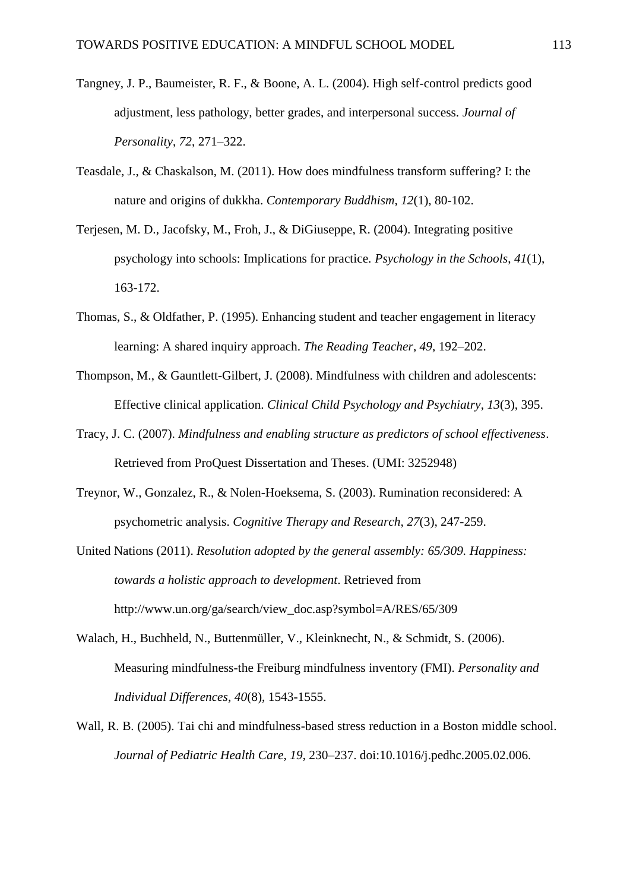- Tangney, J. P., Baumeister, R. F., & Boone, A. L. (2004). High self-control predicts good adjustment, less pathology, better grades, and interpersonal success. *Journal of Personality*, *72*, 271–322.
- Teasdale, J., & Chaskalson, M. (2011). How does mindfulness transform suffering? I: the nature and origins of dukkha. *Contemporary Buddhism*, *12*(1), 80-102.
- Terjesen, M. D., Jacofsky, M., Froh, J., & DiGiuseppe, R. (2004). Integrating positive psychology into schools: Implications for practice. *Psychology in the Schools*, *41*(1), 163-172.
- Thomas, S., & Oldfather, P. (1995). Enhancing student and teacher engagement in literacy learning: A shared inquiry approach. *The Reading Teacher*, *49*, 192–202.
- Thompson, M., & Gauntlett-Gilbert, J. (2008). Mindfulness with children and adolescents: Effective clinical application. *Clinical Child Psychology and Psychiatry*, *13*(3), 395.
- Tracy, J. C. (2007). *Mindfulness and enabling structure as predictors of school effectiveness*. Retrieved from ProQuest Dissertation and Theses. (UMI: 3252948)
- Treynor, W., Gonzalez, R., & Nolen-Hoeksema, S. (2003). Rumination reconsidered: A psychometric analysis. *Cognitive Therapy and Research*, *27*(3), 247-259.
- United Nations (2011). *Resolution adopted by the general assembly: 65/309. Happiness: towards a holistic approach to development*. Retrieved from http://www.un.org/ga/search/view\_doc.asp?symbol=A/RES/65/309
- Walach, H., Buchheld, N., Buttenmüller, V., Kleinknecht, N., & Schmidt, S. (2006). Measuring mindfulness-the Freiburg mindfulness inventory (FMI). *Personality and Individual Differences*, *40*(8), 1543-1555.
- Wall, R. B. (2005). Tai chi and mindfulness-based stress reduction in a Boston middle school. *Journal of Pediatric Health Care*, *19*, 230–237. doi:10.1016/j.pedhc.2005.02.006.